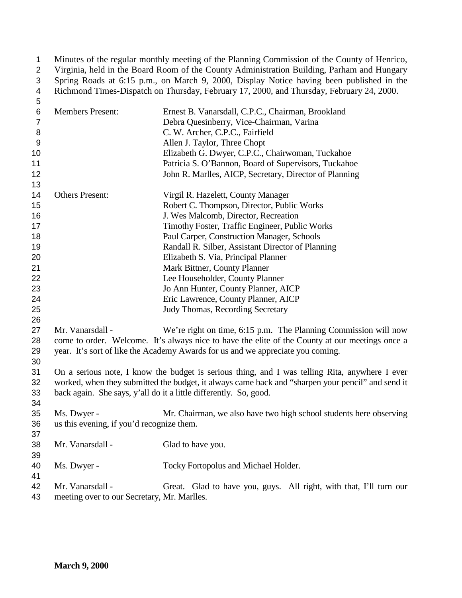Minutes of the regular monthly meeting of the Planning Commission of the County of Henrico, Virginia, held in the Board Room of the County Administration Building, Parham and Hungary Spring Roads at 6:15 p.m., on March 9, 2000, Display Notice having been published in the 4 Richmond Times-Dispatch on Thursday, February 17, 2000, and Thursday, February 24, 2000.

| 5              |                                             |                                                                                                   |
|----------------|---------------------------------------------|---------------------------------------------------------------------------------------------------|
| $\,6$          | <b>Members Present:</b>                     | Ernest B. Vanarsdall, C.P.C., Chairman, Brookland                                                 |
| $\overline{7}$ |                                             | Debra Quesinberry, Vice-Chairman, Varina                                                          |
| 8              |                                             | C. W. Archer, C.P.C., Fairfield                                                                   |
| 9              |                                             | Allen J. Taylor, Three Chopt                                                                      |
| 10             |                                             | Elizabeth G. Dwyer, C.P.C., Chairwoman, Tuckahoe                                                  |
| 11             |                                             | Patricia S. O'Bannon, Board of Supervisors, Tuckahoe                                              |
| 12             |                                             | John R. Marlles, AICP, Secretary, Director of Planning                                            |
| 13             |                                             |                                                                                                   |
| 14             | <b>Others Present:</b>                      | Virgil R. Hazelett, County Manager                                                                |
| 15             |                                             | Robert C. Thompson, Director, Public Works                                                        |
| 16             |                                             | J. Wes Malcomb, Director, Recreation                                                              |
| 17             |                                             | Timothy Foster, Traffic Engineer, Public Works                                                    |
| 18             |                                             | Paul Carper, Construction Manager, Schools                                                        |
| 19             |                                             | Randall R. Silber, Assistant Director of Planning                                                 |
| 20             |                                             | Elizabeth S. Via, Principal Planner                                                               |
| 21             |                                             | Mark Bittner, County Planner                                                                      |
| 22             |                                             | Lee Householder, County Planner                                                                   |
| 23             |                                             | Jo Ann Hunter, County Planner, AICP                                                               |
| 24             |                                             | Eric Lawrence, County Planner, AICP                                                               |
| 25             |                                             | Judy Thomas, Recording Secretary                                                                  |
| 26             |                                             |                                                                                                   |
| 27             | Mr. Vanarsdall -                            | We're right on time, 6:15 p.m. The Planning Commission will now                                   |
| 28             |                                             | come to order. Welcome. It's always nice to have the elite of the County at our meetings once a   |
| 29             |                                             | year. It's sort of like the Academy Awards for us and we appreciate you coming.                   |
| 30             |                                             |                                                                                                   |
| 31             |                                             | On a serious note, I know the budget is serious thing, and I was telling Rita, anywhere I ever    |
| 32             |                                             | worked, when they submitted the budget, it always came back and "sharpen your pencil" and send it |
| 33             |                                             | back again. She says, y'all do it a little differently. So, good.                                 |
| 34             |                                             |                                                                                                   |
| 35             | Ms. Dwyer -                                 | Mr. Chairman, we also have two high school students here observing                                |
| 36             | us this evening, if you'd recognize them.   |                                                                                                   |
| 37             |                                             |                                                                                                   |
| 38             | Mr. Vanarsdall -                            | Glad to have you.                                                                                 |
| 39             |                                             |                                                                                                   |
| 40             | Ms. Dwyer -                                 | Tocky Fortopolus and Michael Holder.                                                              |
| 41             |                                             |                                                                                                   |
| 42             | Mr. Vanarsdall -                            | Great. Glad to have you, guys. All right, with that, I'll turn our                                |
| 43             | meeting over to our Secretary, Mr. Marlles. |                                                                                                   |
|                |                                             |                                                                                                   |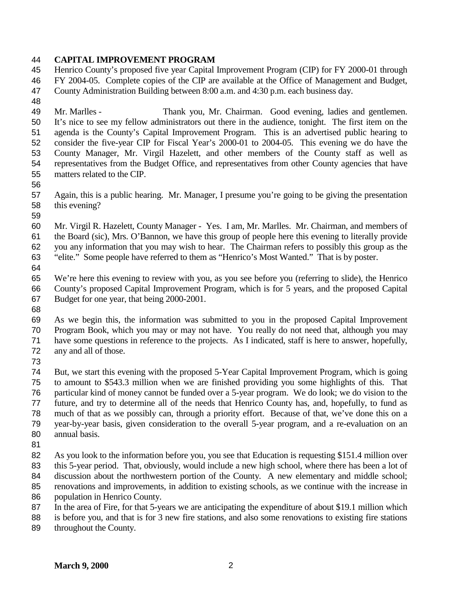#### **CAPITAL IMPROVEMENT PROGRAM**

 Henrico County's proposed five year Capital Improvement Program (CIP) for FY 2000-01 through FY 2004-05. Complete copies of the CIP are available at the Office of Management and Budget, County Administration Building between 8:00 a.m. and 4:30 p.m. each business day.

 Mr. Marlles - Thank you, Mr. Chairman. Good evening, ladies and gentlemen. It's nice to see my fellow administrators out there in the audience, tonight. The first item on the agenda is the County's Capital Improvement Program. This is an advertised public hearing to consider the five-year CIP for Fiscal Year's 2000-01 to 2004-05. This evening we do have the County Manager, Mr. Virgil Hazelett, and other members of the County staff as well as representatives from the Budget Office, and representatives from other County agencies that have matters related to the CIP.

 Again, this is a public hearing. Mr. Manager, I presume you're going to be giving the presentation this evening?

 Mr. Virgil R. Hazelett, County Manager - Yes. I am, Mr. Marlles. Mr. Chairman, and members of the Board (sic), Mrs. O'Bannon, we have this group of people here this evening to literally provide you any information that you may wish to hear. The Chairman refers to possibly this group as the "elite." Some people have referred to them as "Henrico's Most Wanted." That is by poster.

 We're here this evening to review with you, as you see before you (referring to slide), the Henrico County's proposed Capital Improvement Program, which is for 5 years, and the proposed Capital Budget for one year, that being 2000-2001.

 As we begin this, the information was submitted to you in the proposed Capital Improvement Program Book, which you may or may not have. You really do not need that, although you may have some questions in reference to the projects. As I indicated, staff is here to answer, hopefully, any and all of those.

 But, we start this evening with the proposed 5-Year Capital Improvement Program, which is going to amount to \$543.3 million when we are finished providing you some highlights of this. That particular kind of money cannot be funded over a 5-year program. We do look; we do vision to the future, and try to determine all of the needs that Henrico County has, and, hopefully, to fund as much of that as we possibly can, through a priority effort. Because of that, we've done this on a year-by-year basis, given consideration to the overall 5-year program, and a re-evaluation on an annual basis.

 As you look to the information before you, you see that Education is requesting \$151.4 million over this 5-year period. That, obviously, would include a new high school, where there has been a lot of 84 discussion about the northwestern portion of the County. A new elementary and middle school; renovations and improvements, in addition to existing schools, as we continue with the increase in population in Henrico County.

In the area of Fire, for that 5-years we are anticipating the expenditure of about \$19.1 million which

 is before you, and that is for 3 new fire stations, and also some renovations to existing fire stations throughout the County.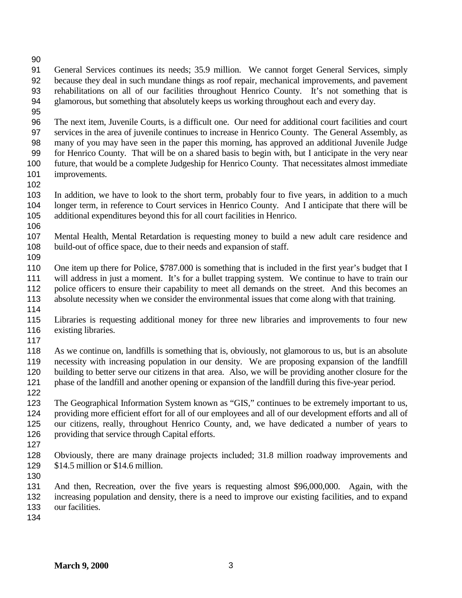- 
- General Services continues its needs; 35.9 million. We cannot forget General Services, simply because they deal in such mundane things as roof repair, mechanical improvements, and pavement rehabilitations on all of our facilities throughout Henrico County. It's not something that is glamorous, but something that absolutely keeps us working throughout each and every day.
- 

 The next item, Juvenile Courts, is a difficult one. Our need for additional court facilities and court services in the area of juvenile continues to increase in Henrico County. The General Assembly, as many of you may have seen in the paper this morning, has approved an additional Juvenile Judge for Henrico County. That will be on a shared basis to begin with, but I anticipate in the very near future, that would be a complete Judgeship for Henrico County. That necessitates almost immediate improvements.

 In addition, we have to look to the short term, probably four to five years, in addition to a much longer term, in reference to Court services in Henrico County. And I anticipate that there will be additional expenditures beyond this for all court facilities in Henrico.

 Mental Health, Mental Retardation is requesting money to build a new adult care residence and build-out of office space, due to their needs and expansion of staff.

110 One item up there for Police, \$787.000 is something that is included in the first year's budget that I will address in just a moment. It's for a bullet trapping system. We continue to have to train our police officers to ensure their capability to meet all demands on the street. And this becomes an absolute necessity when we consider the environmental issues that come along with that training.

 Libraries is requesting additional money for three new libraries and improvements to four new existing libraries.

 As we continue on, landfills is something that is, obviously, not glamorous to us, but is an absolute necessity with increasing population in our density. We are proposing expansion of the landfill building to better serve our citizens in that area. Also, we will be providing another closure for the phase of the landfill and another opening or expansion of the landfill during this five-year period.

 The Geographical Information System known as "GIS," continues to be extremely important to us, providing more efficient effort for all of our employees and all of our development efforts and all of our citizens, really, throughout Henrico County, and, we have dedicated a number of years to providing that service through Capital efforts.

 Obviously, there are many drainage projects included; 31.8 million roadway improvements and \$14.5 million or \$14.6 million.

 And then, Recreation, over the five years is requesting almost \$96,000,000. Again, with the increasing population and density, there is a need to improve our existing facilities, and to expand our facilities.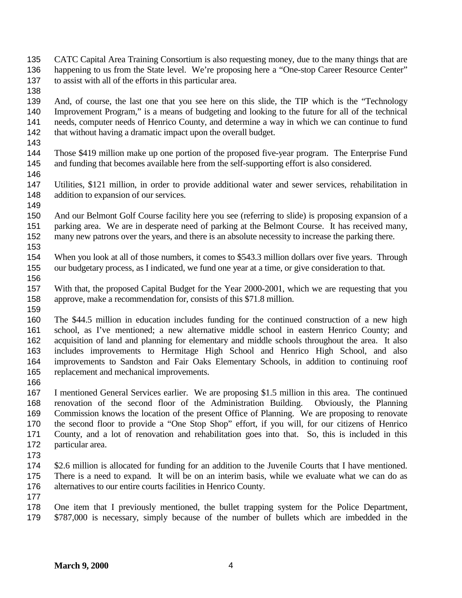- CATC Capital Area Training Consortium is also requesting money, due to the many things that are 136 happening to us from the State level. We're proposing here a "One-stop Career Resource Center" to assist with all of the efforts in this particular area.
- 

 And, of course, the last one that you see here on this slide, the TIP which is the "Technology Improvement Program," is a means of budgeting and looking to the future for all of the technical needs, computer needs of Henrico County, and determine a way in which we can continue to fund 142 that without having a dramatic impact upon the overall budget.

 Those \$419 million make up one portion of the proposed five-year program. The Enterprise Fund and funding that becomes available here from the self-supporting effort is also considered.

 Utilities, \$121 million, in order to provide additional water and sewer services, rehabilitation in 148 addition to expansion of our services.

 And our Belmont Golf Course facility here you see (referring to slide) is proposing expansion of a parking area. We are in desperate need of parking at the Belmont Course. It has received many, many new patrons over the years, and there is an absolute necessity to increase the parking there.

 When you look at all of those numbers, it comes to \$543.3 million dollars over five years. Through our budgetary process, as I indicated, we fund one year at a time, or give consideration to that.

 With that, the proposed Capital Budget for the Year 2000-2001, which we are requesting that you approve, make a recommendation for, consists of this \$71.8 million.

 The \$44.5 million in education includes funding for the continued construction of a new high school, as I've mentioned; a new alternative middle school in eastern Henrico County; and acquisition of land and planning for elementary and middle schools throughout the area. It also includes improvements to Hermitage High School and Henrico High School, and also improvements to Sandston and Fair Oaks Elementary Schools, in addition to continuing roof replacement and mechanical improvements.

 I mentioned General Services earlier. We are proposing \$1.5 million in this area. The continued renovation of the second floor of the Administration Building. Obviously, the Planning Commission knows the location of the present Office of Planning. We are proposing to renovate the second floor to provide a "One Stop Shop" effort, if you will, for our citizens of Henrico County, and a lot of renovation and rehabilitation goes into that. So, this is included in this particular area.

 \$2.6 million is allocated for funding for an addition to the Juvenile Courts that I have mentioned. There is a need to expand. It will be on an interim basis, while we evaluate what we can do as alternatives to our entire courts facilities in Henrico County.

 One item that I previously mentioned, the bullet trapping system for the Police Department, \$787,000 is necessary, simply because of the number of bullets which are imbedded in the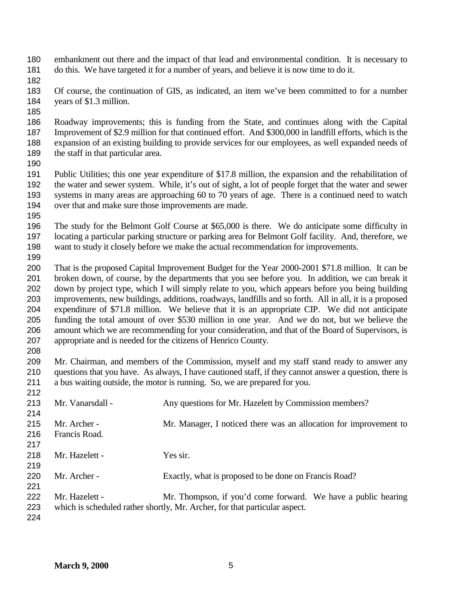- embankment out there and the impact of that lead and environmental condition. It is necessary to do this. We have targeted it for a number of years, and believe it is now time to do it.
- 
- Of course, the continuation of GIS, as indicated, an item we've been committed to for a number years of \$1.3 million.
- 
- Roadway improvements; this is funding from the State, and continues along with the Capital Improvement of \$2.9 million for that continued effort. And \$300,000 in landfill efforts, which is the expansion of an existing building to provide services for our employees, as well expanded needs of 189 the staff in that particular area.
- 

 Public Utilities; this one year expenditure of \$17.8 million, the expansion and the rehabilitation of the water and sewer system. While, it's out of sight, a lot of people forget that the water and sewer systems in many areas are approaching 60 to 70 years of age. There is a continued need to watch over that and make sure those improvements are made.

 The study for the Belmont Golf Course at \$65,000 is there. We do anticipate some difficulty in locating a particular parking structure or parking area for Belmont Golf facility. And, therefore, we want to study it closely before we make the actual recommendation for improvements.

 That is the proposed Capital Improvement Budget for the Year 2000-2001 \$71.8 million. It can be broken down, of course, by the departments that you see before you. In addition, we can break it down by project type, which I will simply relate to you, which appears before you being building improvements, new buildings, additions, roadways, landfills and so forth. All in all, it is a proposed expenditure of \$71.8 million. We believe that it is an appropriate CIP. We did not anticipate funding the total amount of over \$530 million in one year. And we do not, but we believe the amount which we are recommending for your consideration, and that of the Board of Supervisors, is appropriate and is needed for the citizens of Henrico County.

 Mr. Chairman, and members of the Commission, myself and my staff stand ready to answer any questions that you have. As always, I have cautioned staff, if they cannot answer a question, there is a bus waiting outside, the motor is running. So, we are prepared for you.

| 212 |                  |                                                                            |
|-----|------------------|----------------------------------------------------------------------------|
| 213 | Mr. Vanarsdall - | Any questions for Mr. Hazelett by Commission members?                      |
| 214 |                  |                                                                            |
| 215 | Mr. Archer -     | Mr. Manager, I noticed there was an allocation for improvement to          |
| 216 | Francis Road.    |                                                                            |
| 217 |                  |                                                                            |
| 218 | Mr. Hazelett -   | Yes sir.                                                                   |
| 219 |                  |                                                                            |
| 220 | Mr. Archer -     | Exactly, what is proposed to be done on Francis Road?                      |
| 221 |                  |                                                                            |
| 222 | Mr. Hazelett -   | Mr. Thompson, if you'd come forward. We have a public hearing              |
| 223 |                  | which is scheduled rather shortly, Mr. Archer, for that particular aspect. |
| 224 |                  |                                                                            |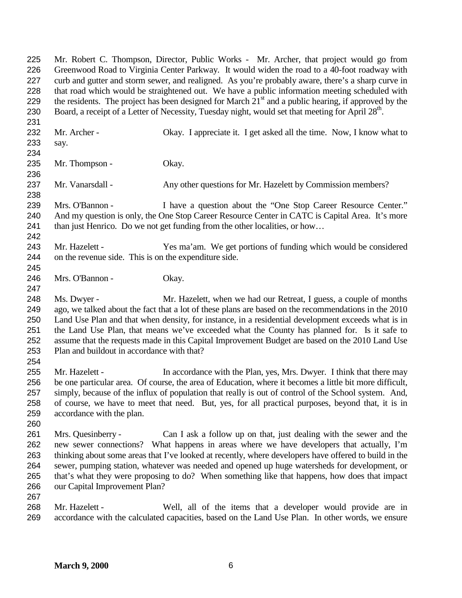Mr. Robert C. Thompson, Director, Public Works - Mr. Archer, that project would go from Greenwood Road to Virginia Center Parkway. It would widen the road to a 40-foot roadway with curb and gutter and storm sewer, and realigned. As you're probably aware, there's a sharp curve in that road which would be straightened out. We have a public information meeting scheduled with 229 the residents. The project has been designed for March  $21<sup>st</sup>$  and a public hearing, if approved by the 230 Board, a receipt of a Letter of Necessity, Tuesday night, would set that meeting for April 28<sup>th</sup>. 232 Mr. Archer - Okay. I appreciate it. I get asked all the time. Now, I know what to say. 235 Mr. Thompson - Okay. Mr. Vanarsdall - Any other questions for Mr. Hazelett by Commission members? Mrs. O'Bannon - I have a question about the "One Stop Career Resource Center." 240 And my question is only, the One Stop Career Resource Center in CATC is Capital Area. It's more than just Henrico. Do we not get funding from the other localities, or how… Mr. Hazelett - Yes ma'am. We get portions of funding which would be considered on the revenue side. This is on the expenditure side. Mrs. O'Bannon - Okay. Ms. Dwyer - Mr. Hazelett, when we had our Retreat, I guess, a couple of months ago, we talked about the fact that a lot of these plans are based on the recommendations in the 2010 Land Use Plan and that when density, for instance, in a residential development exceeds what is in the Land Use Plan, that means we've exceeded what the County has planned for. Is it safe to assume that the requests made in this Capital Improvement Budget are based on the 2010 Land Use Plan and buildout in accordance with that? 255 Mr. Hazelett - In accordance with the Plan, yes, Mrs. Dwyer. I think that there may be one particular area. Of course, the area of Education, where it becomes a little bit more difficult, simply, because of the influx of population that really is out of control of the School system. And, of course, we have to meet that need. But, yes, for all practical purposes, beyond that, it is in accordance with the plan. Mrs. Quesinberry - Can I ask a follow up on that, just dealing with the sewer and the new sewer connections? What happens in areas where we have developers that actually, I'm thinking about some areas that I've looked at recently, where developers have offered to build in the sewer, pumping station, whatever was needed and opened up huge watersheds for development, or that's what they were proposing to do? When something like that happens, how does that impact our Capital Improvement Plan? Mr. Hazelett - Well, all of the items that a developer would provide are in

**March 9, 2000** 6

accordance with the calculated capacities, based on the Land Use Plan. In other words, we ensure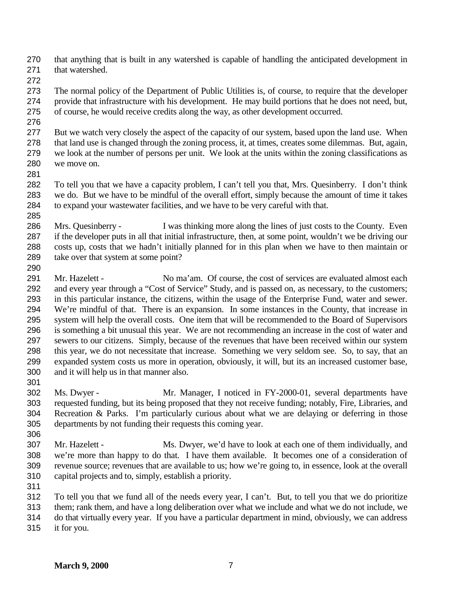that anything that is built in any watershed is capable of handling the anticipated development in that watershed.

 The normal policy of the Department of Public Utilities is, of course, to require that the developer provide that infrastructure with his development. He may build portions that he does not need, but, of course, he would receive credits along the way, as other development occurred.

 But we watch very closely the aspect of the capacity of our system, based upon the land use. When that land use is changed through the zoning process, it, at times, creates some dilemmas. But, again, we look at the number of persons per unit. We look at the units within the zoning classifications as we move on.

 To tell you that we have a capacity problem, I can't tell you that, Mrs. Quesinberry. I don't think we do. But we have to be mindful of the overall effort, simply because the amount of time it takes to expand your wastewater facilities, and we have to be very careful with that. 

 Mrs. Quesinberry - I was thinking more along the lines of just costs to the County. Even if the developer puts in all that initial infrastructure, then, at some point, wouldn't we be driving our costs up, costs that we hadn't initially planned for in this plan when we have to then maintain or take over that system at some point? 

 Mr. Hazelett - No ma'am. Of course, the cost of services are evaluated almost each and every year through a "Cost of Service" Study, and is passed on, as necessary, to the customers; in this particular instance, the citizens, within the usage of the Enterprise Fund, water and sewer. We're mindful of that. There is an expansion. In some instances in the County, that increase in system will help the overall costs. One item that will be recommended to the Board of Supervisors is something a bit unusual this year. We are not recommending an increase in the cost of water and sewers to our citizens. Simply, because of the revenues that have been received within our system this year, we do not necessitate that increase. Something we very seldom see. So, to say, that an expanded system costs us more in operation, obviously, it will, but its an increased customer base, and it will help us in that manner also.

 Ms. Dwyer - Mr. Manager, I noticed in FY-2000-01, several departments have requested funding, but its being proposed that they not receive funding; notably, Fire, Libraries, and Recreation & Parks. I'm particularly curious about what we are delaying or deferring in those departments by not funding their requests this coming year. 

- Mr. Hazelett Ms. Dwyer, we'd have to look at each one of them individually, and we're more than happy to do that. I have them available. It becomes one of a consideration of revenue source; revenues that are available to us; how we're going to, in essence, look at the overall capital projects and to, simply, establish a priority.
- 

To tell you that we fund all of the needs every year, I can't. But, to tell you that we do prioritize

them; rank them, and have a long deliberation over what we include and what we do not include, we

 do that virtually every year. If you have a particular department in mind, obviously, we can address it for you.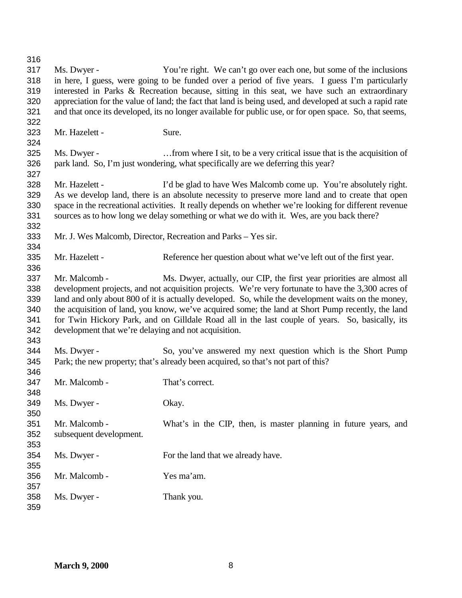Ms. Dwyer - You're right. We can't go over each one, but some of the inclusions in here, I guess, were going to be funded over a period of five years. I guess I'm particularly interested in Parks & Recreation because, sitting in this seat, we have such an extraordinary appreciation for the value of land; the fact that land is being used, and developed at such a rapid rate and that once its developed, its no longer available for public use, or for open space. So, that seems, Mr. Hazelett - Sure. Ms. Dwyer - …from where I sit, to be a very critical issue that is the acquisition of park land. So, I'm just wondering, what specifically are we deferring this year? Mr. Hazelett - I'd be glad to have Wes Malcomb come up. You're absolutely right. As we develop land, there is an absolute necessity to preserve more land and to create that open space in the recreational activities. It really depends on whether we're looking for different revenue sources as to how long we delay something or what we do with it. Wes, are you back there? Mr. J. Wes Malcomb, Director, Recreation and Parks – Yes sir. Mr. Hazelett - Reference her question about what we've left out of the first year. 337 Mr. Malcomb - Ms. Dwyer, actually, our CIP, the first year priorities are almost all development projects, and not acquisition projects. We're very fortunate to have the 3,300 acres of land and only about 800 of it is actually developed. So, while the development waits on the money, the acquisition of land, you know, we've acquired some; the land at Short Pump recently, the land for Twin Hickory Park, and on Gilldale Road all in the last couple of years. So, basically, its development that we're delaying and not acquisition. Ms. Dwyer - So, you've answered my next question which is the Short Pump Park; the new property; that's already been acquired, so that's not part of this? Mr. Malcomb - That's correct. Ms. Dwyer - Okay. Mr. Malcomb - What's in the CIP, then, is master planning in future years, and subsequent development. Ms. Dwyer - For the land that we already have. Mr. Malcomb - Yes ma'am. Ms. Dwyer - Thank you.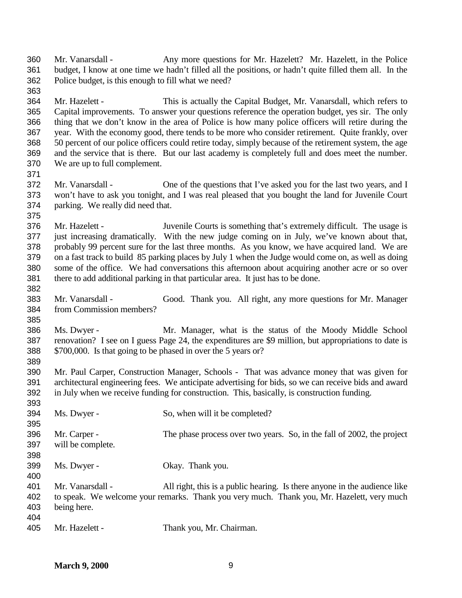Mr. Vanarsdall - Any more questions for Mr. Hazelett? Mr. Hazelett, in the Police budget, I know at one time we hadn't filled all the positions, or hadn't quite filled them all. In the Police budget, is this enough to fill what we need?

 Mr. Hazelett - This is actually the Capital Budget, Mr. Vanarsdall, which refers to Capital improvements. To answer your questions reference the operation budget, yes sir. The only thing that we don't know in the area of Police is how many police officers will retire during the year. With the economy good, there tends to be more who consider retirement. Quite frankly, over 50 percent of our police officers could retire today, simply because of the retirement system, the age and the service that is there. But our last academy is completely full and does meet the number. We are up to full complement.

 Mr. Vanarsdall - One of the questions that I've asked you for the last two years, and I won't have to ask you tonight, and I was real pleased that you bought the land for Juvenile Court parking. We really did need that.

 Mr. Hazelett - Juvenile Courts is something that's extremely difficult. The usage is just increasing dramatically. With the new judge coming on in July, we've known about that, probably 99 percent sure for the last three months. As you know, we have acquired land. We are on a fast track to build 85 parking places by July 1 when the Judge would come on, as well as doing some of the office. We had conversations this afternoon about acquiring another acre or so over there to add additional parking in that particular area. It just has to be done.

 Mr. Vanarsdall - Good. Thank you. All right, any more questions for Mr. Manager from Commission members?

 Ms. Dwyer - Mr. Manager, what is the status of the Moody Middle School renovation? I see on I guess Page 24, the expenditures are \$9 million, but appropriations to date is \$700,000. Is that going to be phased in over the 5 years or? 

 Mr. Paul Carper, Construction Manager, Schools - That was advance money that was given for architectural engineering fees. We anticipate advertising for bids, so we can receive bids and award in July when we receive funding for construction. This, basically, is construction funding.

- 394 Ms. Dwyer - So, when will it be completed? Mr. Carper - The phase process over two years. So, in the fall of 2002, the project will be complete. Ms. Dwyer - Okay. Thank you. Mr. Vanarsdall - All right, this is a public hearing. Is there anyone in the audience like to speak. We welcome your remarks. Thank you very much. Thank you, Mr. Hazelett, very much being here.
- 

Mr. Hazelett - Thank you, Mr. Chairman.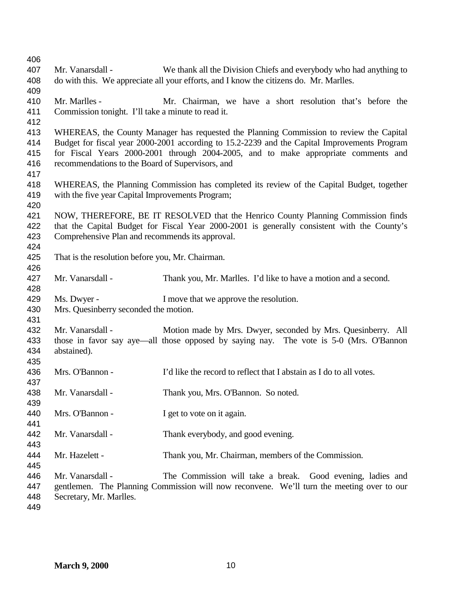| 406        |                                                    |                                                                                              |
|------------|----------------------------------------------------|----------------------------------------------------------------------------------------------|
| 407        | Mr. Vanarsdall -                                   | We thank all the Division Chiefs and everybody who had anything to                           |
| 408        |                                                    | do with this. We appreciate all your efforts, and I know the citizens do. Mr. Marlles.       |
| 409        |                                                    |                                                                                              |
| 410        | Mr. Marlles -                                      | Mr. Chairman, we have a short resolution that's before the                                   |
| 411        | Commission tonight. I'll take a minute to read it. |                                                                                              |
| 412        |                                                    |                                                                                              |
| 413        |                                                    | WHEREAS, the County Manager has requested the Planning Commission to review the Capital      |
| 414        |                                                    | Budget for fiscal year 2000-2001 according to 15.2-2239 and the Capital Improvements Program |
| 415        |                                                    | for Fiscal Years 2000-2001 through 2004-2005, and to make appropriate comments and           |
| 416        | recommendations to the Board of Supervisors, and   |                                                                                              |
| 417        |                                                    |                                                                                              |
| 418        |                                                    | WHEREAS, the Planning Commission has completed its review of the Capital Budget, together    |
| 419        | with the five year Capital Improvements Program;   |                                                                                              |
| 420        |                                                    |                                                                                              |
| 421        |                                                    | NOW, THEREFORE, BE IT RESOLVED that the Henrico County Planning Commission finds             |
| 422        |                                                    | that the Capital Budget for Fiscal Year 2000-2001 is generally consistent with the County's  |
| 423        | Comprehensive Plan and recommends its approval.    |                                                                                              |
| 424        |                                                    |                                                                                              |
| 425        | That is the resolution before you, Mr. Chairman.   |                                                                                              |
| 426        |                                                    |                                                                                              |
| 427        | Mr. Vanarsdall -                                   | Thank you, Mr. Marlles. I'd like to have a motion and a second.                              |
| 428        |                                                    |                                                                                              |
| 429        | Ms. Dwyer -                                        | I move that we approve the resolution.                                                       |
| 430        | Mrs. Quesinberry seconded the motion.              |                                                                                              |
| 431        |                                                    |                                                                                              |
| 432        | Mr. Vanarsdall -                                   | Motion made by Mrs. Dwyer, seconded by Mrs. Quesinberry. All                                 |
| 433        |                                                    | those in favor say aye—all those opposed by saying nay. The vote is 5-0 (Mrs. O'Bannon       |
| 434        | abstained).                                        |                                                                                              |
| 435        |                                                    |                                                                                              |
| 436<br>437 | Mrs. O'Bannon -                                    | I'd like the record to reflect that I abstain as I do to all votes.                          |
| 438        | Mr. Vanarsdall -                                   | Thank you, Mrs. O'Bannon. So noted.                                                          |
| 439        |                                                    |                                                                                              |
| 440        | Mrs. O'Bannon -                                    | I get to vote on it again.                                                                   |
| 441        |                                                    |                                                                                              |
| 442        | Mr. Vanarsdall -                                   | Thank everybody, and good evening.                                                           |
| 443        |                                                    |                                                                                              |
| 444        | Mr. Hazelett -                                     | Thank you, Mr. Chairman, members of the Commission.                                          |
| 445        |                                                    |                                                                                              |
| 446        | Mr. Vanarsdall -                                   | The Commission will take a break. Good evening, ladies and                                   |
| 447        |                                                    | gentlemen. The Planning Commission will now reconvene. We'll turn the meeting over to our    |
| 448        | Secretary, Mr. Marlles.                            |                                                                                              |
| 449        |                                                    |                                                                                              |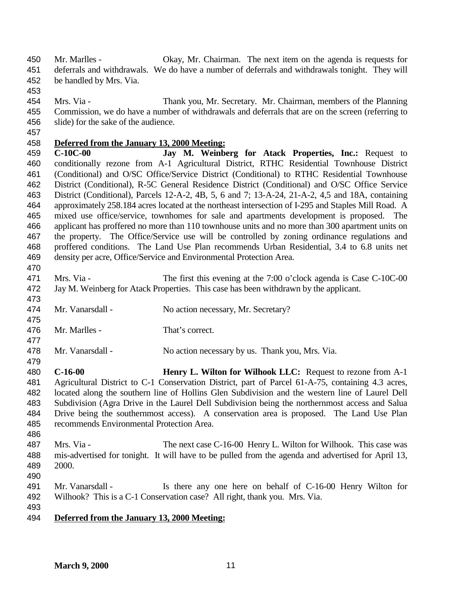Mr. Marlles - Okay, Mr. Chairman. The next item on the agenda is requests for deferrals and withdrawals. We do have a number of deferrals and withdrawals tonight. They will be handled by Mrs. Via.

- 
- Mrs. Via Thank you, Mr. Secretary. Mr. Chairman, members of the Planning Commission, we do have a number of withdrawals and deferrals that are on the screen (referring to slide) for the sake of the audience.
- 

# **Deferred from the January 13, 2000 Meeting:**

 **C-10C-00 Jay M. Weinberg for Atack Properties, Inc.:** Request to conditionally rezone from A-1 Agricultural District, RTHC Residential Townhouse District (Conditional) and O/SC Office/Service District (Conditional) to RTHC Residential Townhouse District (Conditional), R-5C General Residence District (Conditional) and O/SC Office Service District (Conditional), Parcels 12-A-2, 4B, 5, 6 and 7; 13-A-24, 21-A-2, 4,5 and 18A, containing approximately 258.184 acres located at the northeast intersection of I-295 and Staples Mill Road. A mixed use office/service, townhomes for sale and apartments development is proposed. The applicant has proffered no more than 110 townhouse units and no more than 300 apartment units on the property. The Office/Service use will be controlled by zoning ordinance regulations and proffered conditions. The Land Use Plan recommends Urban Residential, 3.4 to 6.8 units net density per acre, Office/Service and Environmental Protection Area. 

- 471 Mrs. Via The first this evening at the 7:00 o'clock agenda is Case C-10C-00 Jay M. Weinberg for Atack Properties. This case has been withdrawn by the applicant.
- 474 Mr. Vanarsdall No action necessary, Mr. Secretary?
- Mr. Marlles - That's correct.
- Mr. Vanarsdall - No action necessary by us. Thank you, Mrs. Via.
- **C-16-00 Henry L. Wilton for Wilhook LLC:** Request to rezone from A-1 Agricultural District to C-1 Conservation District, part of Parcel 61-A-75, containing 4.3 acres, located along the southern line of Hollins Glen Subdivision and the western line of Laurel Dell Subdivision (Agra Drive in the Laurel Dell Subdivision being the northernmost access and Salua Drive being the southernmost access). A conservation area is proposed. The Land Use Plan recommends Environmental Protection Area.
- Mrs. Via The next case C-16-00 Henry L. Wilton for Wilhook. This case was mis-advertised for tonight. It will have to be pulled from the agenda and advertised for April 13, 2000.
- 
- Mr. Vanarsdall Is there any one here on behalf of C-16-00 Henry Wilton for Wilhook? This is a C-1 Conservation case? All right, thank you. Mrs. Via.
- 

## **Deferred from the January 13, 2000 Meeting:**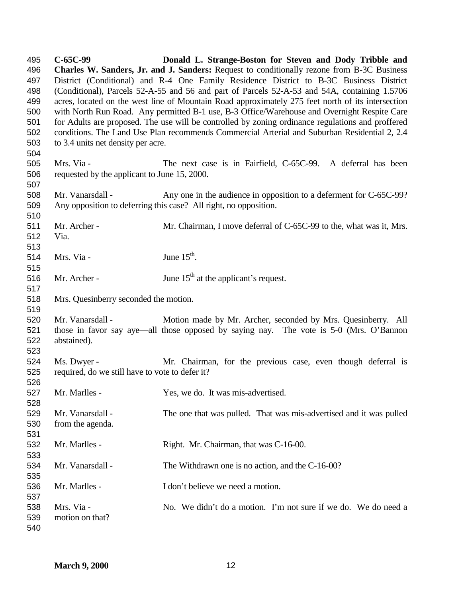**C-65C-99 Donald L. Strange-Boston for Steven and Dody Tribble and Charles W. Sanders, Jr. and J. Sanders:** Request to conditionally rezone from B-3C Business District (Conditional) and R-4 One Family Residence District to B-3C Business District (Conditional), Parcels 52-A-55 and 56 and part of Parcels 52-A-53 and 54A, containing 1.5706 acres, located on the west line of Mountain Road approximately 275 feet north of its intersection with North Run Road. Any permitted B-1 use, B-3 Office/Warehouse and Overnight Respite Care for Adults are proposed. The use will be controlled by zoning ordinance regulations and proffered conditions. The Land Use Plan recommends Commercial Arterial and Suburban Residential 2, 2.4 to 3.4 units net density per acre. Mrs. Via - The next case is in Fairfield, C-65C-99. A deferral has been requested by the applicant to June 15, 2000. Mr. Vanarsdall - Any one in the audience in opposition to a deferment for C-65C-99? Any opposition to deferring this case? All right, no opposition. Mr. Archer - Mr. Chairman, I move deferral of C-65C-99 to the, what was it, Mrs. Via. 514 Mrs. Via - June  $15<sup>th</sup>$ . 516 Mr. Archer - June  $15<sup>th</sup>$  at the applicant's request. Mrs. Quesinberry seconded the motion. Mr. Vanarsdall - Motion made by Mr. Archer, seconded by Mrs. Quesinberry. All those in favor say aye—all those opposed by saying nay. The vote is 5-0 (Mrs. O'Bannon abstained). Ms. Dwyer - Mr. Chairman, for the previous case, even though deferral is required, do we still have to vote to defer it? Mr. Marlles - Yes, we do. It was mis-advertised. Mr. Vanarsdall - The one that was pulled. That was mis-advertised and it was pulled from the agenda. Mr. Marlles - Right. Mr. Chairman, that was C-16-00. Mr. Vanarsdall - The Withdrawn one is no action, and the C-16-00? Mr. Marlles - I don't believe we need a motion. Mrs. Via - No. We didn't do a motion. I'm not sure if we do. We do need a motion on that?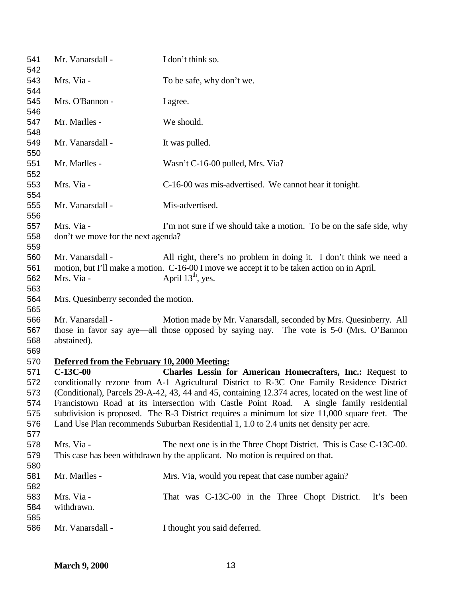| 541<br>542        | Mr. Vanarsdall -                                 | I don't think so.                                                                                                                                                                                |
|-------------------|--------------------------------------------------|--------------------------------------------------------------------------------------------------------------------------------------------------------------------------------------------------|
| 543<br>544        | Mrs. Via -                                       | To be safe, why don't we.                                                                                                                                                                        |
| 545<br>546        | Mrs. O'Bannon -                                  | I agree.                                                                                                                                                                                         |
| 547<br>548        | Mr. Marlles -                                    | We should.                                                                                                                                                                                       |
| 549<br>550        | Mr. Vanarsdall -                                 | It was pulled.                                                                                                                                                                                   |
| 551<br>552        | Mr. Marlles -                                    | Wasn't C-16-00 pulled, Mrs. Via?                                                                                                                                                                 |
| 553<br>554        | Mrs. Via -                                       | C-16-00 was mis-advertised. We cannot hear it tonight.                                                                                                                                           |
| 555<br>556        | Mr. Vanarsdall -                                 | Mis-advertised.                                                                                                                                                                                  |
| 557<br>558<br>559 | Mrs. Via -<br>don't we move for the next agenda? | I'm not sure if we should take a motion. To be on the safe side, why                                                                                                                             |
| 560               | Mr. Vanarsdall -                                 | All right, there's no problem in doing it. I don't think we need a                                                                                                                               |
| 561<br>562<br>563 | Mrs. Via -                                       | motion, but I'll make a motion. C-16-00 I move we accept it to be taken action on in April.<br>April $13th$ , yes.                                                                               |
| 564<br>565        | Mrs. Quesinberry seconded the motion.            |                                                                                                                                                                                                  |
| 566<br>567        | Mr. Vanarsdall -                                 | Motion made by Mr. Vanarsdall, seconded by Mrs. Quesinberry. All<br>those in favor say aye—all those opposed by saying nay. The vote is 5-0 (Mrs. O'Bannon                                       |
| 568<br>569        | abstained).                                      |                                                                                                                                                                                                  |
| 570               | Deferred from the February 10, 2000 Meeting:     |                                                                                                                                                                                                  |
| 571               | $C-13C-00$                                       | Charles Lessin for American Homecrafters, Inc.: Request to                                                                                                                                       |
| 572<br>573        |                                                  | conditionally rezone from A-1 Agricultural District to R-3C One Family Residence District<br>(Conditional), Parcels 29-A-42, 43, 44 and 45, containing 12.374 acres, located on the west line of |
| 574               |                                                  | Francistown Road at its intersection with Castle Point Road.<br>A single family residential                                                                                                      |
| 575               |                                                  | subdivision is proposed. The R-3 District requires a minimum lot size 11,000 square feet. The                                                                                                    |
| 576               |                                                  | Land Use Plan recommends Suburban Residential 1, 1.0 to 2.4 units net density per acre.                                                                                                          |
| 577               |                                                  |                                                                                                                                                                                                  |
| 578               | Mrs. Via -                                       | The next one is in the Three Chopt District. This is Case C-13C-00.                                                                                                                              |
| 579               |                                                  | This case has been withdrawn by the applicant. No motion is required on that.                                                                                                                    |
| 580               |                                                  |                                                                                                                                                                                                  |
| 581               | Mr. Marlles -                                    | Mrs. Via, would you repeat that case number again?                                                                                                                                               |
| 582               |                                                  |                                                                                                                                                                                                  |
| 583               | Mrs. Via -                                       | That was C-13C-00 in the Three Chopt District.<br>It's been                                                                                                                                      |
| 584               | withdrawn.                                       |                                                                                                                                                                                                  |
| 585<br>586        | Mr. Vanarsdall -                                 | I thought you said deferred.                                                                                                                                                                     |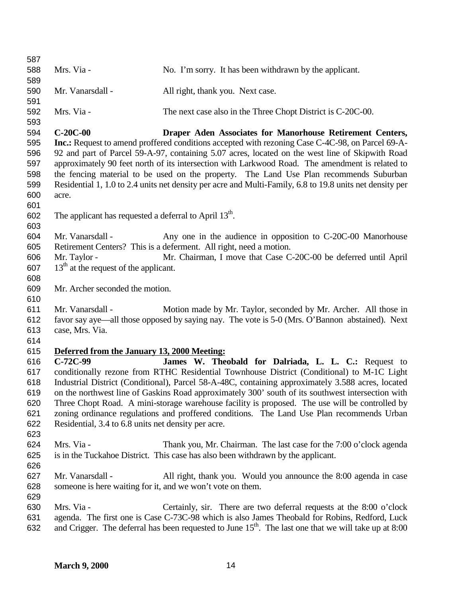| 587        |                                                            |                                                                                                                                                                                                    |
|------------|------------------------------------------------------------|----------------------------------------------------------------------------------------------------------------------------------------------------------------------------------------------------|
| 588<br>589 | Mrs. Via -                                                 | No. I'm sorry. It has been withdrawn by the applicant.                                                                                                                                             |
| 590        | Mr. Vanarsdall -                                           | All right, thank you. Next case.                                                                                                                                                                   |
| 591        |                                                            |                                                                                                                                                                                                    |
| 592        | Mrs. Via -                                                 | The next case also in the Three Chopt District is C-20C-00.                                                                                                                                        |
| 593        |                                                            |                                                                                                                                                                                                    |
| 594        | $C-20C-00$                                                 | Draper Aden Associates for Manorhouse Retirement Centers,                                                                                                                                          |
| 595        |                                                            | <b>Inc.:</b> Request to amend proffered conditions accepted with rezoning Case C-4C-98, on Parcel 69-A-                                                                                            |
| 596        |                                                            | 92 and part of Parcel 59-A-97, containing 5.07 acres, located on the west line of Skipwith Road                                                                                                    |
| 597        |                                                            | approximately 90 feet north of its intersection with Larkwood Road. The amendment is related to                                                                                                    |
| 598<br>599 |                                                            | the fencing material to be used on the property. The Land Use Plan recommends Suburban<br>Residential 1, 1.0 to 2.4 units net density per acre and Multi-Family, 6.8 to 19.8 units net density per |
| 600        | acre.                                                      |                                                                                                                                                                                                    |
| 601        |                                                            |                                                                                                                                                                                                    |
| 602        | The applicant has requested a deferral to April $13th$ .   |                                                                                                                                                                                                    |
| 603        |                                                            |                                                                                                                                                                                                    |
| 604        | Mr. Vanarsdall -                                           | Any one in the audience in opposition to C-20C-00 Manorhouse                                                                                                                                       |
| 605        |                                                            | Retirement Centers? This is a deferment. All right, need a motion.                                                                                                                                 |
| 606        | Mr. Taylor -                                               | Mr. Chairman, I move that Case C-20C-00 be deferred until April                                                                                                                                    |
| 607        | $13th$ at the request of the applicant.                    |                                                                                                                                                                                                    |
| 608        |                                                            |                                                                                                                                                                                                    |
| 609        | Mr. Archer seconded the motion.                            |                                                                                                                                                                                                    |
| 610        |                                                            |                                                                                                                                                                                                    |
| 611        | Mr. Vanarsdall -                                           | Motion made by Mr. Taylor, seconded by Mr. Archer. All those in                                                                                                                                    |
| 612        |                                                            | favor say aye—all those opposed by saying nay. The vote is 5-0 (Mrs. O'Bannon abstained). Next                                                                                                     |
| 613        | case, Mrs. Via.                                            |                                                                                                                                                                                                    |
| 614        |                                                            |                                                                                                                                                                                                    |
| 615        | Deferred from the January 13, 2000 Meeting:                |                                                                                                                                                                                                    |
| 616<br>617 | $C-72C-99$                                                 | James W. Theobald for Dalriada, L. L. C.: Request to<br>conditionally rezone from RTHC Residential Townhouse District (Conditional) to M-1C Light                                                  |
| 618        |                                                            | Industrial District (Conditional), Parcel 58-A-48C, containing approximately 3.588 acres, located                                                                                                  |
| 619        |                                                            | on the northwest line of Gaskins Road approximately 300' south of its southwest intersection with                                                                                                  |
| 620        |                                                            | Three Chopt Road. A mini-storage warehouse facility is proposed. The use will be controlled by                                                                                                     |
| 621        |                                                            | zoning ordinance regulations and proffered conditions. The Land Use Plan recommends Urban                                                                                                          |
| 622        | Residential, 3.4 to 6.8 units net density per acre.        |                                                                                                                                                                                                    |
| 623        |                                                            |                                                                                                                                                                                                    |
| 624        | Mrs. Via -                                                 | Thank you, Mr. Chairman. The last case for the 7:00 o'clock agenda                                                                                                                                 |
| 625        |                                                            | is in the Tuckahoe District. This case has also been withdrawn by the applicant.                                                                                                                   |
| 626        |                                                            |                                                                                                                                                                                                    |
| 627        | Mr. Vanarsdall -                                           | All right, thank you. Would you announce the 8:00 agenda in case                                                                                                                                   |
| 628        | someone is here waiting for it, and we won't vote on them. |                                                                                                                                                                                                    |
| 629        |                                                            |                                                                                                                                                                                                    |
| 630        | Mrs. Via -                                                 | Certainly, sir. There are two deferral requests at the 8:00 o'clock                                                                                                                                |
| 631        |                                                            | agenda. The first one is Case C-73C-98 which is also James Theobald for Robins, Redford, Luck                                                                                                      |
| 632        |                                                            | and Crigger. The deferral has been requested to June $15th$ . The last one that we will take up at 8:00                                                                                            |
|            |                                                            |                                                                                                                                                                                                    |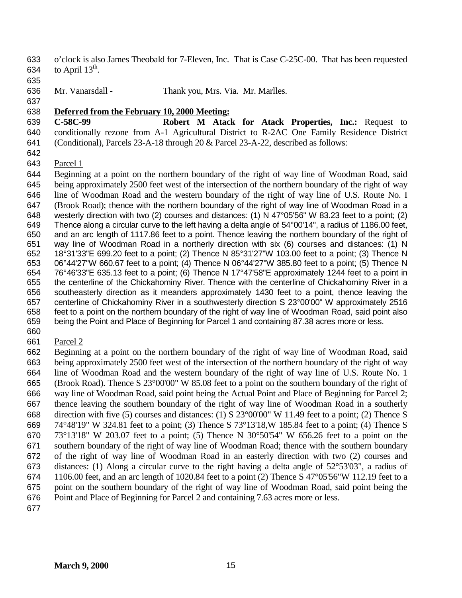- o'clock is also James Theobald for 7-Eleven, Inc. That is Case C-25C-00. That has been requested 634 to April  $13^{\text{th}}$ .
- 
- Mr. Vanarsdall Thank you, Mrs. Via. Mr. Marlles.
- 

## **Deferred from the February 10, 2000 Meeting:**

- **C-58C-99 Robert M Atack for Atack Properties, Inc.:** Request to conditionally rezone from A-1 Agricultural District to R-2AC One Family Residence District (Conditional), Parcels 23-A-18 through 20 & Parcel 23-A-22, described as follows:
- 
- Parcel 1

 Beginning at a point on the northern boundary of the right of way line of Woodman Road, said being approximately 2500 feet west of the intersection of the northern boundary of the right of way line of Woodman Road and the western boundary of the right of way line of U.S. Route No. I (Brook Road); thence with the northern boundary of the right of way line of Woodman Road in a westerly direction with two (2) courses and distances: (1) N 47°05'56" W 83.23 feet to a point; (2) Thence along a circular curve to the left having a delta angle of 54°00'14", a radius of 1186.00 feet, and an arc length of 1117.86 feet to a point. Thence leaving the northern boundary of the right of way line of Woodman Road in a northerly direction with six (6) courses and distances: (1) N 18°31'33"E 699.20 feet to a point; (2) Thence N 85°31'27"W 103.00 feet to a point; (3) Thence N 06°44'27"W 660.67 feet to a point; (4) Thence N 06°44'27"W 385.80 feet to a point; (5) Thence N 76°46'33"E 635.13 feet to a point; (6) Thence N 17°47'58"E approximately 1244 feet to a point in the centerline of the Chickahominy River. Thence with the centerline of Chickahominy River in a southeasterly direction as it meanders approximately 1430 feet to a point, thence leaving the centerline of Chickahominy River in a southwesterly direction S 23°00'00" W approximately 2516 feet to a point on the northern boundary of the right of way line of Woodman Road, said point also being the Point and Place of Beginning for Parcel 1 and containing 87.38 acres more or less.

- 
- Parcel 2

 Beginning at a point on the northern boundary of the right of way line of Woodman Road, said being approximately 2500 feet west of the intersection of the northern boundary of the right of way line of Woodman Road and the western boundary of the right of way line of U.S. Route No. 1 (Brook Road). Thence S 23°00'00" W 85.08 feet to a point on the southern boundary of the right of way line of Woodman Road, said point being the Actual Point and Place of Beginning for Parcel 2; thence leaving the southern boundary of the right of way line of Woodman Road in a southerly direction with five (5) courses and distances: (1) S 23°00'00" W 11.49 feet to a point; (2) Thence S 74°48'19" W 324.81 feet to a point; (3) Thence S 73°13'18,W 185.84 feet to a point; (4) Thence S 73°13'18" W 203.07 feet to a point; (5) Thence N 30°50'54" W 656.26 feet to a point on the southern boundary of the right of way line of Woodman Road; thence with the southern boundary of the right of way line of Woodman Road in an easterly direction with two (2) courses and distances: (1) Along a circular curve to the right having a delta angle of 52°53'03", a radius of 1106.00 feet, and an arc length of 1020.84 feet to a point (2) Thence S 47°05'56"W 112.19 feet to a point on the southern boundary of the right of way line of Woodman Road, said point being the Point and Place of Beginning for Parcel 2 and containing 7.63 acres more or less.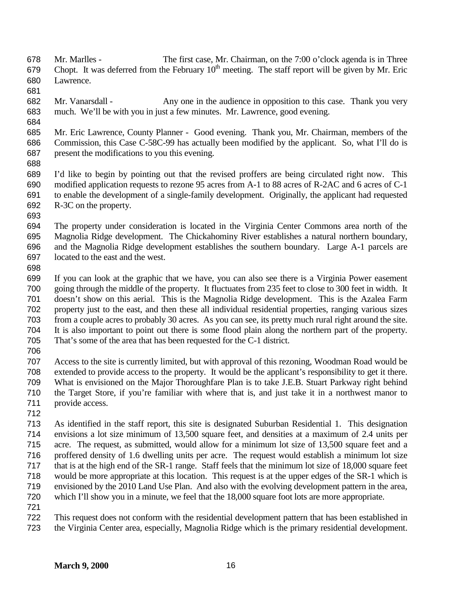- Mr. Marlles The first case, Mr. Chairman, on the 7:00 o'clock agenda is in Three 679 Chopt. It was deferred from the February  $10^{th}$  meeting. The staff report will be given by Mr. Eric Lawrence.
- 
- Mr. Vanarsdall Any one in the audience in opposition to this case. Thank you very much. We'll be with you in just a few minutes. Mr. Lawrence, good evening.
- 
- Mr. Eric Lawrence, County Planner Good evening. Thank you, Mr. Chairman, members of the Commission, this Case C-58C-99 has actually been modified by the applicant. So, what I'll do is present the modifications to you this evening.
- 

 I'd like to begin by pointing out that the revised proffers are being circulated right now. This modified application requests to rezone 95 acres from A-1 to 88 acres of R-2AC and 6 acres of C-1 to enable the development of a single-family development. Originally, the applicant had requested R-3C on the property.

 The property under consideration is located in the Virginia Center Commons area north of the Magnolia Ridge development. The Chickahominy River establishes a natural northern boundary, and the Magnolia Ridge development establishes the southern boundary. Large A-1 parcels are located to the east and the west.

 If you can look at the graphic that we have, you can also see there is a Virginia Power easement going through the middle of the property. It fluctuates from 235 feet to close to 300 feet in width. It doesn't show on this aerial. This is the Magnolia Ridge development. This is the Azalea Farm property just to the east, and then these all individual residential properties, ranging various sizes from a couple acres to probably 30 acres. As you can see, its pretty much rural right around the site. It is also important to point out there is some flood plain along the northern part of the property. That's some of the area that has been requested for the C-1 district.

 Access to the site is currently limited, but with approval of this rezoning, Woodman Road would be extended to provide access to the property. It would be the applicant's responsibility to get it there. What is envisioned on the Major Thoroughfare Plan is to take J.E.B. Stuart Parkway right behind the Target Store, if you're familiar with where that is, and just take it in a northwest manor to provide access.

 As identified in the staff report, this site is designated Suburban Residential 1. This designation envisions a lot size minimum of 13,500 square feet, and densities at a maximum of 2.4 units per acre. The request, as submitted, would allow for a minimum lot size of 13,500 square feet and a proffered density of 1.6 dwelling units per acre. The request would establish a minimum lot size that is at the high end of the SR-1 range. Staff feels that the minimum lot size of 18,000 square feet would be more appropriate at this location. This request is at the upper edges of the SR-1 which is envisioned by the 2010 Land Use Plan. And also with the evolving development pattern in the area, which I'll show you in a minute, we feel that the 18,000 square foot lots are more appropriate.

 This request does not conform with the residential development pattern that has been established in the Virginia Center area, especially, Magnolia Ridge which is the primary residential development.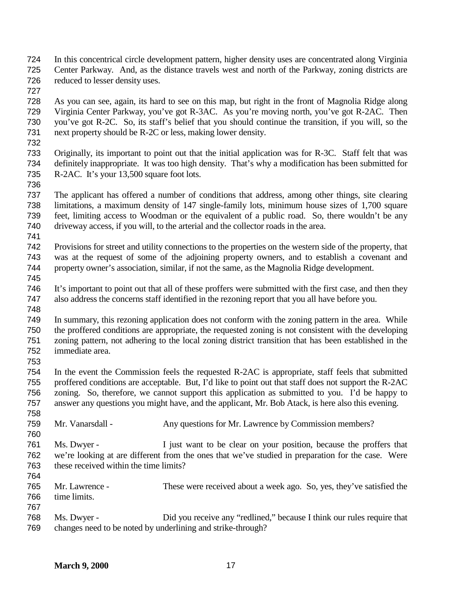- In this concentrical circle development pattern, higher density uses are concentrated along Virginia Center Parkway. And, as the distance travels west and north of the Parkway, zoning districts are reduced to lesser density uses.
- 

 As you can see, again, its hard to see on this map, but right in the front of Magnolia Ridge along Virginia Center Parkway, you've got R-3AC. As you're moving north, you've got R-2AC. Then you've got R-2C. So, its staff's belief that you should continue the transition, if you will, so the next property should be R-2C or less, making lower density.

- Originally, its important to point out that the initial application was for R-3C. Staff felt that was definitely inappropriate. It was too high density. That's why a modification has been submitted for R-2AC. It's your 13,500 square foot lots.
- The applicant has offered a number of conditions that address, among other things, site clearing limitations, a maximum density of 147 single-family lots, minimum house sizes of 1,700 square feet, limiting access to Woodman or the equivalent of a public road. So, there wouldn't be any driveway access, if you will, to the arterial and the collector roads in the area.
- 

 Provisions for street and utility connections to the properties on the western side of the property, that was at the request of some of the adjoining property owners, and to establish a covenant and property owner's association, similar, if not the same, as the Magnolia Ridge development. 

- It's important to point out that all of these proffers were submitted with the first case, and then they also address the concerns staff identified in the rezoning report that you all have before you.
- 

 In summary, this rezoning application does not conform with the zoning pattern in the area. While the proffered conditions are appropriate, the requested zoning is not consistent with the developing zoning pattern, not adhering to the local zoning district transition that has been established in the immediate area.

 In the event the Commission feels the requested R-2AC is appropriate, staff feels that submitted proffered conditions are acceptable. But, I'd like to point out that staff does not support the R-2AC zoning. So, therefore, we cannot support this application as submitted to you. I'd be happy to answer any questions you might have, and the applicant, Mr. Bob Atack, is here also this evening.

- Mr. Vanarsdall - Any questions for Mr. Lawrence by Commission members?
- Ms. Dwyer - I just want to be clear on your position, because the proffers that we're looking at are different from the ones that we've studied in preparation for the case. Were these received within the time limits?
- Mr. Lawrence - These were received about a week ago. So, yes, they've satisfied the time limits.
- Ms. Dwyer Did you receive any "redlined," because I think our rules require that changes need to be noted by underlining and strike-through?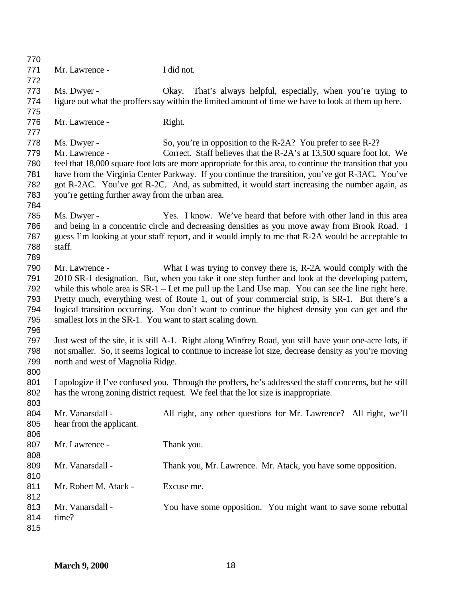| 770 |                                                            |                                                                                                           |
|-----|------------------------------------------------------------|-----------------------------------------------------------------------------------------------------------|
| 771 | Mr. Lawrence -                                             | I did not.                                                                                                |
| 772 |                                                            |                                                                                                           |
| 773 | Ms. Dwyer -                                                | That's always helpful, especially, when you're trying to<br>Okay.                                         |
| 774 |                                                            | figure out what the proffers say within the limited amount of time we have to look at them up here.       |
| 775 |                                                            |                                                                                                           |
| 776 | Mr. Lawrence -                                             | Right.                                                                                                    |
| 777 |                                                            |                                                                                                           |
| 778 | Ms. Dwyer -                                                | So, you're in opposition to the R-2A? You prefer to see R-2?                                              |
| 779 | Mr. Lawrence -                                             | Correct. Staff believes that the R-2A's at 13,500 square foot lot. We                                     |
| 780 |                                                            | feel that 18,000 square foot lots are more appropriate for this area, to continue the transition that you |
| 781 |                                                            | have from the Virginia Center Parkway. If you continue the transition, you've got R-3AC. You've           |
| 782 |                                                            | got R-2AC. You've got R-2C. And, as submitted, it would start increasing the number again, as             |
| 783 | you're getting further away from the urban area.           |                                                                                                           |
| 784 |                                                            |                                                                                                           |
| 785 | Ms. Dwyer -                                                | Yes. I know. We've heard that before with other land in this area                                         |
| 786 |                                                            | and being in a concentric circle and decreasing densities as you move away from Brook Road. I             |
| 787 |                                                            | guess I'm looking at your staff report, and it would imply to me that R-2A would be acceptable to         |
| 788 | staff.                                                     |                                                                                                           |
| 789 |                                                            |                                                                                                           |
| 790 | Mr. Lawrence -                                             | What I was trying to convey there is, R-2A would comply with the                                          |
| 791 |                                                            | 2010 SR-1 designation. But, when you take it one step further and look at the developing pattern,         |
| 792 |                                                            | while this whole area is $SR-1$ – Let me pull up the Land Use map. You can see the line right here.       |
| 793 |                                                            | Pretty much, everything west of Route 1, out of your commercial strip, is SR-1. But there's a             |
| 794 |                                                            | logical transition occurring. You don't want to continue the highest density you can get and the          |
| 795 | smallest lots in the SR-1. You want to start scaling down. |                                                                                                           |
| 796 |                                                            |                                                                                                           |
| 797 |                                                            | Just west of the site, it is still A-1. Right along Winfrey Road, you still have your one-acre lots, if   |
| 798 |                                                            | not smaller. So, it seems logical to continue to increase lot size, decrease density as you're moving     |
| 799 | north and west of Magnolia Ridge.                          |                                                                                                           |
| 800 |                                                            |                                                                                                           |
| 801 |                                                            | I apologize if I've confused you. Through the proffers, he's addressed the staff concerns, but he still   |
| 802 |                                                            | has the wrong zoning district request. We feel that the lot size is inappropriate.                        |
| 803 |                                                            |                                                                                                           |
| 804 | Mr. Vanarsdall -                                           | All right, any other questions for Mr. Lawrence? All right, we'll                                         |
| 805 | hear from the applicant.                                   |                                                                                                           |
| 806 |                                                            |                                                                                                           |
| 807 | Mr. Lawrence -                                             | Thank you.                                                                                                |
| 808 |                                                            |                                                                                                           |
| 809 | Mr. Vanarsdall -                                           | Thank you, Mr. Lawrence. Mr. Atack, you have some opposition.                                             |
| 810 |                                                            |                                                                                                           |
| 811 | Mr. Robert M. Atack -                                      | Excuse me.                                                                                                |
| 812 |                                                            |                                                                                                           |
| 813 | Mr. Vanarsdall -                                           | You have some opposition. You might want to save some rebuttal                                            |
| 814 | time?                                                      |                                                                                                           |
| 815 |                                                            |                                                                                                           |
|     |                                                            |                                                                                                           |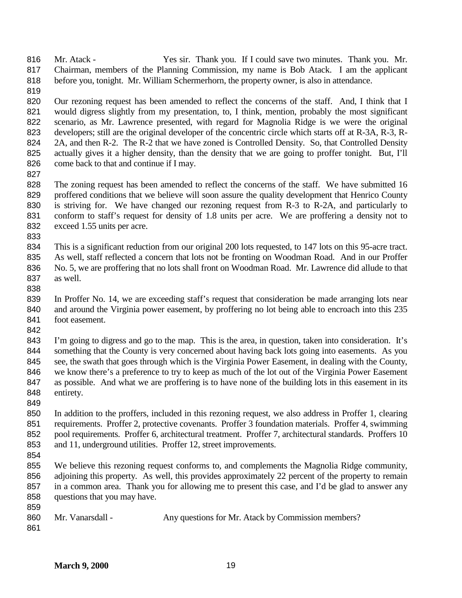Mr. Atack - Yes sir. Thank you. If I could save two minutes. Thank you. Mr. Chairman, members of the Planning Commission, my name is Bob Atack. I am the applicant before you, tonight. Mr. William Schermerhorn, the property owner, is also in attendance.

820 Our rezoning request has been amended to reflect the concerns of the staff. And, I think that I 821 would digress slightly from my presentation, to, I think, mention, probably the most significant scenario, as Mr. Lawrence presented, with regard for Magnolia Ridge is we were the original developers; still are the original developer of the concentric circle which starts off at R-3A, R-3, R-824 2A, and then R-2. The R-2 that we have zoned is Controlled Density. So, that Controlled Density actually gives it a higher density, than the density that we are going to proffer tonight. But, I'll 826 come back to that and continue if I may.

 The zoning request has been amended to reflect the concerns of the staff. We have submitted 16 829 proffered conditions that we believe will soon assure the quality development that Henrico County is striving for. We have changed our rezoning request from R-3 to R-2A, and particularly to conform to staff's request for density of 1.8 units per acre. We are proffering a density not to exceed 1.55 units per acre.

 This is a significant reduction from our original 200 lots requested, to 147 lots on this 95-acre tract. As well, staff reflected a concern that lots not be fronting on Woodman Road. And in our Proffer No. 5, we are proffering that no lots shall front on Woodman Road. Mr. Lawrence did allude to that as well.

 In Proffer No. 14, we are exceeding staff's request that consideration be made arranging lots near and around the Virginia power easement, by proffering no lot being able to encroach into this 235 foot easement. 

 I'm going to digress and go to the map. This is the area, in question, taken into consideration. It's 844 something that the County is very concerned about having back lots going into easements. As you see, the swath that goes through which is the Virginia Power Easement, in dealing with the County, we know there's a preference to try to keep as much of the lot out of the Virginia Power Easement as possible. And what we are proffering is to have none of the building lots in this easement in its entirety.

 In addition to the proffers, included in this rezoning request, we also address in Proffer 1, clearing requirements. Proffer 2, protective covenants. Proffer 3 foundation materials. Proffer 4, swimming pool requirements. Proffer 6, architectural treatment. Proffer 7, architectural standards. Proffers 10 and 11, underground utilities. Proffer 12, street improvements.

 We believe this rezoning request conforms to, and complements the Magnolia Ridge community, adjoining this property. As well, this provides approximately 22 percent of the property to remain in a common area. Thank you for allowing me to present this case, and I'd be glad to answer any questions that you may have. 

| 860 | Mr. Vanarsdall - | Any questions for Mr. Atack by Commission members? |
|-----|------------------|----------------------------------------------------|
| 861 |                  |                                                    |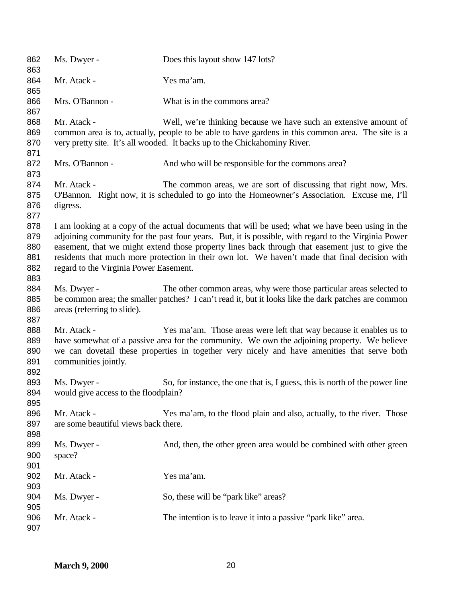| 862<br>863                             | Ms. Dwyer -                                         | Does this layout show 147 lots?                                                                                                                                                                                                                                                                                                                                                                              |
|----------------------------------------|-----------------------------------------------------|--------------------------------------------------------------------------------------------------------------------------------------------------------------------------------------------------------------------------------------------------------------------------------------------------------------------------------------------------------------------------------------------------------------|
| 864<br>865                             | Mr. Atack -                                         | Yes ma'am.                                                                                                                                                                                                                                                                                                                                                                                                   |
| 866<br>867                             | Mrs. O'Bannon -                                     | What is in the commons area?                                                                                                                                                                                                                                                                                                                                                                                 |
| 868<br>869<br>870<br>871               | Mr. Atack -                                         | Well, we're thinking because we have such an extensive amount of<br>common area is to, actually, people to be able to have gardens in this common area. The site is a<br>very pretty site. It's all wooded. It backs up to the Chickahominy River.                                                                                                                                                           |
| 872<br>873                             | Mrs. O'Bannon -                                     | And who will be responsible for the commons area?                                                                                                                                                                                                                                                                                                                                                            |
| 874<br>875<br>876<br>877               | Mr. Atack -<br>digress.                             | The common areas, we are sort of discussing that right now, Mrs.<br>O'Bannon. Right now, it is scheduled to go into the Homeowner's Association. Excuse me, I'll                                                                                                                                                                                                                                             |
| 878<br>879<br>880<br>881<br>882<br>883 | regard to the Virginia Power Easement.              | I am looking at a copy of the actual documents that will be used; what we have been using in the<br>adjoining community for the past four years. But, it is possible, with regard to the Virginia Power<br>easement, that we might extend those property lines back through that easement just to give the<br>residents that much more protection in their own lot. We haven't made that final decision with |
| 884<br>885<br>886<br>887               | Ms. Dwyer -<br>areas (referring to slide).          | The other common areas, why were those particular areas selected to<br>be common area; the smaller patches? I can't read it, but it looks like the dark patches are common                                                                                                                                                                                                                                   |
| 888<br>889<br>890<br>891<br>892        | Mr. Atack -<br>communities jointly.                 | Yes ma'am. Those areas were left that way because it enables us to<br>have somewhat of a passive area for the community. We own the adjoining property. We believe<br>we can dovetail these properties in together very nicely and have amenities that serve both                                                                                                                                            |
| 893<br>894<br>895                      | Ms. Dwyer -<br>would give access to the floodplain? | So, for instance, the one that is, I guess, this is north of the power line                                                                                                                                                                                                                                                                                                                                  |
| 896<br>897<br>898                      | Mr. Atack -<br>are some beautiful views back there. | Yes ma'am, to the flood plain and also, actually, to the river. Those                                                                                                                                                                                                                                                                                                                                        |
| 899<br>900<br>901                      | Ms. Dwyer -<br>space?                               | And, then, the other green area would be combined with other green                                                                                                                                                                                                                                                                                                                                           |
| 902<br>903                             | Mr. Atack -                                         | Yes ma'am.                                                                                                                                                                                                                                                                                                                                                                                                   |
| 904<br>905                             | Ms. Dwyer -                                         | So, these will be "park like" areas?                                                                                                                                                                                                                                                                                                                                                                         |
| 906<br>907                             | Mr. Atack -                                         | The intention is to leave it into a passive "park like" area.                                                                                                                                                                                                                                                                                                                                                |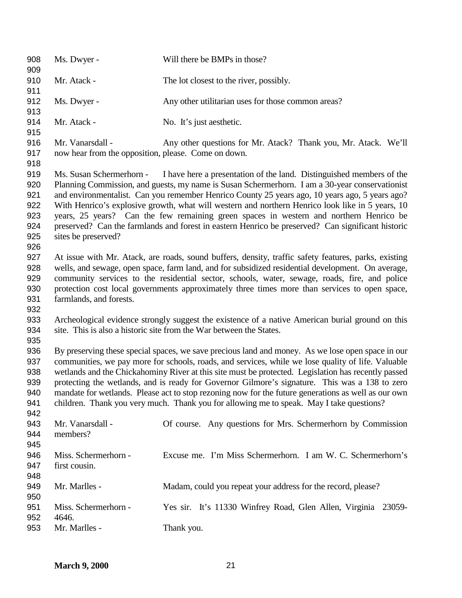| 908<br>909                                           | Ms. Dwyer -                                                                                                                                                                                                                                                                                                                                                                                                                                                                                                                                                                                                         | Will there be BMPs in those?                                                                                                                                                                                                                                                                                                                                                                                                                                                                                                                                                |
|------------------------------------------------------|---------------------------------------------------------------------------------------------------------------------------------------------------------------------------------------------------------------------------------------------------------------------------------------------------------------------------------------------------------------------------------------------------------------------------------------------------------------------------------------------------------------------------------------------------------------------------------------------------------------------|-----------------------------------------------------------------------------------------------------------------------------------------------------------------------------------------------------------------------------------------------------------------------------------------------------------------------------------------------------------------------------------------------------------------------------------------------------------------------------------------------------------------------------------------------------------------------------|
| 910<br>911                                           | Mr. Atack -                                                                                                                                                                                                                                                                                                                                                                                                                                                                                                                                                                                                         | The lot closest to the river, possibly.                                                                                                                                                                                                                                                                                                                                                                                                                                                                                                                                     |
| 912<br>913                                           | Ms. Dwyer -                                                                                                                                                                                                                                                                                                                                                                                                                                                                                                                                                                                                         | Any other utilitarian uses for those common areas?                                                                                                                                                                                                                                                                                                                                                                                                                                                                                                                          |
| 914<br>915                                           | Mr. Atack -                                                                                                                                                                                                                                                                                                                                                                                                                                                                                                                                                                                                         | No. It's just aesthetic.                                                                                                                                                                                                                                                                                                                                                                                                                                                                                                                                                    |
| 916<br>917<br>918                                    | Mr. Vanarsdall -<br>now hear from the opposition, please. Come on down.                                                                                                                                                                                                                                                                                                                                                                                                                                                                                                                                             | Any other questions for Mr. Atack? Thank you, Mr. Atack. We'll                                                                                                                                                                                                                                                                                                                                                                                                                                                                                                              |
| 919<br>920<br>921<br>922<br>923<br>924<br>925<br>926 | Ms. Susan Schermerhorn -<br>sites be preserved?                                                                                                                                                                                                                                                                                                                                                                                                                                                                                                                                                                     | I have here a presentation of the land. Distinguished members of the<br>Planning Commission, and guests, my name is Susan Schermerhorn. I am a 30-year conservationist<br>and environmentalist. Can you remember Henrico County 25 years ago, 10 years ago, 5 years ago?<br>With Henrico's explosive growth, what will western and northern Henrico look like in 5 years, 10<br>years, 25 years? Can the few remaining green spaces in western and northern Henrico be<br>preserved? Can the farmlands and forest in eastern Henrico be preserved? Can significant historic |
| 927<br>928<br>929<br>930<br>931<br>932               | farmlands, and forests.                                                                                                                                                                                                                                                                                                                                                                                                                                                                                                                                                                                             | At issue with Mr. Atack, are roads, sound buffers, density, traffic safety features, parks, existing<br>wells, and sewage, open space, farm land, and for subsidized residential development. On average,<br>community services to the residential sector, schools, water, sewage, roads, fire, and police<br>protection cost local governments approximately three times more than services to open space,                                                                                                                                                                 |
| 933<br>934<br>935                                    |                                                                                                                                                                                                                                                                                                                                                                                                                                                                                                                                                                                                                     | Archeological evidence strongly suggest the existence of a native American burial ground on this<br>site. This is also a historic site from the War between the States.                                                                                                                                                                                                                                                                                                                                                                                                     |
| 936<br>937<br>938<br>939<br>940<br>941<br>942        | By preserving these special spaces, we save precious land and money. As we lose open space in our<br>communities, we pay more for schools, roads, and services, while we lose quality of life. Valuable<br>wetlands and the Chickahominy River at this site must be protected. Legislation has recently passed<br>protecting the wetlands, and is ready for Governor Gilmore's signature. This was a 138 to zero<br>mandate for wetlands. Please act to stop rezoning now for the future generations as well as our own<br>children. Thank you very much. Thank you for allowing me to speak. May I take questions? |                                                                                                                                                                                                                                                                                                                                                                                                                                                                                                                                                                             |
| 943<br>944<br>945                                    | Mr. Vanarsdall -<br>members?                                                                                                                                                                                                                                                                                                                                                                                                                                                                                                                                                                                        | Of course. Any questions for Mrs. Schermerhorn by Commission                                                                                                                                                                                                                                                                                                                                                                                                                                                                                                                |
| 946<br>947<br>948                                    | Miss. Schermerhorn -<br>first cousin.                                                                                                                                                                                                                                                                                                                                                                                                                                                                                                                                                                               | Excuse me. I'm Miss Schermerhorn. I am W. C. Schermerhorn's                                                                                                                                                                                                                                                                                                                                                                                                                                                                                                                 |
| 949<br>950                                           | Mr. Marlles -                                                                                                                                                                                                                                                                                                                                                                                                                                                                                                                                                                                                       | Madam, could you repeat your address for the record, please?                                                                                                                                                                                                                                                                                                                                                                                                                                                                                                                |
| 951<br>952<br>953                                    | Miss. Schermerhorn -<br>4646.<br>Mr. Marlles -                                                                                                                                                                                                                                                                                                                                                                                                                                                                                                                                                                      | Yes sir. It's 11330 Winfrey Road, Glen Allen, Virginia 23059-<br>Thank you.                                                                                                                                                                                                                                                                                                                                                                                                                                                                                                 |
|                                                      |                                                                                                                                                                                                                                                                                                                                                                                                                                                                                                                                                                                                                     |                                                                                                                                                                                                                                                                                                                                                                                                                                                                                                                                                                             |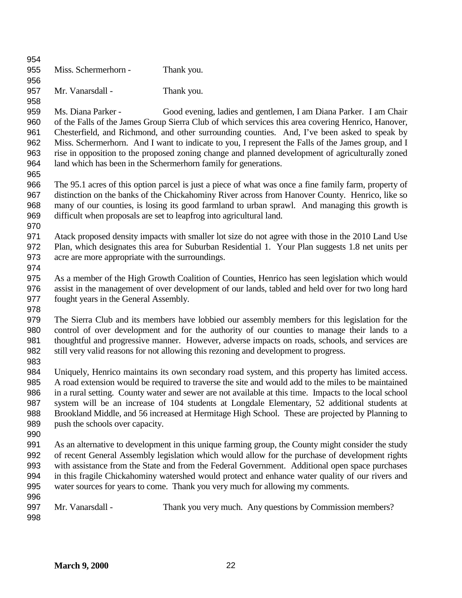| 954        |                                                                                                   |                                                                                                                                                                                                 |
|------------|---------------------------------------------------------------------------------------------------|-------------------------------------------------------------------------------------------------------------------------------------------------------------------------------------------------|
| 955        | Miss. Schermerhorn -                                                                              | Thank you.                                                                                                                                                                                      |
| 956        |                                                                                                   |                                                                                                                                                                                                 |
| 957        | Mr. Vanarsdall -                                                                                  | Thank you.                                                                                                                                                                                      |
| 958        |                                                                                                   |                                                                                                                                                                                                 |
| 959        | Ms. Diana Parker -                                                                                | Good evening, ladies and gentlemen, I am Diana Parker. I am Chair                                                                                                                               |
| 960        |                                                                                                   | of the Falls of the James Group Sierra Club of which services this area covering Henrico, Hanover,                                                                                              |
| 961        |                                                                                                   | Chesterfield, and Richmond, and other surrounding counties. And, I've been asked to speak by                                                                                                    |
| 962        |                                                                                                   | Miss. Schermerhorn. And I want to indicate to you, I represent the Falls of the James group, and I                                                                                              |
| 963        |                                                                                                   | rise in opposition to the proposed zoning change and planned development of agriculturally zoned                                                                                                |
| 964<br>965 |                                                                                                   | land which has been in the Schermerhorn family for generations.                                                                                                                                 |
| 966        |                                                                                                   | The 95.1 acres of this option parcel is just a piece of what was once a fine family farm, property of                                                                                           |
| 967        |                                                                                                   | distinction on the banks of the Chickahominy River across from Hanover County. Henrico, like so                                                                                                 |
| 968        |                                                                                                   | many of our counties, is losing its good farmland to urban sprawl. And managing this growth is                                                                                                  |
| 969        |                                                                                                   | difficult when proposals are set to leapfrog into agricultural land.                                                                                                                            |
| 970        |                                                                                                   |                                                                                                                                                                                                 |
| 971        |                                                                                                   | Atack proposed density impacts with smaller lot size do not agree with those in the 2010 Land Use                                                                                               |
| 972        |                                                                                                   | Plan, which designates this area for Suburban Residential 1. Your Plan suggests 1.8 net units per                                                                                               |
| 973        | acre are more appropriate with the surroundings.                                                  |                                                                                                                                                                                                 |
| 974        |                                                                                                   |                                                                                                                                                                                                 |
| 975        |                                                                                                   | As a member of the High Growth Coalition of Counties, Henrico has seen legislation which would                                                                                                  |
| 976        | assist in the management of over development of our lands, tabled and held over for two long hard |                                                                                                                                                                                                 |
| 977        | fought years in the General Assembly.                                                             |                                                                                                                                                                                                 |
| 978        |                                                                                                   |                                                                                                                                                                                                 |
| 979        |                                                                                                   | The Sierra Club and its members have lobbied our assembly members for this legislation for the                                                                                                  |
| 980<br>981 |                                                                                                   | control of over development and for the authority of our counties to manage their lands to a<br>thoughtful and progressive manner. However, adverse impacts on roads, schools, and services are |
| 982        |                                                                                                   | still very valid reasons for not allowing this rezoning and development to progress.                                                                                                            |
| 983        |                                                                                                   |                                                                                                                                                                                                 |
| 984        |                                                                                                   | Uniquely, Henrico maintains its own secondary road system, and this property has limited access.                                                                                                |
| 985        |                                                                                                   | A road extension would be required to traverse the site and would add to the miles to be maintained                                                                                             |
| 986        |                                                                                                   | in a rural setting. County water and sewer are not available at this time. Impacts to the local school                                                                                          |
| 987        |                                                                                                   | system will be an increase of 104 students at Longdale Elementary, 52 additional students at                                                                                                    |
| 988        |                                                                                                   | Brookland Middle, and 56 increased at Hermitage High School. These are projected by Planning to                                                                                                 |
| 989        | push the schools over capacity.                                                                   |                                                                                                                                                                                                 |
| 990        |                                                                                                   |                                                                                                                                                                                                 |
| 991        |                                                                                                   | As an alternative to development in this unique farming group, the County might consider the study                                                                                              |
| 992        |                                                                                                   | of recent General Assembly legislation which would allow for the purchase of development rights                                                                                                 |
| 993        |                                                                                                   | with assistance from the State and from the Federal Government. Additional open space purchases                                                                                                 |
| 994        |                                                                                                   | in this fragile Chickahominy watershed would protect and enhance water quality of our rivers and                                                                                                |
| 995<br>996 |                                                                                                   | water sources for years to come. Thank you very much for allowing my comments.                                                                                                                  |
| 997        | Mr. Vanarsdall -                                                                                  | Thank you very much. Any questions by Commission members?                                                                                                                                       |
| 998        |                                                                                                   |                                                                                                                                                                                                 |
|            |                                                                                                   |                                                                                                                                                                                                 |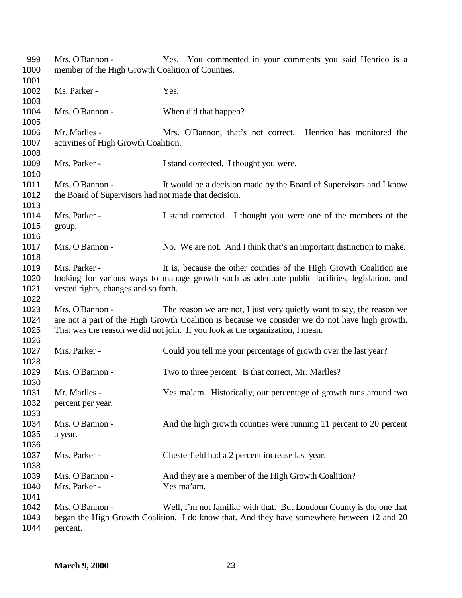Mrs. O'Bannon - Yes. You commented in your comments you said Henrico is a member of the High Growth Coalition of Counties. 1002 Ms. Parker - Yes. 1004 Mrs. O'Bannon - When did that happen? Mr. Marlles - Mrs. O'Bannon, that's not correct. Henrico has monitored the activities of High Growth Coalition. 1009 Mrs. Parker - I stand corrected. I thought you were. Mrs. O'Bannon - It would be a decision made by the Board of Supervisors and I know 1012 the Board of Supervisors had not made that decision. Mrs. Parker - I stand corrected. I thought you were one of the members of the group. 1017 Mrs. O'Bannon - No. We are not. And I think that's an important distinction to make. Mrs. Parker - It is, because the other counties of the High Growth Coalition are looking for various ways to manage growth such as adequate public facilities, legislation, and vested rights, changes and so forth. Mrs. O'Bannon - The reason we are not, I just very quietly want to say, the reason we are not a part of the High Growth Coalition is because we consider we do not have high growth. That was the reason we did not join. If you look at the organization, I mean. Mrs. Parker - Could you tell me your percentage of growth over the last year? 1029 Mrs. O'Bannon - Two to three percent. Is that correct, Mr. Marlles? Mr. Marlles - Yes ma'am. Historically, our percentage of growth runs around two percent per year. Mrs. O'Bannon - And the high growth counties were running 11 percent to 20 percent a year. Mrs. Parker - Chesterfield had a 2 percent increase last year. Mrs. O'Bannon - And they are a member of the High Growth Coalition? 1040 Mrs. Parker - Yes ma'am. Mrs. O'Bannon - Well, I'm not familiar with that. But Loudoun County is the one that began the High Growth Coalition. I do know that. And they have somewhere between 12 and 20 percent.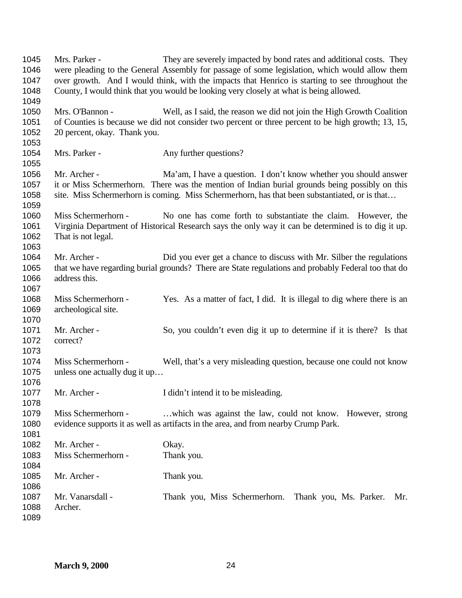Mrs. Parker - They are severely impacted by bond rates and additional costs. They were pleading to the General Assembly for passage of some legislation, which would allow them over growth. And I would think, with the impacts that Henrico is starting to see throughout the County, I would think that you would be looking very closely at what is being allowed. Mrs. O'Bannon - Well, as I said, the reason we did not join the High Growth Coalition of Counties is because we did not consider two percent or three percent to be high growth; 13, 15, 20 percent, okay. Thank you. 1054 Mrs. Parker - Any further questions? Mr. Archer - Ma'am, I have a question. I don't know whether you should answer it or Miss Schermerhorn. There was the mention of Indian burial grounds being possibly on this 1058 site. Miss Schermerhorn is coming. Miss Schermerhorn, has that been substantiated, or is that... Miss Schermerhorn - No one has come forth to substantiate the claim. However, the Virginia Department of Historical Research says the only way it can be determined is to dig it up. That is not legal. 1064 Mr. Archer - Did you ever get a chance to discuss with Mr. Silber the regulations that we have regarding burial grounds? There are State regulations and probably Federal too that do address this. Miss Schermerhorn - Yes. As a matter of fact, I did. It is illegal to dig where there is an archeological site. Mr. Archer - So, you couldn't even dig it up to determine if it is there? Is that correct? Miss Schermerhorn - Well, that's a very misleading question, because one could not know unless one actually dug it up… 1077 Mr. Archer - I didn't intend it to be misleading. Miss Schermerhorn - …which was against the law, could not know. However, strong evidence supports it as well as artifacts in the area, and from nearby Crump Park. 1082 Mr. Archer - Okay. 1083 Miss Schermerhorn - Thank you. 1085 Mr. Archer - Thank you. Mr. Vanarsdall - Thank you, Miss Schermerhorn. Thank you, Ms. Parker. Mr. Archer.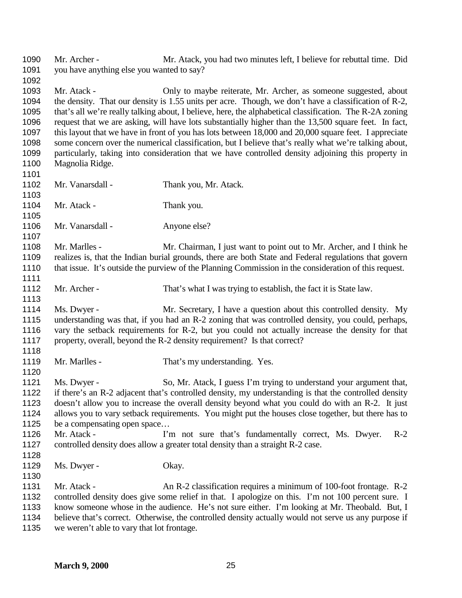Mr. Archer - Mr. Atack, you had two minutes left, I believe for rebuttal time. Did you have anything else you wanted to say? Mr. Atack - Only to maybe reiterate, Mr. Archer, as someone suggested, about the density. That our density is 1.55 units per acre. Though, we don't have a classification of R-2, that's all we're really talking about, I believe, here, the alphabetical classification. The R-2A zoning request that we are asking, will have lots substantially higher than the 13,500 square feet. In fact, this layout that we have in front of you has lots between 18,000 and 20,000 square feet. I appreciate some concern over the numerical classification, but I believe that's really what we're talking about, particularly, taking into consideration that we have controlled density adjoining this property in Magnolia Ridge. 1102 Mr. Vanarsdall - Thank you, Mr. Atack. 1104 Mr. Atack - Thank you. 1106 Mr. Vanarsdall - Anyone else? Mr. Marlles - Mr. Chairman, I just want to point out to Mr. Archer, and I think he realizes is, that the Indian burial grounds, there are both State and Federal regulations that govern that issue. It's outside the purview of the Planning Commission in the consideration of this request. 1112 Mr. Archer - That's what I was trying to establish, the fact it is State law. Ms. Dwyer - Mr. Secretary, I have a question about this controlled density. My understanding was that, if you had an R-2 zoning that was controlled density, you could, perhaps, vary the setback requirements for R-2, but you could not actually increase the density for that property, overall, beyond the R-2 density requirement? Is that correct? 1119 Mr. Marlles - That's my understanding. Yes. Ms. Dwyer - So, Mr. Atack, I guess I'm trying to understand your argument that, if there's an R-2 adjacent that's controlled density, my understanding is that the controlled density doesn't allow you to increase the overall density beyond what you could do with an R-2. It just allows you to vary setback requirements. You might put the houses close together, but there has to 1125 be a compensating open space... 1126 Mr. Atack - I'm not sure that's fundamentally correct, Ms. Dwyer. R-2 controlled density does allow a greater total density than a straight R-2 case. 1129 Ms. Dwyer - Okay. 1131 Mr. Atack - An R-2 classification requires a minimum of 100-foot frontage. R-2 controlled density does give some relief in that. I apologize on this. I'm not 100 percent sure. I know someone whose in the audience. He's not sure either. I'm looking at Mr. Theobald. But, I believe that's correct. Otherwise, the controlled density actually would not serve us any purpose if we weren't able to vary that lot frontage.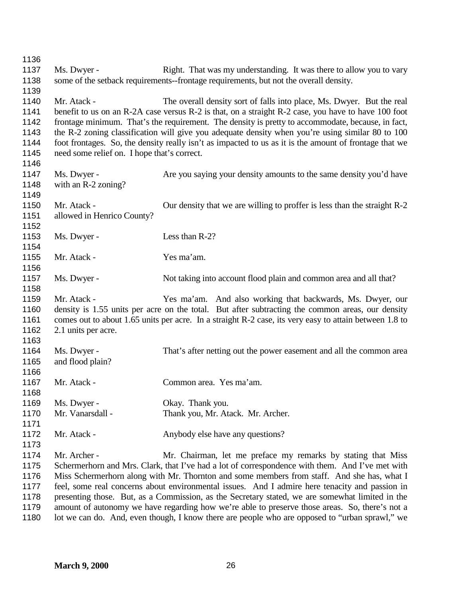| 1136<br>1137                                         |                                                            |                                                                                                                                                                                                                                                                                                                                                                                                                                                                                                 |
|------------------------------------------------------|------------------------------------------------------------|-------------------------------------------------------------------------------------------------------------------------------------------------------------------------------------------------------------------------------------------------------------------------------------------------------------------------------------------------------------------------------------------------------------------------------------------------------------------------------------------------|
| 1138<br>1139                                         | Ms. Dwyer -                                                | Right. That was my understanding. It was there to allow you to vary<br>some of the setback requirements--frontage requirements, but not the overall density.                                                                                                                                                                                                                                                                                                                                    |
| 1140<br>1141<br>1142<br>1143<br>1144<br>1145<br>1146 | Mr. Atack -<br>need some relief on. I hope that's correct. | The overall density sort of falls into place, Ms. Dwyer. But the real<br>benefit to us on an R-2A case versus R-2 is that, on a straight R-2 case, you have to have 100 foot<br>frontage minimum. That's the requirement. The density is pretty to accommodate, because, in fact,<br>the R-2 zoning classification will give you adequate density when you're using similar 80 to 100<br>foot frontages. So, the density really isn't as impacted to us as it is the amount of frontage that we |
| 1147<br>1148<br>1149                                 | Ms. Dwyer -<br>with an R-2 zoning?                         | Are you saying your density amounts to the same density you'd have                                                                                                                                                                                                                                                                                                                                                                                                                              |
| 1150<br>1151<br>1152                                 | Mr. Atack -<br>allowed in Henrico County?                  | Our density that we are willing to proffer is less than the straight R-2                                                                                                                                                                                                                                                                                                                                                                                                                        |
| 1153<br>1154                                         | Ms. Dwyer -                                                | Less than R-2?                                                                                                                                                                                                                                                                                                                                                                                                                                                                                  |
| 1155<br>1156                                         | Mr. Atack -                                                | Yes ma'am.                                                                                                                                                                                                                                                                                                                                                                                                                                                                                      |
| 1157<br>1158                                         | Ms. Dwyer -                                                | Not taking into account flood plain and common area and all that?                                                                                                                                                                                                                                                                                                                                                                                                                               |
| 1159<br>1160<br>1161<br>1162<br>1163                 | Mr. Atack -<br>2.1 units per acre.                         | Yes ma'am. And also working that backwards, Ms. Dwyer, our<br>density is 1.55 units per acre on the total. But after subtracting the common areas, our density<br>comes out to about 1.65 units per acre. In a straight R-2 case, its very easy to attain between 1.8 to                                                                                                                                                                                                                        |
| 1164<br>1165<br>1166                                 | Ms. Dwyer -<br>and flood plain?                            | That's after netting out the power easement and all the common area                                                                                                                                                                                                                                                                                                                                                                                                                             |
| 1167<br>1168                                         | Mr. Atack -                                                | Common area. Yes ma'am.                                                                                                                                                                                                                                                                                                                                                                                                                                                                         |
| 1169                                                 | Ms. Dwyer -                                                | Okay. Thank you.                                                                                                                                                                                                                                                                                                                                                                                                                                                                                |
| 1170<br>1171                                         | Mr. Vanarsdall -                                           | Thank you, Mr. Atack. Mr. Archer.                                                                                                                                                                                                                                                                                                                                                                                                                                                               |
| 1172<br>1173                                         | Mr. Atack -                                                | Anybody else have any questions?                                                                                                                                                                                                                                                                                                                                                                                                                                                                |
| 1174                                                 | Mr. Archer -                                               | Mr. Chairman, let me preface my remarks by stating that Miss                                                                                                                                                                                                                                                                                                                                                                                                                                    |
| 1175                                                 |                                                            | Schermerhorn and Mrs. Clark, that I've had a lot of correspondence with them. And I've met with                                                                                                                                                                                                                                                                                                                                                                                                 |
| 1176                                                 |                                                            | Miss Schermerhorn along with Mr. Thornton and some members from staff. And she has, what I                                                                                                                                                                                                                                                                                                                                                                                                      |
| 1177                                                 |                                                            | feel, some real concerns about environmental issues. And I admire here tenacity and passion in                                                                                                                                                                                                                                                                                                                                                                                                  |
| 1178                                                 |                                                            | presenting those. But, as a Commission, as the Secretary stated, we are somewhat limited in the                                                                                                                                                                                                                                                                                                                                                                                                 |
| 1179                                                 |                                                            | amount of autonomy we have regarding how we're able to preserve those areas. So, there's not a                                                                                                                                                                                                                                                                                                                                                                                                  |
| 1180                                                 |                                                            | lot we can do. And, even though, I know there are people who are opposed to "urban sprawl," we                                                                                                                                                                                                                                                                                                                                                                                                  |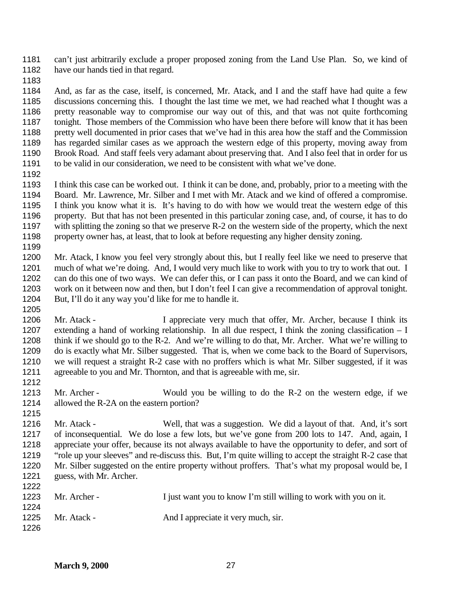can't just arbitrarily exclude a proper proposed zoning from the Land Use Plan. So, we kind of 1182 have our hands tied in that regard.

 And, as far as the case, itself, is concerned, Mr. Atack, and I and the staff have had quite a few discussions concerning this. I thought the last time we met, we had reached what I thought was a pretty reasonable way to compromise our way out of this, and that was not quite forthcoming tonight. Those members of the Commission who have been there before will know that it has been pretty well documented in prior cases that we've had in this area how the staff and the Commission has regarded similar cases as we approach the western edge of this property, moving away from Brook Road. And staff feels very adamant about preserving that. And I also feel that in order for us to be valid in our consideration, we need to be consistent with what we've done.

 I think this case can be worked out. I think it can be done, and, probably, prior to a meeting with the Board. Mr. Lawrence, Mr. Silber and I met with Mr. Atack and we kind of offered a compromise. I think you know what it is. It's having to do with how we would treat the western edge of this property. But that has not been presented in this particular zoning case, and, of course, it has to do with splitting the zoning so that we preserve R-2 on the western side of the property, which the next property owner has, at least, that to look at before requesting any higher density zoning. 

 Mr. Atack, I know you feel very strongly about this, but I really feel like we need to preserve that much of what we're doing. And, I would very much like to work with you to try to work that out. I can do this one of two ways. We can defer this, or I can pass it onto the Board, and we can kind of work on it between now and then, but I don't feel I can give a recommendation of approval tonight. But, I'll do it any way you'd like for me to handle it.

1206 Mr. Atack - I appreciate very much that offer, Mr. Archer, because I think its extending a hand of working relationship. In all due respect, I think the zoning classification – I think if we should go to the R-2. And we're willing to do that, Mr. Archer. What we're willing to do is exactly what Mr. Silber suggested. That is, when we come back to the Board of Supervisors, we will request a straight R-2 case with no proffers which is what Mr. Silber suggested, if it was agreeable to you and Mr. Thornton, and that is agreeable with me, sir. 

1213 Mr. Archer - Would you be willing to do the R-2 on the western edge, if we allowed the R-2A on the eastern portion?

 Mr. Atack - Well, that was a suggestion. We did a layout of that. And, it's sort of inconsequential. We do lose a few lots, but we've gone from 200 lots to 147. And, again, I appreciate your offer, because its not always available to have the opportunity to defer, and sort of "role up your sleeves" and re-discuss this. But, I'm quite willing to accept the straight R-2 case that Mr. Silber suggested on the entire property without proffers. That's what my proposal would be, I guess, with Mr. Archer. 

| 144 L |              |                                                                   |
|-------|--------------|-------------------------------------------------------------------|
| 1223  | Mr. Archer - | I just want you to know I'm still willing to work with you on it. |
| 1224  |              |                                                                   |
| 1225  | Mr. Atack -  | And I appreciate it very much, sir.                               |
| 1226  |              |                                                                   |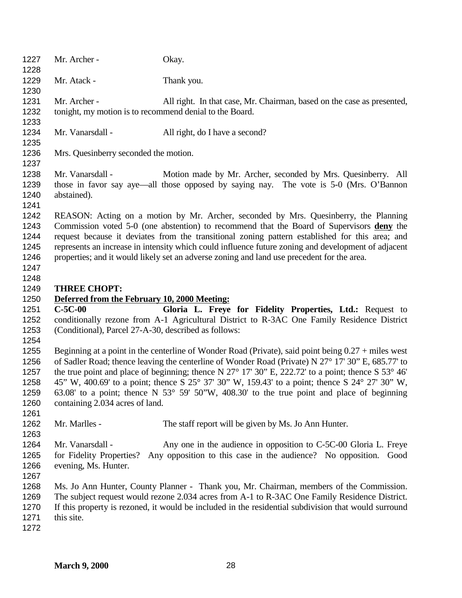| 1227<br>1228                                         | Mr. Archer -                                                            | Okay.                                                                                                                                                                                                                                                                                                                                                                                                                                                                                                                       |
|------------------------------------------------------|-------------------------------------------------------------------------|-----------------------------------------------------------------------------------------------------------------------------------------------------------------------------------------------------------------------------------------------------------------------------------------------------------------------------------------------------------------------------------------------------------------------------------------------------------------------------------------------------------------------------|
| 1229<br>1230                                         | Mr. Atack -                                                             | Thank you.                                                                                                                                                                                                                                                                                                                                                                                                                                                                                                                  |
| 1231<br>1232<br>1233                                 | Mr. Archer -<br>tonight, my motion is to recommend denial to the Board. | All right. In that case, Mr. Chairman, based on the case as presented,                                                                                                                                                                                                                                                                                                                                                                                                                                                      |
| 1234<br>1235                                         | Mr. Vanarsdall -                                                        | All right, do I have a second?                                                                                                                                                                                                                                                                                                                                                                                                                                                                                              |
| 1236<br>1237                                         | Mrs. Quesinberry seconded the motion.                                   |                                                                                                                                                                                                                                                                                                                                                                                                                                                                                                                             |
| 1238<br>1239<br>1240<br>1241                         | Mr. Vanarsdall -<br>abstained).                                         | Motion made by Mr. Archer, seconded by Mrs. Quesinberry. All<br>those in favor say aye—all those opposed by saying nay. The vote is 5-0 (Mrs. O'Bannon                                                                                                                                                                                                                                                                                                                                                                      |
| 1242<br>1243<br>1244<br>1245<br>1246<br>1247<br>1248 |                                                                         | REASON: Acting on a motion by Mr. Archer, seconded by Mrs. Quesinberry, the Planning<br>Commission voted 5-0 (one abstention) to recommend that the Board of Supervisors deny the<br>request because it deviates from the transitional zoning pattern established for this area; and<br>represents an increase in intensity which could influence future zoning and development of adjacent<br>properties; and it would likely set an adverse zoning and land use precedent for the area.                                   |
| 1249                                                 | <b>THREE CHOPT:</b>                                                     |                                                                                                                                                                                                                                                                                                                                                                                                                                                                                                                             |
| 1250                                                 | Deferred from the February 10, 2000 Meeting:                            |                                                                                                                                                                                                                                                                                                                                                                                                                                                                                                                             |
| 1251                                                 | $C-5C-00$                                                               | Gloria L. Freye for Fidelity Properties, Ltd.: Request to                                                                                                                                                                                                                                                                                                                                                                                                                                                                   |
| 1252<br>1253<br>1254                                 | (Conditional), Parcel 27-A-30, described as follows:                    | conditionally rezone from A-1 Agricultural District to R-3AC One Family Residence District                                                                                                                                                                                                                                                                                                                                                                                                                                  |
| 1255<br>1256<br>1257<br>1258<br>1259<br>1260<br>1261 | containing 2.034 acres of land.                                         | Beginning at a point in the centerline of Wonder Road (Private), said point being $0.27 +$ miles west<br>of Sadler Road; thence leaving the centerline of Wonder Road (Private) N 27° 17' 30" E, 685.77' to<br>the true point and place of beginning; thence N 27° 17′ 30″ E, 222.72′ to a point; thence S 53° 46′<br>45" W, 400.69' to a point; thence S 25° 37' 30" W, 159.43' to a point; thence S 24° 27' 30" W,<br>63.08' to a point; thence N $53^{\circ}$ 59' 50"W, 408.30' to the true point and place of beginning |
| 1262<br>1263                                         | Mr. Marlles -                                                           | The staff report will be given by Ms. Jo Ann Hunter.                                                                                                                                                                                                                                                                                                                                                                                                                                                                        |
| 1264<br>1265<br>1266<br>1267                         | Mr. Vanarsdall -<br>for Fidelity Properties?<br>evening, Ms. Hunter.    | Any one in the audience in opposition to C-5C-00 Gloria L. Freye<br>Any opposition to this case in the audience? No opposition. Good                                                                                                                                                                                                                                                                                                                                                                                        |
| 1268<br>1269<br>1270<br>1271<br>1272                 | this site.                                                              | Ms. Jo Ann Hunter, County Planner - Thank you, Mr. Chairman, members of the Commission.<br>The subject request would rezone 2.034 acres from A-1 to R-3AC One Family Residence District.<br>If this property is rezoned, it would be included in the residential subdivision that would surround                                                                                                                                                                                                                            |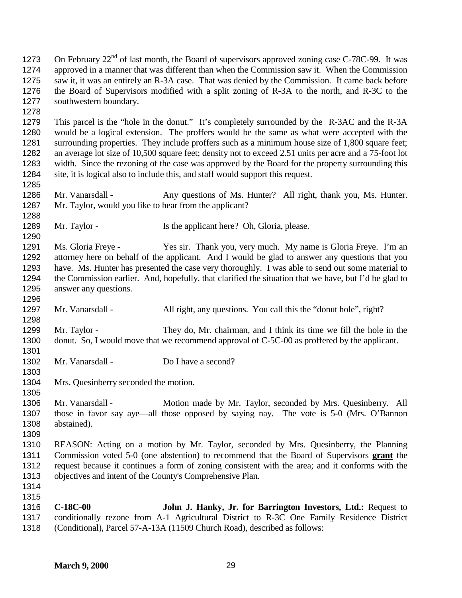1273 On February  $22^{nd}$  of last month, the Board of supervisors approved zoning case C-78C-99. It was approved in a manner that was different than when the Commission saw it. When the Commission saw it, it was an entirely an R-3A case. That was denied by the Commission. It came back before the Board of Supervisors modified with a split zoning of R-3A to the north, and R-3C to the southwestern boundary. This parcel is the "hole in the donut." It's completely surrounded by the R-3AC and the R-3A would be a logical extension. The proffers would be the same as what were accepted with the 1281 surrounding properties. They include proffers such as a minimum house size of 1,800 square feet; an average lot size of 10,500 square feet; density not to exceed 2.51 units per acre and a 75-foot lot width. Since the rezoning of the case was approved by the Board for the property surrounding this site, it is logical also to include this, and staff would support this request. 1286 Mr. Vanarsdall - Any questions of Ms. Hunter? All right, thank you, Ms. Hunter. Mr. Taylor, would you like to hear from the applicant? 1289 Mr. Taylor - Is the applicant here? Oh, Gloria, please. Ms. Gloria Freye - Yes sir. Thank you, very much. My name is Gloria Freye. I'm an attorney here on behalf of the applicant. And I would be glad to answer any questions that you have. Ms. Hunter has presented the case very thoroughly. I was able to send out some material to the Commission earlier. And, hopefully, that clarified the situation that we have, but I'd be glad to answer any questions. Mr. Vanarsdall - All right, any questions. You call this the "donut hole", right? Mr. Taylor - They do, Mr. chairman, and I think its time we fill the hole in the 1300 donut. So, I would move that we recommend approval of C-5C-00 as proffered by the applicant. 1302 Mr. Vanarsdall - Do I have a second? Mrs. Quesinberry seconded the motion. 1306 Mr. Vanarsdall - Motion made by Mr. Taylor, seconded by Mrs. Quesinberry. All those in favor say aye—all those opposed by saying nay. The vote is 5-0 (Mrs. O'Bannon abstained). REASON: Acting on a motion by Mr. Taylor, seconded by Mrs. Quesinberry, the Planning Commission voted 5-0 (one abstention) to recommend that the Board of Supervisors **grant** the request because it continues a form of zoning consistent with the area; and it conforms with the objectives and intent of the County's Comprehensive Plan. **C-18C-00 John J. Hanky, Jr. for Barrington Investors, Ltd.:** Request to conditionally rezone from A-1 Agricultural District to R-3C One Family Residence District (Conditional), Parcel 57-A-13A (11509 Church Road), described as follows: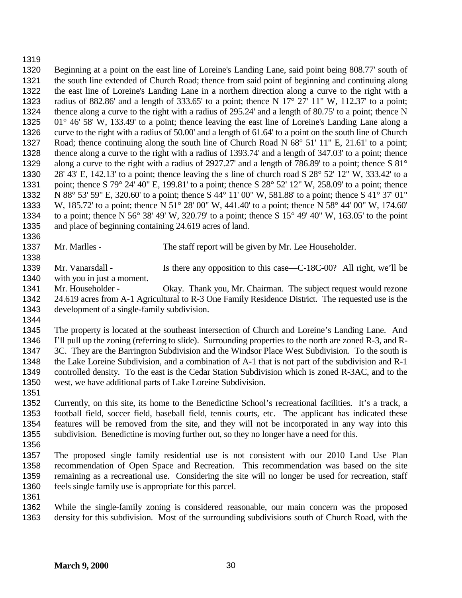#### 

 Beginning at a point on the east line of Loreine's Landing Lane, said point being 808.77' south of the south line extended of Church Road; thence from said point of beginning and continuing along the east line of Loreine's Landing Lane in a northern direction along a curve to the right with a radius of 882.86' and a length of 333.65' to a point; thence N 17° 27' 11" W, 112.37' to a point; thence along a curve to the right with a radius of 295.24' and a length of 80.75' to a point; thence N 01° 46' 58' W, 133.49' to a point; thence leaving the east line of Loreine's Landing Lane along a curve to the right with a radius of 50.00' and a length of 61.64' to a point on the south line of Church Road; thence continuing along the south line of Church Road N 68° 51' 11" E, 21.61' to a point; thence along a curve to the right with a radius of 1393.74' and a length of 347.03' to a point; thence along a curve to the right with a radius of 2927.27' and a length of 786.89' to a point; thence S 81° 28' 43' E, 142.13' to a point; thence leaving the s line of church road S 28° 52' 12" W, 333.42' to a point; thence S 79° 24' 40" E, 199.81' to a point; thence S 28° 52' 12" W, 258.09' to a point; thence N 88° 53' 59" E, 320.60' to a point; thence S 44° 11' 00" W, 581.88' to a point; thence S 41° 37' 01" W, 185.72' to a point; thence N 51° 28' 00" W, 441.40' to a point; thence N 58° 44' 00" W, 174.60' to a point; thence N 56° 38' 49' W, 320.79' to a point; thence S 15° 49' 40" W, 163.05' to the point and place of beginning containing 24.619 acres of land.

1337 Mr. Marlles - The staff report will be given by Mr. Lee Householder.

1339 Mr. Vanarsdall - Is there any opposition to this case—C-18C-00? All right, we'll be

1340 with you in just a moment.<br>1341 Mr. Householder - Mr. Householder - Okay. Thank you, Mr. Chairman. The subject request would rezone 24.619 acres from A-1 Agricultural to R-3 One Family Residence District. The requested use is the development of a single-family subdivision.

 The property is located at the southeast intersection of Church and Loreine's Landing Lane. And I'll pull up the zoning (referring to slide). Surrounding properties to the north are zoned R-3, and R- 3C. They are the Barrington Subdivision and the Windsor Place West Subdivision. To the south is the Lake Loreine Subdivision, and a combination of A-1 that is not part of the subdivision and R-1 controlled density. To the east is the Cedar Station Subdivision which is zoned R-3AC, and to the west, we have additional parts of Lake Loreine Subdivision.

 Currently, on this site, its home to the Benedictine School's recreational facilities. It's a track, a football field, soccer field, baseball field, tennis courts, etc. The applicant has indicated these features will be removed from the site, and they will not be incorporated in any way into this subdivision. Benedictine is moving further out, so they no longer have a need for this.

 The proposed single family residential use is not consistent with our 2010 Land Use Plan recommendation of Open Space and Recreation. This recommendation was based on the site remaining as a recreational use. Considering the site will no longer be used for recreation, staff feels single family use is appropriate for this parcel.

 While the single-family zoning is considered reasonable, our main concern was the proposed density for this subdivision. Most of the surrounding subdivisions south of Church Road, with the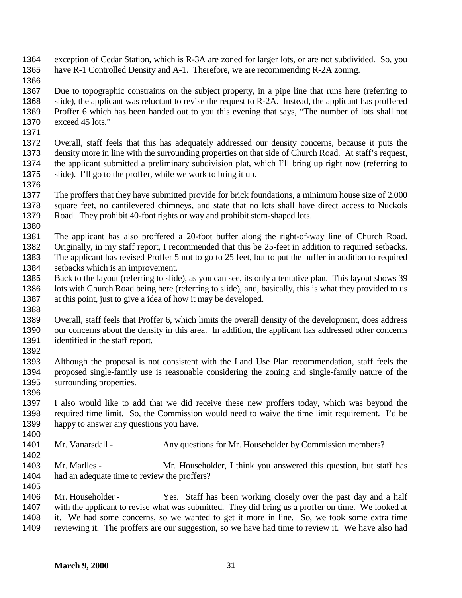exception of Cedar Station, which is R-3A are zoned for larger lots, or are not subdivided. So, you have R-1 Controlled Density and A-1. Therefore, we are recommending R-2A zoning.

 Due to topographic constraints on the subject property, in a pipe line that runs here (referring to slide), the applicant was reluctant to revise the request to R-2A. Instead, the applicant has proffered Proffer 6 which has been handed out to you this evening that says, "The number of lots shall not exceed 45 lots."

 Overall, staff feels that this has adequately addressed our density concerns, because it puts the density more in line with the surrounding properties on that side of Church Road. At staff's request, the applicant submitted a preliminary subdivision plat, which I'll bring up right now (referring to slide). I'll go to the proffer, while we work to bring it up.

 The proffers that they have submitted provide for brick foundations, a minimum house size of 2,000 square feet, no cantilevered chimneys, and state that no lots shall have direct access to Nuckols Road. They prohibit 40-foot rights or way and prohibit stem-shaped lots.

1381 The applicant has also proffered a 20-foot buffer along the right-of-way line of Church Road.<br>1382 Originally, in my staff report, I recommended that this be 25-feet in addition to required sethacks. Originally, in my staff report, I recommended that this be 25-feet in addition to required setbacks. The applicant has revised Proffer 5 not to go to 25 feet, but to put the buffer in addition to required setbacks which is an improvement.

- Back to the layout (referring to slide), as you can see, its only a tentative plan. This layout shows 39 lots with Church Road being here (referring to slide), and, basically, this is what they provided to us at this point, just to give a idea of how it may be developed.
- 

 Overall, staff feels that Proffer 6, which limits the overall density of the development, does address our concerns about the density in this area. In addition, the applicant has addressed other concerns identified in the staff report.

 Although the proposal is not consistent with the Land Use Plan recommendation, staff feels the proposed single-family use is reasonable considering the zoning and single-family nature of the surrounding properties.

 I also would like to add that we did receive these new proffers today, which was beyond the required time limit. So, the Commission would need to waive the time limit requirement. I'd be happy to answer any questions you have. 

1401 Mr. Vanarsdall - Any questions for Mr. Householder by Commission members?

 Mr. Marlles - Mr. Householder, I think you answered this question, but staff has had an adequate time to review the proffers? 

 Mr. Householder - Yes. Staff has been working closely over the past day and a half with the applicant to revise what was submitted. They did bring us a proffer on time. We looked at it. We had some concerns, so we wanted to get it more in line. So, we took some extra time reviewing it. The proffers are our suggestion, so we have had time to review it. We have also had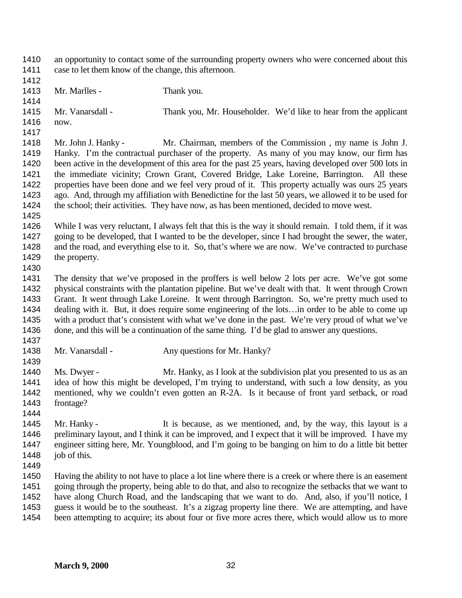an opportunity to contact some of the surrounding property owners who were concerned about this case to let them know of the change, this afternoon. 1413 Mr. Marlles - Thank you. Mr. Vanarsdall - Thank you, Mr. Householder. We'd like to hear from the applicant now. Mr. John J. Hanky - Mr. Chairman, members of the Commission , my name is John J. Hanky. I'm the contractual purchaser of the property. As many of you may know, our firm has been active in the development of this area for the past 25 years, having developed over 500 lots in the immediate vicinity; Crown Grant, Covered Bridge, Lake Loreine, Barrington. All these properties have been done and we feel very proud of it. This property actually was ours 25 years ago. And, through my affiliation with Benedictine for the last 50 years, we allowed it to be used for the school; their activities. They have now, as has been mentioned, decided to move west. While I was very reluctant, I always felt that this is the way it should remain. I told them, if it was going to be developed, that I wanted to be the developer, since I had brought the sewer, the water, and the road, and everything else to it. So, that's where we are now. We've contracted to purchase the property. The density that we've proposed in the proffers is well below 2 lots per acre. We've got some physical constraints with the plantation pipeline. But we've dealt with that. It went through Crown Grant. It went through Lake Loreine. It went through Barrington. So, we're pretty much used to dealing with it. But, it does require some engineering of the lots…in order to be able to come up with a product that's consistent with what we've done in the past. We're very proud of what we've done, and this will be a continuation of the same thing. I'd be glad to answer any questions. 1438 Mr. Vanarsdall - Any questions for Mr. Hanky? 1440 Ms. Dwyer - Mr. Hanky, as I look at the subdivision plat you presented to us as an idea of how this might be developed, I'm trying to understand, with such a low density, as you mentioned, why we couldn't even gotten an R-2A. Is it because of front yard setback, or road frontage? Mr. Hanky - It is because, as we mentioned, and, by the way, this layout is a 1446 preliminary layout, and I think it can be improved, and I expect that it will be improved. I have my engineer sitting here, Mr. Youngblood, and I'm going to be banging on him to do a little bit better 1448 job of this. Having the ability to not have to place a lot line where there is a creek or where there is an easement going through the property, being able to do that, and also to recognize the setbacks that we want to have along Church Road, and the landscaping that we want to do. And, also, if you'll notice, I guess it would be to the southeast. It's a zigzag property line there. We are attempting, and have been attempting to acquire; its about four or five more acres there, which would allow us to more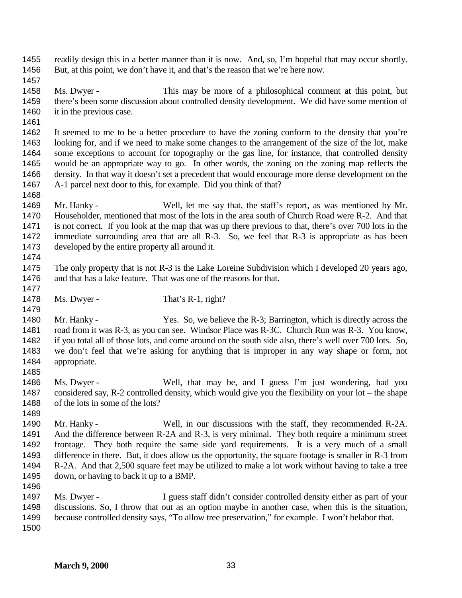readily design this in a better manner than it is now. And, so, I'm hopeful that may occur shortly. But, at this point, we don't have it, and that's the reason that we're here now.

 Ms. Dwyer - This may be more of a philosophical comment at this point, but there's been some discussion about controlled density development. We did have some mention of 1460 it in the previous case.

 It seemed to me to be a better procedure to have the zoning conform to the density that you're looking for, and if we need to make some changes to the arrangement of the size of the lot, make some exceptions to account for topography or the gas line, for instance, that controlled density would be an appropriate way to go. In other words, the zoning on the zoning map reflects the density. In that way it doesn't set a precedent that would encourage more dense development on the A-1 parcel next door to this, for example. Did you think of that?

- Mr. Hanky Well, let me say that, the staff's report, as was mentioned by Mr. Householder, mentioned that most of the lots in the area south of Church Road were R-2. And that is not correct. If you look at the map that was up there previous to that, there's over 700 lots in the immediate surrounding area that are all R-3. So, we feel that R-3 is appropriate as has been developed by the entire property all around it.
- 

 The only property that is not R-3 is the Lake Loreine Subdivision which I developed 20 years ago, and that has a lake feature. That was one of the reasons for that.

1478 Ms. Dwyer - That's R-1, right?

1480 Mr. Hanky - Yes. So, we believe the R-3; Barrington, which is directly across the road from it was R-3, as you can see. Windsor Place was R-3C. Church Run was R-3. You know, if you total all of those lots, and come around on the south side also, there's well over 700 lots. So, we don't feel that we're asking for anything that is improper in any way shape or form, not appropriate.

- Ms. Dwyer Well, that may be, and I guess I'm just wondering, had you considered say, R-2 controlled density, which would give you the flexibility on your lot – the shape of the lots in some of the lots?
- Mr. Hanky Well, in our discussions with the staff, they recommended R-2A. And the difference between R-2A and R-3, is very minimal. They both require a minimum street frontage. They both require the same side yard requirements. It is a very much of a small difference in there. But, it does allow us the opportunity, the square footage is smaller in R-3 from R-2A. And that 2,500 square feet may be utilized to make a lot work without having to take a tree down, or having to back it up to a BMP.
- Ms. Dwyer I guess staff didn't consider controlled density either as part of your discussions. So, I throw that out as an option maybe in another case, when this is the situation, because controlled density says, "To allow tree preservation," for example. I won't belabor that.
-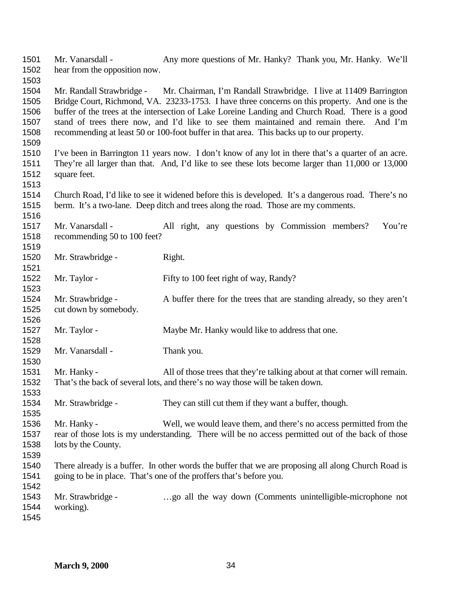Mr. Vanarsdall - Any more questions of Mr. Hanky? Thank you, Mr. Hanky. We'll hear from the opposition now. Mr. Randall Strawbridge - Mr. Chairman, I'm Randall Strawbridge. I live at 11409 Barrington Bridge Court, Richmond, VA. 23233-1753. I have three concerns on this property. And one is the buffer of the trees at the intersection of Lake Loreine Landing and Church Road. There is a good stand of trees there now, and I'd like to see them maintained and remain there. And I'm recommending at least 50 or 100-foot buffer in that area. This backs up to our property. I've been in Barrington 11 years now. I don't know of any lot in there that's a quarter of an acre. They're all larger than that. And, I'd like to see these lots become larger than 11,000 or 13,000 square feet. Church Road, I'd like to see it widened before this is developed. It's a dangerous road. There's no berm. It's a two-lane. Deep ditch and trees along the road. Those are my comments. Mr. Vanarsdall - All right, any questions by Commission members? You're recommending 50 to 100 feet? 1520 Mr. Strawbridge - Right. 1522 Mr. Taylor - Fifty to 100 feet right of way, Randy? Mr. Strawbridge - A buffer there for the trees that are standing already, so they aren't cut down by somebody. 1527 Mr. Taylor - Maybe Mr. Hanky would like to address that one. 1529 Mr. Vanarsdall - Thank you. Mr. Hanky - All of those trees that they're talking about at that corner will remain. That's the back of several lots, and there's no way those will be taken down. Mr. Strawbridge - They can still cut them if they want a buffer, though. Mr. Hanky - Well, we would leave them, and there's no access permitted from the rear of those lots is my understanding. There will be no access permitted out of the back of those lots by the County. There already is a buffer. In other words the buffer that we are proposing all along Church Road is going to be in place. That's one of the proffers that's before you. Mr. Strawbridge - …go all the way down (Comments unintelligible-microphone not working).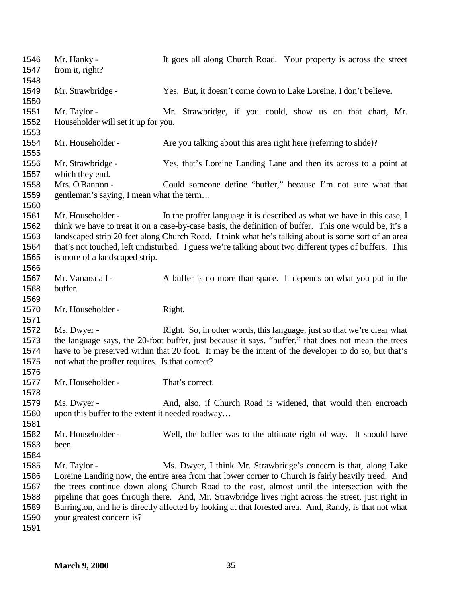| 1546<br>1547 | Mr. Hanky -<br>from it, right?                                                                                                                                                                      | It goes all along Church Road. Your property is across the street                                      |  |
|--------------|-----------------------------------------------------------------------------------------------------------------------------------------------------------------------------------------------------|--------------------------------------------------------------------------------------------------------|--|
| 1548         |                                                                                                                                                                                                     |                                                                                                        |  |
| 1549<br>1550 | Mr. Strawbridge -                                                                                                                                                                                   | Yes. But, it doesn't come down to Lake Loreine, I don't believe.                                       |  |
| 1551         | Mr. Taylor -                                                                                                                                                                                        | Mr. Strawbridge, if you could, show us on that chart, Mr.                                              |  |
| 1552         | Householder will set it up for you.                                                                                                                                                                 |                                                                                                        |  |
| 1553         |                                                                                                                                                                                                     |                                                                                                        |  |
| 1554         | Mr. Householder -                                                                                                                                                                                   | Are you talking about this area right here (referring to slide)?                                       |  |
| 1555         |                                                                                                                                                                                                     |                                                                                                        |  |
| 1556         | Mr. Strawbridge -                                                                                                                                                                                   | Yes, that's Loreine Landing Lane and then its across to a point at                                     |  |
| 1557         | which they end.                                                                                                                                                                                     |                                                                                                        |  |
| 1558         | Mrs. O'Bannon -                                                                                                                                                                                     | Could someone define "buffer," because I'm not sure what that                                          |  |
| 1559         | gentleman's saying, I mean what the term                                                                                                                                                            |                                                                                                        |  |
| 1560         |                                                                                                                                                                                                     |                                                                                                        |  |
| 1561         | Mr. Householder -                                                                                                                                                                                   | In the proffer language it is described as what we have in this case, I                                |  |
| 1562         |                                                                                                                                                                                                     | think we have to treat it on a case-by-case basis, the definition of buffer. This one would be, it's a |  |
| 1563         |                                                                                                                                                                                                     | landscaped strip 20 feet along Church Road. I think what he's talking about is some sort of an area    |  |
| 1564         |                                                                                                                                                                                                     |                                                                                                        |  |
| 1565         | that's not touched, left undisturbed. I guess we're talking about two different types of buffers. This<br>is more of a landscaped strip.                                                            |                                                                                                        |  |
| 1566         |                                                                                                                                                                                                     |                                                                                                        |  |
| 1567         | Mr. Vanarsdall -                                                                                                                                                                                    | A buffer is no more than space. It depends on what you put in the                                      |  |
| 1568         | buffer.                                                                                                                                                                                             |                                                                                                        |  |
| 1569         |                                                                                                                                                                                                     |                                                                                                        |  |
| 1570         | Mr. Householder -                                                                                                                                                                                   | Right.                                                                                                 |  |
| 1571         |                                                                                                                                                                                                     |                                                                                                        |  |
| 1572         | Ms. Dwyer -                                                                                                                                                                                         | Right. So, in other words, this language, just so that we're clear what                                |  |
| 1573         |                                                                                                                                                                                                     | the language says, the 20-foot buffer, just because it says, "buffer," that does not mean the trees    |  |
| 1574         |                                                                                                                                                                                                     | have to be preserved within that 20 foot. It may be the intent of the developer to do so, but that's   |  |
| 1575         | not what the proffer requires. Is that correct?                                                                                                                                                     |                                                                                                        |  |
| 1576         |                                                                                                                                                                                                     |                                                                                                        |  |
| 1577         | Mr. Householder -                                                                                                                                                                                   | That's correct.                                                                                        |  |
| 1578         |                                                                                                                                                                                                     |                                                                                                        |  |
| 1579         | Ms. Dwyer -                                                                                                                                                                                         | And, also, if Church Road is widened, that would then encroach                                         |  |
| 1580         | upon this buffer to the extent it needed roadway                                                                                                                                                    |                                                                                                        |  |
| 1581         |                                                                                                                                                                                                     |                                                                                                        |  |
| 1582         | Mr. Householder -                                                                                                                                                                                   | Well, the buffer was to the ultimate right of way. It should have                                      |  |
| 1583         | been.                                                                                                                                                                                               |                                                                                                        |  |
| 1584         |                                                                                                                                                                                                     |                                                                                                        |  |
| 1585         | Mr. Taylor -                                                                                                                                                                                        | Ms. Dwyer, I think Mr. Strawbridge's concern is that, along Lake                                       |  |
| 1586         |                                                                                                                                                                                                     |                                                                                                        |  |
| 1587         | Loreine Landing now, the entire area from that lower corner to Church is fairly heavily treed. And<br>the trees continue down along Church Road to the east, almost until the intersection with the |                                                                                                        |  |
| 1588         | pipeline that goes through there. And, Mr. Strawbridge lives right across the street, just right in                                                                                                 |                                                                                                        |  |
| 1589         | Barrington, and he is directly affected by looking at that forested area. And, Randy, is that not what                                                                                              |                                                                                                        |  |
| 1590         | your greatest concern is?                                                                                                                                                                           |                                                                                                        |  |
| 1591         |                                                                                                                                                                                                     |                                                                                                        |  |
|              |                                                                                                                                                                                                     |                                                                                                        |  |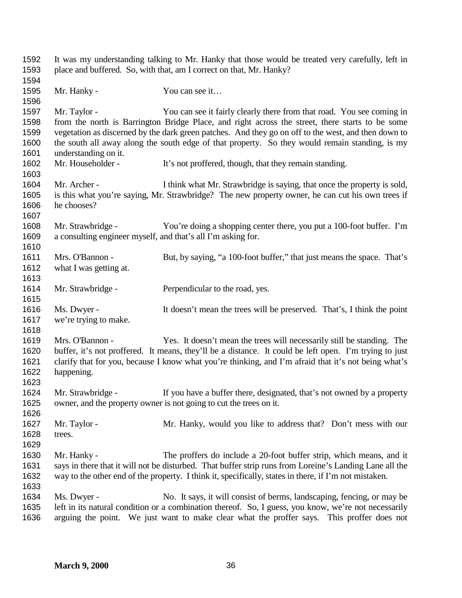| 1592<br>1593 | It was my understanding talking to Mr. Hanky that those would be treated very carefully, left in<br>place and buffered. So, with that, am I correct on that, Mr. Hanky? |                                                                                                         |  |
|--------------|-------------------------------------------------------------------------------------------------------------------------------------------------------------------------|---------------------------------------------------------------------------------------------------------|--|
| 1594         |                                                                                                                                                                         |                                                                                                         |  |
| 1595<br>1596 | Mr. Hanky -                                                                                                                                                             | You can see it                                                                                          |  |
| 1597         | Mr. Taylor -                                                                                                                                                            | You can see it fairly clearly there from that road. You see coming in                                   |  |
| 1598         |                                                                                                                                                                         | from the north is Barrington Bridge Place, and right across the street, there starts to be some         |  |
| 1599         |                                                                                                                                                                         | vegetation as discerned by the dark green patches. And they go on off to the west, and then down to     |  |
| 1600         |                                                                                                                                                                         | the south all away along the south edge of that property. So they would remain standing, is my          |  |
| 1601         | understanding on it.                                                                                                                                                    |                                                                                                         |  |
| 1602<br>1603 | Mr. Householder -                                                                                                                                                       | It's not proffered, though, that they remain standing.                                                  |  |
| 1604         | Mr. Archer -                                                                                                                                                            | I think what Mr. Strawbridge is saying, that once the property is sold,                                 |  |
| 1605         |                                                                                                                                                                         | is this what you're saying, Mr. Strawbridge? The new property owner, he can cut his own trees if        |  |
| 1606         | he chooses?                                                                                                                                                             |                                                                                                         |  |
| 1607         |                                                                                                                                                                         |                                                                                                         |  |
| 1608         | Mr. Strawbridge -                                                                                                                                                       | You're doing a shopping center there, you put a 100-foot buffer. I'm                                    |  |
| 1609         | a consulting engineer myself, and that's all I'm asking for.                                                                                                            |                                                                                                         |  |
| 1610         |                                                                                                                                                                         |                                                                                                         |  |
| 1611         | Mrs. O'Bannon -                                                                                                                                                         | But, by saying, "a 100-foot buffer," that just means the space. That's                                  |  |
| 1612         | what I was getting at.                                                                                                                                                  |                                                                                                         |  |
| 1613         |                                                                                                                                                                         |                                                                                                         |  |
| 1614         | Mr. Strawbridge -                                                                                                                                                       | Perpendicular to the road, yes.                                                                         |  |
| 1615         |                                                                                                                                                                         |                                                                                                         |  |
| 1616         | Ms. Dwyer -                                                                                                                                                             | It doesn't mean the trees will be preserved. That's, I think the point                                  |  |
| 1617         | we're trying to make.                                                                                                                                                   |                                                                                                         |  |
| 1618         |                                                                                                                                                                         |                                                                                                         |  |
| 1619         | Mrs. O'Bannon -                                                                                                                                                         | Yes. It doesn't mean the trees will necessarily still be standing. The                                  |  |
| 1620         |                                                                                                                                                                         | buffer, it's not proffered. It means, they'll be a distance. It could be left open. I'm trying to just  |  |
| 1621         |                                                                                                                                                                         | clarify that for you, because I know what you're thinking, and I'm afraid that it's not being what's    |  |
| 1622         | happening.                                                                                                                                                              |                                                                                                         |  |
| 1623         |                                                                                                                                                                         |                                                                                                         |  |
| 1624         | Mr. Strawbridge -                                                                                                                                                       | If you have a buffer there, designated, that's not owned by a property                                  |  |
| 1625         |                                                                                                                                                                         | owner, and the property owner is not going to cut the trees on it.                                      |  |
| 1626         |                                                                                                                                                                         |                                                                                                         |  |
| 1627         | Mr. Taylor -                                                                                                                                                            | Mr. Hanky, would you like to address that? Don't mess with our                                          |  |
| 1628         | trees.                                                                                                                                                                  |                                                                                                         |  |
| 1629         |                                                                                                                                                                         |                                                                                                         |  |
| 1630         | Mr. Hanky -                                                                                                                                                             | The proffers do include a 20-foot buffer strip, which means, and it                                     |  |
| 1631         |                                                                                                                                                                         | says in there that it will not be disturbed. That buffer strip runs from Loreine's Landing Lane all the |  |
| 1632         |                                                                                                                                                                         | way to the other end of the property. I think it, specifically, states in there, if I'm not mistaken.   |  |
| 1633         |                                                                                                                                                                         |                                                                                                         |  |
| 1634         | Ms. Dwyer -                                                                                                                                                             | No. It says, it will consist of berms, landscaping, fencing, or may be                                  |  |
| 1635         |                                                                                                                                                                         | left in its natural condition or a combination thereof. So, I guess, you know, we're not necessarily    |  |
| 1636         | arguing the point. We just want to make clear what the proffer says. This proffer does not                                                                              |                                                                                                         |  |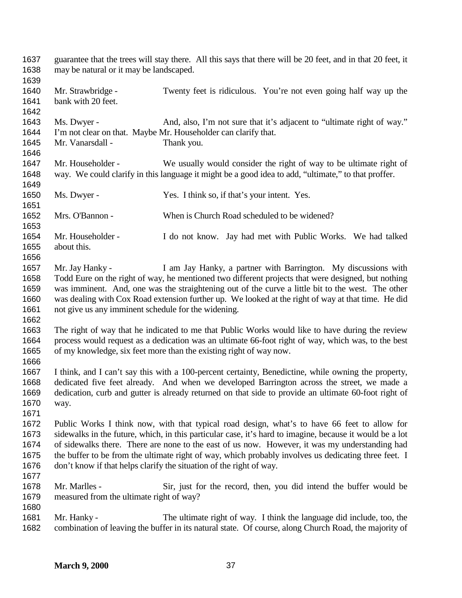| 1637<br>1638                                 | guarantee that the trees will stay there. All this says that there will be 20 feet, and in that 20 feet, it<br>may be natural or it may be landscaped. |                                                                                                                                                                                                                                                                                                                                                                                                                                                                                           |
|----------------------------------------------|--------------------------------------------------------------------------------------------------------------------------------------------------------|-------------------------------------------------------------------------------------------------------------------------------------------------------------------------------------------------------------------------------------------------------------------------------------------------------------------------------------------------------------------------------------------------------------------------------------------------------------------------------------------|
| 1639<br>1640<br>1641<br>1642                 | Mr. Strawbridge -<br>bank with 20 feet.                                                                                                                | Twenty feet is ridiculous. You're not even going half way up the                                                                                                                                                                                                                                                                                                                                                                                                                          |
| 1643<br>1644<br>1645<br>1646                 | Ms. Dwyer -<br>Mr. Vanarsdall -                                                                                                                        | And, also, I'm not sure that it's adjacent to "ultimate right of way."<br>I'm not clear on that. Maybe Mr. Householder can clarify that.<br>Thank you.                                                                                                                                                                                                                                                                                                                                    |
| 1647<br>1648<br>1649                         | Mr. Householder -                                                                                                                                      | We usually would consider the right of way to be ultimate right of<br>way. We could clarify in this language it might be a good idea to add, "ultimate," to that proffer.                                                                                                                                                                                                                                                                                                                 |
| 1650<br>1651                                 | Ms. Dwyer -                                                                                                                                            | Yes. I think so, if that's your intent. Yes.                                                                                                                                                                                                                                                                                                                                                                                                                                              |
| 1652<br>1653                                 | Mrs. O'Bannon -                                                                                                                                        | When is Church Road scheduled to be widened?                                                                                                                                                                                                                                                                                                                                                                                                                                              |
| 1654<br>1655<br>1656                         | Mr. Householder -<br>about this.                                                                                                                       | I do not know. Jay had met with Public Works. We had talked                                                                                                                                                                                                                                                                                                                                                                                                                               |
| 1657<br>1658<br>1659<br>1660<br>1661<br>1662 | Mr. Jay Hanky -<br>not give us any imminent schedule for the widening.                                                                                 | I am Jay Hanky, a partner with Barrington. My discussions with<br>Todd Eure on the right of way, he mentioned two different projects that were designed, but nothing<br>was imminent. And, one was the straightening out of the curve a little bit to the west. The other<br>was dealing with Cox Road extension further up. We looked at the right of way at that time. He did                                                                                                           |
| 1663<br>1664<br>1665<br>1666                 |                                                                                                                                                        | The right of way that he indicated to me that Public Works would like to have during the review<br>process would request as a dedication was an ultimate 66-foot right of way, which was, to the best<br>of my knowledge, six feet more than the existing right of way now.                                                                                                                                                                                                               |
| 1667<br>1668<br>1669<br>1670<br>1671         | way.                                                                                                                                                   | I think, and I can't say this with a 100-percent certainty, Benedictine, while owning the property,<br>dedicated five feet already. And when we developed Barrington across the street, we made a<br>dedication, curb and gutter is already returned on that side to provide an ultimate 60-foot right of                                                                                                                                                                                 |
| 1672<br>1673<br>1674<br>1675<br>1676<br>1677 |                                                                                                                                                        | Public Works I think now, with that typical road design, what's to have 66 feet to allow for<br>sidewalks in the future, which, in this particular case, it's hard to imagine, because it would be a lot<br>of sidewalks there. There are none to the east of us now. However, it was my understanding had<br>the buffer to be from the ultimate right of way, which probably involves us dedicating three feet. I<br>don't know if that helps clarify the situation of the right of way. |
| 1678<br>1679<br>1680                         | Mr. Marlles -<br>measured from the ultimate right of way?                                                                                              | Sir, just for the record, then, you did intend the buffer would be                                                                                                                                                                                                                                                                                                                                                                                                                        |
| 1681<br>1682                                 | Mr. Hanky -                                                                                                                                            | The ultimate right of way. I think the language did include, too, the<br>combination of leaving the buffer in its natural state. Of course, along Church Road, the majority of                                                                                                                                                                                                                                                                                                            |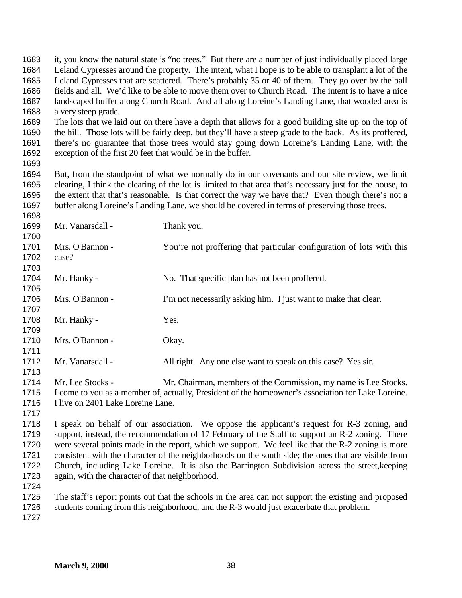it, you know the natural state is "no trees." But there are a number of just individually placed large Leland Cypresses around the property. The intent, what I hope is to be able to transplant a lot of the Leland Cypresses that are scattered. There's probably 35 or 40 of them. They go over by the ball fields and all. We'd like to be able to move them over to Church Road. The intent is to have a nice landscaped buffer along Church Road. And all along Loreine's Landing Lane, that wooded area is a very steep grade. The lots that we laid out on there have a depth that allows for a good building site up on the top of the hill. Those lots will be fairly deep, but they'll have a steep grade to the back. As its proffered, there's no guarantee that those trees would stay going down Loreine's Landing Lane, with the exception of the first 20 feet that would be in the buffer. But, from the standpoint of what we normally do in our covenants and our site review, we limit clearing, I think the clearing of the lot is limited to that area that's necessary just for the house, to the extent that that's reasonable. Is that correct the way we have that? Even though there's not a buffer along Loreine's Landing Lane, we should be covered in terms of preserving those trees. 1699 Mr. Vanarsdall - Thank you. Mrs. O'Bannon - You're not proffering that particular configuration of lots with this case? 1704 Mr. Hanky - No. That specific plan has not been proffered. Mrs. O'Bannon - I'm not necessarily asking him. I just want to make that clear. 1708 Mr. Hanky - Yes. 1710 Mrs. O'Bannon - Okay. 1712 Mr. Vanarsdall - All right. Any one else want to speak on this case? Yes sir. Mr. Lee Stocks - Mr. Chairman, members of the Commission, my name is Lee Stocks. I come to you as a member of, actually, President of the homeowner's association for Lake Loreine. I live on 2401 Lake Loreine Lane. I speak on behalf of our association. We oppose the applicant's request for R-3 zoning, and 1719 support, instead, the recommendation of 17 February of the Staff to support an R-2 zoning. There were several points made in the report, which we support. We feel like that the R-2 zoning is more consistent with the character of the neighborhoods on the south side; the ones that are visible from Church, including Lake Loreine. It is also the Barrington Subdivision across the street,keeping again, with the character of that neighborhood. The staff's report points out that the schools in the area can not support the existing and proposed students coming from this neighborhood, and the R-3 would just exacerbate that problem.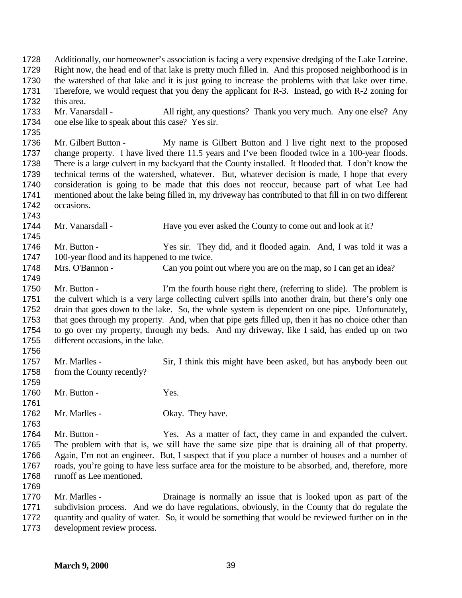Additionally, our homeowner's association is facing a very expensive dredging of the Lake Loreine. Right now, the head end of that lake is pretty much filled in. And this proposed neighborhood is in the watershed of that lake and it is just going to increase the problems with that lake over time. Therefore, we would request that you deny the applicant for R-3. Instead, go with R-2 zoning for this area. Mr. Vanarsdall - All right, any questions? Thank you very much. Any one else? Any one else like to speak about this case? Yes sir. Mr. Gilbert Button - My name is Gilbert Button and I live right next to the proposed change property. I have lived there 11.5 years and I've been flooded twice in a 100-year floods. There is a large culvert in my backyard that the County installed. It flooded that. I don't know the technical terms of the watershed, whatever. But, whatever decision is made, I hope that every consideration is going to be made that this does not reoccur, because part of what Lee had mentioned about the lake being filled in, my driveway has contributed to that fill in on two different occasions. Mr. Vanarsdall - Have you ever asked the County to come out and look at it? Mr. Button - Yes sir. They did, and it flooded again. And, I was told it was a 100-year flood and its happened to me twice. Mrs. O'Bannon - Can you point out where you are on the map, so I can get an idea? 1750 Mr. Button - I'm the fourth house right there, (referring to slide). The problem is the culvert which is a very large collecting culvert spills into another drain, but there's only one drain that goes down to the lake. So, the whole system is dependent on one pipe. Unfortunately, that goes through my property. And, when that pipe gets filled up, then it has no choice other than to go over my property, through my beds. And my driveway, like I said, has ended up on two different occasions, in the lake. Mr. Marlles - Sir, I think this might have been asked, but has anybody been out from the County recently? 1760 Mr. Button - Yes. 1762 Mr. Marlles - Okay. They have. Mr. Button - Yes. As a matter of fact, they came in and expanded the culvert. The problem with that is, we still have the same size pipe that is draining all of that property. Again, I'm not an engineer. But, I suspect that if you place a number of houses and a number of roads, you're going to have less surface area for the moisture to be absorbed, and, therefore, more runoff as Lee mentioned. Mr. Marlles - Drainage is normally an issue that is looked upon as part of the subdivision process. And we do have regulations, obviously, in the County that do regulate the quantity and quality of water. So, it would be something that would be reviewed further on in the development review process.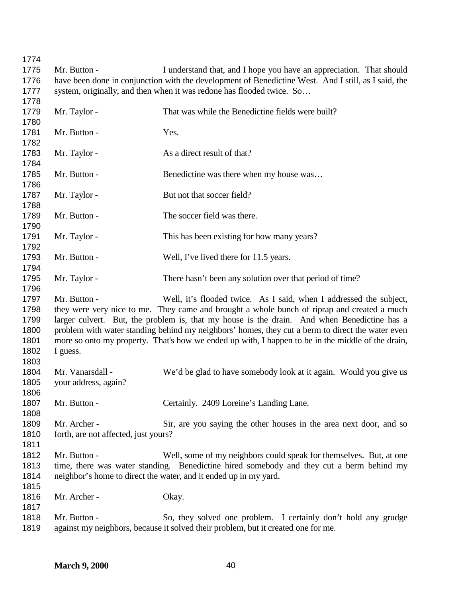| 1774 |                                      |                                                                                                     |
|------|--------------------------------------|-----------------------------------------------------------------------------------------------------|
| 1775 | Mr. Button -                         | I understand that, and I hope you have an appreciation. That should                                 |
| 1776 |                                      | have been done in conjunction with the development of Benedictine West. And I still, as I said, the |
| 1777 |                                      | system, originally, and then when it was redone has flooded twice. So                               |
| 1778 |                                      |                                                                                                     |
| 1779 | Mr. Taylor -                         | That was while the Benedictine fields were built?                                                   |
| 1780 |                                      |                                                                                                     |
| 1781 | Mr. Button -                         | Yes.                                                                                                |
| 1782 |                                      |                                                                                                     |
| 1783 | Mr. Taylor -                         | As a direct result of that?                                                                         |
| 1784 |                                      |                                                                                                     |
| 1785 | Mr. Button -                         | Benedictine was there when my house was                                                             |
| 1786 |                                      |                                                                                                     |
| 1787 | Mr. Taylor -                         | But not that soccer field?                                                                          |
| 1788 |                                      |                                                                                                     |
| 1789 | Mr. Button -                         | The soccer field was there.                                                                         |
| 1790 |                                      |                                                                                                     |
|      |                                      |                                                                                                     |
| 1791 | Mr. Taylor -                         | This has been existing for how many years?                                                          |
| 1792 |                                      |                                                                                                     |
| 1793 | Mr. Button -                         | Well, I've lived there for 11.5 years.                                                              |
| 1794 |                                      |                                                                                                     |
| 1795 | Mr. Taylor -                         | There hasn't been any solution over that period of time?                                            |
| 1796 |                                      |                                                                                                     |
| 1797 | Mr. Button -                         | Well, it's flooded twice. As I said, when I addressed the subject,                                  |
| 1798 |                                      | they were very nice to me. They came and brought a whole bunch of riprap and created a much         |
| 1799 |                                      | larger culvert. But, the problem is, that my house is the drain. And when Benedictine has a         |
| 1800 |                                      | problem with water standing behind my neighbors' homes, they cut a berm to direct the water even    |
| 1801 |                                      | more so onto my property. That's how we ended up with, I happen to be in the middle of the drain,   |
| 1802 | I guess.                             |                                                                                                     |
| 1803 |                                      |                                                                                                     |
| 1804 | Mr. Vanarsdall -                     | We'd be glad to have somebody look at it again. Would you give us                                   |
| 1805 | your address, again?                 |                                                                                                     |
| 1806 |                                      |                                                                                                     |
|      |                                      |                                                                                                     |
| 1807 | Mr. Button -                         | Certainly. 2409 Loreine's Landing Lane.                                                             |
| 1808 |                                      |                                                                                                     |
| 1809 | Mr. Archer -                         | Sir, are you saying the other houses in the area next door, and so                                  |
| 1810 | forth, are not affected, just yours? |                                                                                                     |
| 1811 |                                      |                                                                                                     |
| 1812 | Mr. Button -                         | Well, some of my neighbors could speak for themselves. But, at one                                  |
| 1813 |                                      | time, there was water standing. Benedictine hired somebody and they cut a berm behind my            |
| 1814 |                                      | neighbor's home to direct the water, and it ended up in my yard.                                    |
| 1815 |                                      |                                                                                                     |
| 1816 | Mr. Archer -                         | Okay.                                                                                               |
| 1817 |                                      |                                                                                                     |
| 1818 | Mr. Button -                         | So, they solved one problem. I certainly don't hold any grudge                                      |
| 1819 |                                      | against my neighbors, because it solved their problem, but it created one for me.                   |
|      |                                      |                                                                                                     |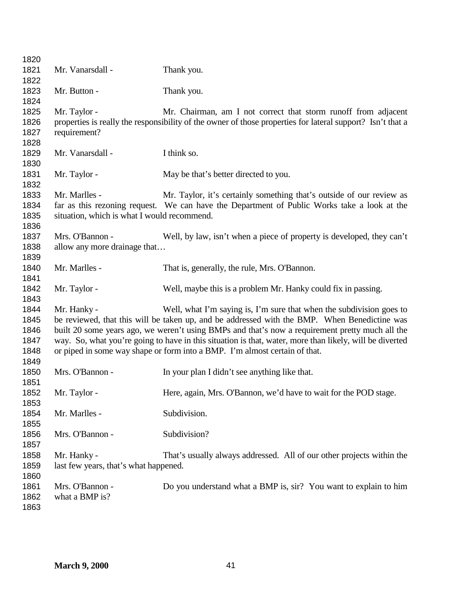| 1820 |                                             |                                                                                                            |
|------|---------------------------------------------|------------------------------------------------------------------------------------------------------------|
| 1821 | Mr. Vanarsdall -                            | Thank you.                                                                                                 |
| 1822 |                                             |                                                                                                            |
| 1823 | Mr. Button -                                | Thank you.                                                                                                 |
| 1824 |                                             |                                                                                                            |
| 1825 | Mr. Taylor -                                | Mr. Chairman, am I not correct that storm runoff from adjacent                                             |
| 1826 |                                             | properties is really the responsibility of the owner of those properties for lateral support? Isn't that a |
| 1827 | requirement?                                |                                                                                                            |
| 1828 |                                             |                                                                                                            |
| 1829 | Mr. Vanarsdall -                            | I think so.                                                                                                |
| 1830 |                                             |                                                                                                            |
| 1831 | Mr. Taylor -                                | May be that's better directed to you.                                                                      |
| 1832 |                                             |                                                                                                            |
| 1833 | Mr. Marlles -                               | Mr. Taylor, it's certainly something that's outside of our review as                                       |
| 1834 |                                             | far as this rezoning request. We can have the Department of Public Works take a look at the                |
| 1835 | situation, which is what I would recommend. |                                                                                                            |
| 1836 |                                             |                                                                                                            |
| 1837 | Mrs. O'Bannon -                             | Well, by law, isn't when a piece of property is developed, they can't                                      |
| 1838 | allow any more drainage that                |                                                                                                            |
| 1839 |                                             |                                                                                                            |
| 1840 | Mr. Marlles -                               | That is, generally, the rule, Mrs. O'Bannon.                                                               |
| 1841 |                                             |                                                                                                            |
| 1842 | Mr. Taylor -                                | Well, maybe this is a problem Mr. Hanky could fix in passing.                                              |
| 1843 |                                             |                                                                                                            |
| 1844 | Mr. Hanky -                                 | Well, what I'm saying is, I'm sure that when the subdivision goes to                                       |
| 1845 |                                             | be reviewed, that this will be taken up, and be addressed with the BMP. When Benedictine was               |
| 1846 |                                             | built 20 some years ago, we weren't using BMPs and that's now a requirement pretty much all the            |
| 1847 |                                             | way. So, what you're going to have in this situation is that, water, more than likely, will be diverted    |
| 1848 |                                             | or piped in some way shape or form into a BMP. I'm almost certain of that.                                 |
| 1849 |                                             |                                                                                                            |
| 1850 | Mrs. O'Bannon -                             | In your plan I didn't see anything like that.                                                              |
| 1851 |                                             |                                                                                                            |
| 1852 | Mr. Taylor -                                | Here, again, Mrs. O'Bannon, we'd have to wait for the POD stage.                                           |
| 1853 |                                             |                                                                                                            |
| 1854 | Mr. Marlles -                               | Subdivision.                                                                                               |
| 1855 |                                             |                                                                                                            |
| 1856 | Mrs. O'Bannon -                             | Subdivision?                                                                                               |
| 1857 |                                             |                                                                                                            |
| 1858 | Mr. Hanky -                                 | That's usually always addressed. All of our other projects within the                                      |
| 1859 | last few years, that's what happened.       |                                                                                                            |
| 1860 |                                             |                                                                                                            |
| 1861 | Mrs. O'Bannon -                             | Do you understand what a BMP is, sir? You want to explain to him                                           |
| 1862 | what a BMP is?                              |                                                                                                            |
| 1863 |                                             |                                                                                                            |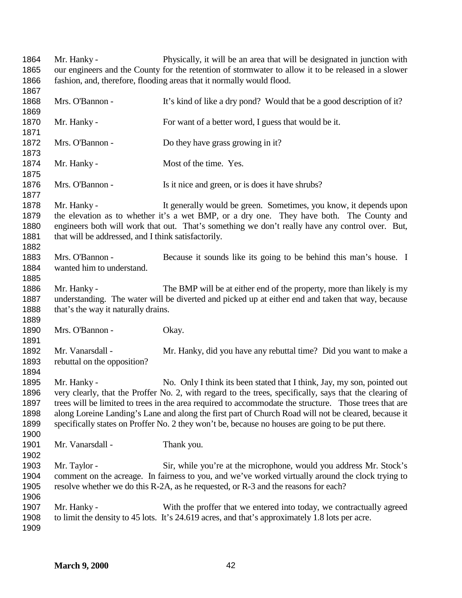Mr. Hanky - Physically, it will be an area that will be designated in junction with our engineers and the County for the retention of stormwater to allow it to be released in a slower fashion, and, therefore, flooding areas that it normally would flood. 1868 Mrs. O'Bannon - It's kind of like a dry pond? Would that be a good description of it? 1870 Mr. Hanky - For want of a better word, I guess that would be it. Mrs. O'Bannon - Do they have grass growing in it? 1874 Mr. Hanky - Most of the time. Yes. Mrs. O'Bannon - Is it nice and green, or is does it have shrubs? Mr. Hanky - It generally would be green. Sometimes, you know, it depends upon the elevation as to whether it's a wet BMP, or a dry one. They have both. The County and engineers both will work that out. That's something we don't really have any control over. But, 1881 that will be addressed, and I think satisfactorily. Mrs. O'Bannon - Because it sounds like its going to be behind this man's house. I wanted him to understand. Mr. Hanky - The BMP will be at either end of the property, more than likely is my understanding. The water will be diverted and picked up at either end and taken that way, because 1888 that's the way it naturally drains. 1890 Mrs. O'Bannon - Okay. Mr. Vanarsdall - Mr. Hanky, did you have any rebuttal time? Did you want to make a rebuttal on the opposition? 1895 Mr. Hanky - No. Only I think its been stated that I think, Jay, my son, pointed out very clearly, that the Proffer No. 2, with regard to the trees, specifically, says that the clearing of trees will be limited to trees in the area required to accommodate the structure. Those trees that are along Loreine Landing's Lane and along the first part of Church Road will not be cleared, because it specifically states on Proffer No. 2 they won't be, because no houses are going to be put there. 1901 Mr. Vanarsdall - Thank you. Mr. Taylor - Sir, while you're at the microphone, would you address Mr. Stock's comment on the acreage. In fairness to you, and we've worked virtually around the clock trying to resolve whether we do this R-2A, as he requested, or R-3 and the reasons for each? Mr. Hanky - With the proffer that we entered into today, we contractually agreed to limit the density to 45 lots. It's 24.619 acres, and that's approximately 1.8 lots per acre.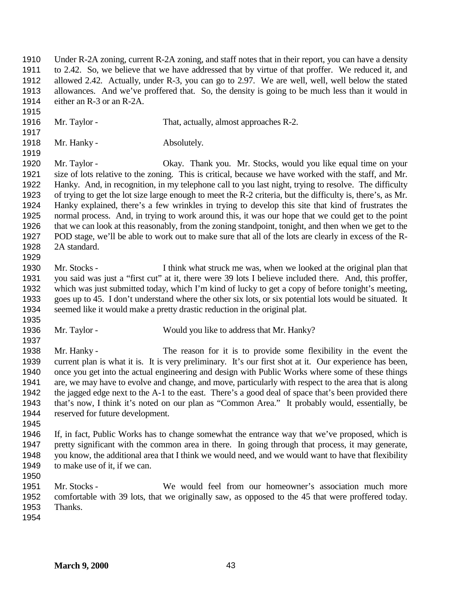Under R-2A zoning, current R-2A zoning, and staff notes that in their report, you can have a density to 2.42. So, we believe that we have addressed that by virtue of that proffer. We reduced it, and allowed 2.42. Actually, under R-3, you can go to 2.97. We are well, well, well below the stated 1913 allowances. And we've proffered that. So, the density is going to be much less than it would in 1914 either an R-3 or an R-2A. either an  $R-3$  or an  $R-2A$ .

- 1916 Mr. Taylor That, actually, almost approaches R-2.
- 1918 Mr. Hanky Absolutely.
- 

 Mr. Taylor - Okay. Thank you. Mr. Stocks, would you like equal time on your size of lots relative to the zoning. This is critical, because we have worked with the staff, and Mr. Hanky. And, in recognition, in my telephone call to you last night, trying to resolve. The difficulty of trying to get the lot size large enough to meet the R-2 criteria, but the difficulty is, there's, as Mr. Hanky explained, there's a few wrinkles in trying to develop this site that kind of frustrates the normal process. And, in trying to work around this, it was our hope that we could get to the point that we can look at this reasonably, from the zoning standpoint, tonight, and then when we get to the POD stage, we'll be able to work out to make sure that all of the lots are clearly in excess of the R- 2A standard. 

- Mr. Stocks I think what struck me was, when we looked at the original plan that you said was just a "first cut" at it, there were 39 lots I believe included there. And, this proffer, which was just submitted today, which I'm kind of lucky to get a copy of before tonight's meeting, goes up to 45. I don't understand where the other six lots, or six potential lots would be situated. It seemed like it would make a pretty drastic reduction in the original plat.
- 
- Mr. Taylor Would you like to address that Mr. Hanky?
- Mr. Hanky - The reason for it is to provide some flexibility in the event the current plan is what it is. It is very preliminary. It's our first shot at it. Our experience has been, once you get into the actual engineering and design with Public Works where some of these things are, we may have to evolve and change, and move, particularly with respect to the area that is along the jagged edge next to the A-1 to the east. There's a good deal of space that's been provided there that's now, I think it's noted on our plan as "Common Area." It probably would, essentially, be reserved for future development.
- 
- If, in fact, Public Works has to change somewhat the entrance way that we've proposed, which is pretty significant with the common area in there. In going through that process, it may generate, you know, the additional area that I think we would need, and we would want to have that flexibility to make use of it, if we can.
- Mr. Stocks We would feel from our homeowner's association much more comfortable with 39 lots, that we originally saw, as opposed to the 45 that were proffered today. Thanks.
-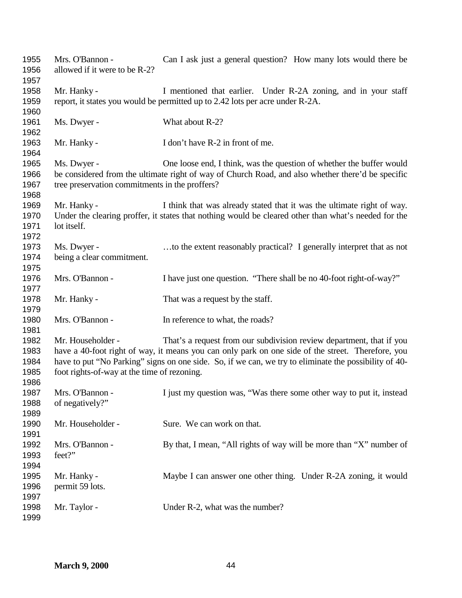| 1955<br>1956<br>1957                 | Mrs. O'Bannon -<br>allowed if it were to be R-2?                 | Can I ask just a general question? How many lots would there be                                                                                                                                                                                                                    |
|--------------------------------------|------------------------------------------------------------------|------------------------------------------------------------------------------------------------------------------------------------------------------------------------------------------------------------------------------------------------------------------------------------|
| 1958<br>1959                         | Mr. Hanky -                                                      | I mentioned that earlier. Under R-2A zoning, and in your staff<br>report, it states you would be permitted up to 2.42 lots per acre under R-2A.                                                                                                                                    |
| 1960<br>1961<br>1962                 | Ms. Dwyer -                                                      | What about R-2?                                                                                                                                                                                                                                                                    |
| 1963<br>1964                         | Mr. Hanky -                                                      | I don't have R-2 in front of me.                                                                                                                                                                                                                                                   |
| 1965<br>1966<br>1967<br>1968         | Ms. Dwyer -<br>tree preservation commitments in the proffers?    | One loose end, I think, was the question of whether the buffer would<br>be considered from the ultimate right of way of Church Road, and also whether there'd be specific                                                                                                          |
| 1969<br>1970<br>1971<br>1972         | Mr. Hanky -<br>lot itself.                                       | I think that was already stated that it was the ultimate right of way.<br>Under the clearing proffer, it states that nothing would be cleared other than what's needed for the                                                                                                     |
| 1973<br>1974<br>1975                 | Ms. Dwyer -<br>being a clear commitment.                         | to the extent reasonably practical? I generally interpret that as not                                                                                                                                                                                                              |
| 1976<br>1977                         | Mrs. O'Bannon -                                                  | I have just one question. "There shall be no 40-foot right-of-way?"                                                                                                                                                                                                                |
| 1978<br>1979                         | Mr. Hanky -                                                      | That was a request by the staff.                                                                                                                                                                                                                                                   |
| 1980<br>1981                         | Mrs. O'Bannon -                                                  | In reference to what, the roads?                                                                                                                                                                                                                                                   |
| 1982<br>1983<br>1984<br>1985<br>1986 | Mr. Householder -<br>foot rights-of-way at the time of rezoning. | That's a request from our subdivision review department, that if you<br>have a 40-foot right of way, it means you can only park on one side of the street. Therefore, you<br>have to put "No Parking" signs on one side. So, if we can, we try to eliminate the possibility of 40- |
| 1987<br>1988<br>1989                 | Mrs. O'Bannon -<br>of negatively?"                               | I just my question was, "Was there some other way to put it, instead                                                                                                                                                                                                               |
| 1990<br>1991                         | Mr. Householder -                                                | Sure. We can work on that.                                                                                                                                                                                                                                                         |
| 1992<br>1993<br>1994                 | Mrs. O'Bannon -<br>feet?"                                        | By that, I mean, "All rights of way will be more than "X" number of                                                                                                                                                                                                                |
| 1995<br>1996<br>1997                 | Mr. Hanky -<br>permit 59 lots.                                   | Maybe I can answer one other thing. Under R-2A zoning, it would                                                                                                                                                                                                                    |
| 1998<br>1999                         | Mr. Taylor -                                                     | Under R-2, what was the number?                                                                                                                                                                                                                                                    |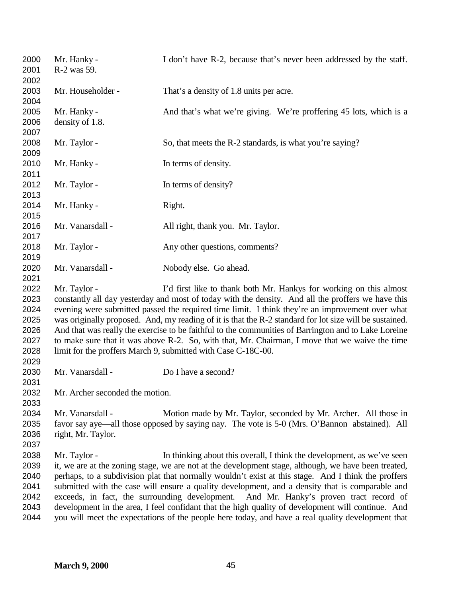| 2000<br>2001<br>2002                                         | Mr. Hanky -<br>R-2 was 59.             | I don't have R-2, because that's never been addressed by the staff.                                                                                                                                                                                                                                                                                                                                                                                                                                                                                                                                                                                                                         |
|--------------------------------------------------------------|----------------------------------------|---------------------------------------------------------------------------------------------------------------------------------------------------------------------------------------------------------------------------------------------------------------------------------------------------------------------------------------------------------------------------------------------------------------------------------------------------------------------------------------------------------------------------------------------------------------------------------------------------------------------------------------------------------------------------------------------|
| 2003<br>2004                                                 | Mr. Householder -                      | That's a density of 1.8 units per acre.                                                                                                                                                                                                                                                                                                                                                                                                                                                                                                                                                                                                                                                     |
| 2005<br>2006<br>2007                                         | Mr. Hanky -<br>density of 1.8.         | And that's what we're giving. We're proffering 45 lots, which is a                                                                                                                                                                                                                                                                                                                                                                                                                                                                                                                                                                                                                          |
| 2008<br>2009                                                 | Mr. Taylor -                           | So, that meets the R-2 standards, is what you're saying?                                                                                                                                                                                                                                                                                                                                                                                                                                                                                                                                                                                                                                    |
| 2010<br>2011                                                 | Mr. Hanky -                            | In terms of density.                                                                                                                                                                                                                                                                                                                                                                                                                                                                                                                                                                                                                                                                        |
| 2012<br>2013                                                 | Mr. Taylor -                           | In terms of density?                                                                                                                                                                                                                                                                                                                                                                                                                                                                                                                                                                                                                                                                        |
| 2014<br>2015                                                 | Mr. Hanky -                            | Right.                                                                                                                                                                                                                                                                                                                                                                                                                                                                                                                                                                                                                                                                                      |
| 2016<br>2017                                                 | Mr. Vanarsdall -                       | All right, thank you. Mr. Taylor.                                                                                                                                                                                                                                                                                                                                                                                                                                                                                                                                                                                                                                                           |
| 2018<br>2019                                                 | Mr. Taylor -                           | Any other questions, comments?                                                                                                                                                                                                                                                                                                                                                                                                                                                                                                                                                                                                                                                              |
| 2020<br>2021                                                 | Mr. Vanarsdall -                       | Nobody else. Go ahead.                                                                                                                                                                                                                                                                                                                                                                                                                                                                                                                                                                                                                                                                      |
| 2022<br>2023<br>2024<br>2025<br>2026<br>2027<br>2028<br>2029 | Mr. Taylor -                           | I'd first like to thank both Mr. Hankys for working on this almost<br>constantly all day yesterday and most of today with the density. And all the proffers we have this<br>evening were submitted passed the required time limit. I think they're an improvement over what<br>was originally proposed. And, my reading of it is that the R-2 standard for lot size will be sustained.<br>And that was really the exercise to be faithful to the communities of Barrington and to Lake Loreine<br>to make sure that it was above R-2. So, with that, Mr. Chairman, I move that we waive the time<br>limit for the proffers March 9, submitted with Case C-18C-00.                           |
| 2030<br>2031                                                 | Mr. Vanarsdall -                       | Do I have a second?                                                                                                                                                                                                                                                                                                                                                                                                                                                                                                                                                                                                                                                                         |
| 2032<br>2033                                                 | Mr. Archer seconded the motion.        |                                                                                                                                                                                                                                                                                                                                                                                                                                                                                                                                                                                                                                                                                             |
| 2034<br>2035<br>2036<br>2037                                 | Mr. Vanarsdall -<br>right, Mr. Taylor. | Motion made by Mr. Taylor, seconded by Mr. Archer. All those in<br>favor say aye—all those opposed by saying nay. The vote is 5-0 (Mrs. O'Bannon abstained). All                                                                                                                                                                                                                                                                                                                                                                                                                                                                                                                            |
| 2038<br>2039<br>2040<br>2041<br>2042<br>2043<br>2044         | Mr. Taylor -                           | In thinking about this overall, I think the development, as we've seen<br>it, we are at the zoning stage, we are not at the development stage, although, we have been treated,<br>perhaps, to a subdivision plat that normally wouldn't exist at this stage. And I think the proffers<br>submitted with the case will ensure a quality development, and a density that is comparable and<br>exceeds, in fact, the surrounding development. And Mr. Hanky's proven tract record of<br>development in the area, I feel confidant that the high quality of development will continue. And<br>you will meet the expectations of the people here today, and have a real quality development that |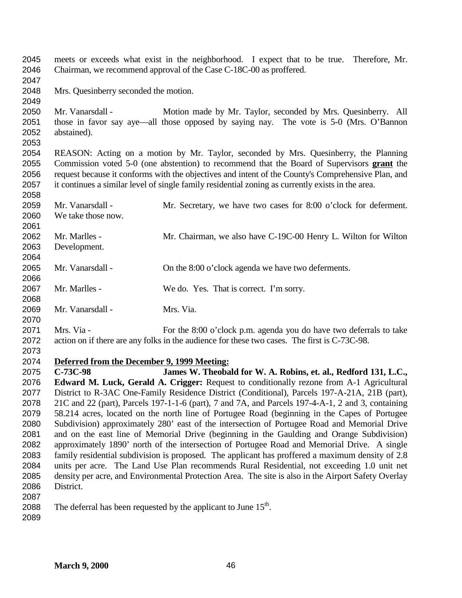meets or exceeds what exist in the neighborhood. I expect that to be true. Therefore, Mr. Chairman, we recommend approval of the Case C-18C-00 as proffered. Mrs. Quesinberry seconded the motion. Mr. Vanarsdall - Motion made by Mr. Taylor, seconded by Mrs. Quesinberry. All those in favor say aye—all those opposed by saying nay. The vote is 5-0 (Mrs. O'Bannon abstained). REASON: Acting on a motion by Mr. Taylor, seconded by Mrs. Quesinberry, the Planning Commission voted 5-0 (one abstention) to recommend that the Board of Supervisors **grant** the request because it conforms with the objectives and intent of the County's Comprehensive Plan, and it continues a similar level of single family residential zoning as currently exists in the area. Mr. Vanarsdall - Mr. Secretary, we have two cases for 8:00 o'clock for deferment. We take those now. Mr. Marlles - Mr. Chairman, we also have C-19C-00 Henry L. Wilton for Wilton Development. Mr. Vanarsdall - On the 8:00 o'clock agenda we have two deferments. Mr. Marlles - We do. Yes. That is correct. I'm sorry. Mr. Vanarsdall - Mrs. Via. Mrs. Via - For the 8:00 o'clock p.m. agenda you do have two deferrals to take action on if there are any folks in the audience for these two cases. The first is C-73C-98. **Deferred from the December 9, 1999 Meeting: C-73C-98 James W. Theobald for W. A. Robins, et. al., Redford 131, L.C., Edward M. Luck, Gerald A. Crigger:** Request to conditionally rezone from A-1 Agricultural District to R-3AC One-Family Residence District (Conditional), Parcels 197-A-21A, 21B (part), 21C and 22 (part), Parcels 197-1-1-6 (part), 7 and 7A, and Parcels 197-4-A-1, 2 and 3, containing

 58.214 acres, located on the north line of Portugee Road (beginning in the Capes of Portugee Subdivision) approximately 280' east of the intersection of Portugee Road and Memorial Drive and on the east line of Memorial Drive (beginning in the Gaulding and Orange Subdivision) approximately 1890' north of the intersection of Portugee Road and Memorial Drive. A single family residential subdivision is proposed. The applicant has proffered a maximum density of 2.8 units per acre. The Land Use Plan recommends Rural Residential, not exceeding 1.0 unit net density per acre, and Environmental Protection Area. The site is also in the Airport Safety Overlay District. 

2088 . The deferral has been requested by the applicant to June  $15<sup>th</sup>$ .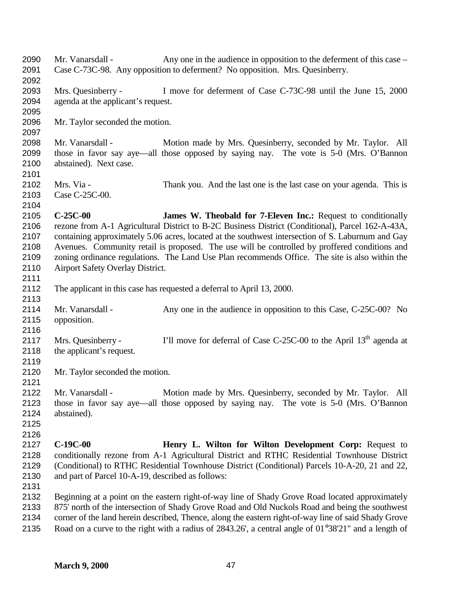| 2090<br>2091                                         | Mr. Vanarsdall -                                                | Any one in the audience in opposition to the deferment of this case –<br>Case C-73C-98. Any opposition to deferment? No opposition. Mrs. Quesinberry.                                                                                                                                                                                                                                                                                                                            |
|------------------------------------------------------|-----------------------------------------------------------------|----------------------------------------------------------------------------------------------------------------------------------------------------------------------------------------------------------------------------------------------------------------------------------------------------------------------------------------------------------------------------------------------------------------------------------------------------------------------------------|
| 2092<br>2093<br>2094                                 | Mrs. Quesinberry -<br>agenda at the applicant's request.        | I move for deferment of Case C-73C-98 until the June 15, 2000                                                                                                                                                                                                                                                                                                                                                                                                                    |
| 2095<br>2096<br>2097                                 | Mr. Taylor seconded the motion.                                 |                                                                                                                                                                                                                                                                                                                                                                                                                                                                                  |
| 2098<br>2099<br>2100<br>2101                         | Mr. Vanarsdall -<br>abstained). Next case.                      | Motion made by Mrs. Quesinberry, seconded by Mr. Taylor. All<br>those in favor say aye—all those opposed by saying nay. The vote is 5-0 (Mrs. O'Bannon                                                                                                                                                                                                                                                                                                                           |
| 2102<br>2103<br>2104                                 | Mrs. Via -<br>Case C-25C-00.                                    | Thank you. And the last one is the last case on your agenda. This is                                                                                                                                                                                                                                                                                                                                                                                                             |
| 2105<br>2106<br>2107<br>2108<br>2109<br>2110<br>2111 | $C-25C-00$<br>Airport Safety Overlay District.                  | <b>James W. Theobald for 7-Eleven Inc.:</b> Request to conditionally<br>rezone from A-1 Agricultural District to B-2C Business District (Conditional), Parcel 162-A-43A,<br>containing approximately 5.06 acres, located at the southwest intersection of S. Laburnum and Gay<br>Avenues. Community retail is proposed. The use will be controlled by proffered conditions and<br>zoning ordinance regulations. The Land Use Plan recommends Office. The site is also within the |
| 2112<br>2113                                         |                                                                 | The applicant in this case has requested a deferral to April 13, 2000.                                                                                                                                                                                                                                                                                                                                                                                                           |
| 2114<br>2115                                         | Mr. Vanarsdall -<br>opposition.                                 | Any one in the audience in opposition to this Case, C-25C-00? No                                                                                                                                                                                                                                                                                                                                                                                                                 |
| 2116<br>2117<br>2118                                 | Mrs. Quesinberry -<br>the applicant's request.                  | I'll move for deferral of Case C-25C-00 to the April $13th$ agenda at                                                                                                                                                                                                                                                                                                                                                                                                            |
| 2119<br>2120<br>2121                                 | Mr. Taylor seconded the motion.                                 |                                                                                                                                                                                                                                                                                                                                                                                                                                                                                  |
| 2122<br>2123<br>2124<br>2125                         | Mr. Vanarsdall -<br>abstained).                                 | Motion made by Mrs. Quesinberry, seconded by Mr. Taylor. All<br>those in favor say aye—all those opposed by saying nay. The vote is 5-0 (Mrs. O'Bannon                                                                                                                                                                                                                                                                                                                           |
| 2126<br>2127<br>2128<br>2129<br>2130                 | $C-19C-00$<br>and part of Parcel 10-A-19, described as follows: | Henry L. Wilton for Wilton Development Corp: Request to<br>conditionally rezone from A-1 Agricultural District and RTHC Residential Townhouse District<br>(Conditional) to RTHC Residential Townhouse District (Conditional) Parcels 10-A-20, 21 and 22,                                                                                                                                                                                                                         |
| 2131<br>2132<br>2133<br>2134<br>2135                 |                                                                 | Beginning at a point on the eastern right-of-way line of Shady Grove Road located approximately<br>875' north of the intersection of Shady Grove Road and Old Nuckols Road and being the southwest<br>corner of the land herein described, Thence, along the eastern right-of-way line of said Shady Grove<br>Road on a curve to the right with a radius of 2843.26', a central angle of $01^{\circ}38'21''$ and a length of                                                     |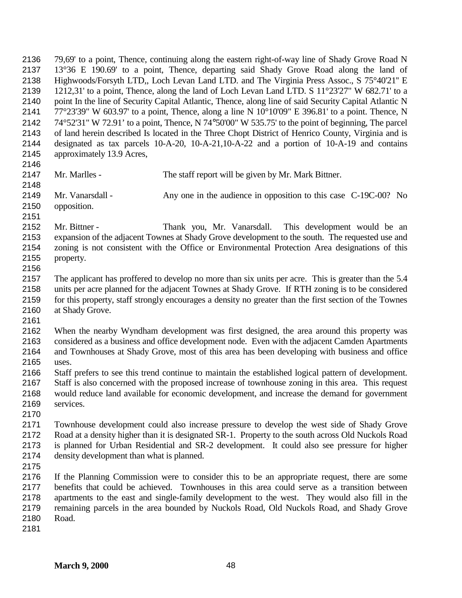79,69' to a point, Thence, continuing along the eastern right-of-way line of Shady Grove Road N 13°36 E 190.69' to a point, Thence, departing said Shady Grove Road along the land of Highwoods/Forsyth LTD,, Loch Levan Land LTD. and The Virginia Press Assoc., S 75°40'21'' E 1212,31' to a point, Thence, along the land of Loch Levan Land LTD. S 11°23'27" W 682.71' to a 2140 point In the line of Security Capital Atlantic, Thence, along line of said Security Capital Atlantic N  $77^{\circ}23'39''$  W 603.97' to a point, Thence, along a line N 10°10'09" E 396.81' to a point. Thence, N 74°52'31" W 72.91' to a point, Thence, N 74°50'00" W 535.75' to the point of beginning, The parcel of land herein described Is located in the Three Chopt District of Henrico County, Virginia and is designated as tax parcels 10-A-20, 10-A-21,10-A-22 and a portion of 10-A-19 and contains approximately 13.9 Acres, Mr. Marlles - The staff report will be given by Mr. Mark Bittner. Mr. Vanarsdall - Any one in the audience in opposition to this case C-19C-00? No opposition. Mr. Bittner - Thank you, Mr. Vanarsdall. This development would be an expansion of the adjacent Townes at Shady Grove development to the south. The requested use and zoning is not consistent with the Office or Environmental Protection Area designations of this property. 2157 The applicant has proffered to develop no more than six units per acre. This is greater than the 5.4 units per acre planned for the adjacent Townes at Shady Grove. If RTH zoning is to be considered for this property, staff strongly encourages a density no greater than the first section of the Townes at Shady Grove. When the nearby Wyndham development was first designed, the area around this property was considered as a business and office development node. Even with the adjacent Camden Apartments and Townhouses at Shady Grove, most of this area has been developing with business and office uses. Staff prefers to see this trend continue to maintain the established logical pattern of development.

 Staff is also concerned with the proposed increase of townhouse zoning in this area. This request would reduce land available for economic development, and increase the demand for government services. 

 Townhouse development could also increase pressure to develop the west side of Shady Grove Road at a density higher than it is designated SR-1. Property to the south across Old Nuckols Road is planned for Urban Residential and SR-2 development. It could also see pressure for higher density development than what is planned.

 If the Planning Commission were to consider this to be an appropriate request, there are some benefits that could be achieved. Townhouses in this area could serve as a transition between apartments to the east and single-family development to the west. They would also fill in the remaining parcels in the area bounded by Nuckols Road, Old Nuckols Road, and Shady Grove Road.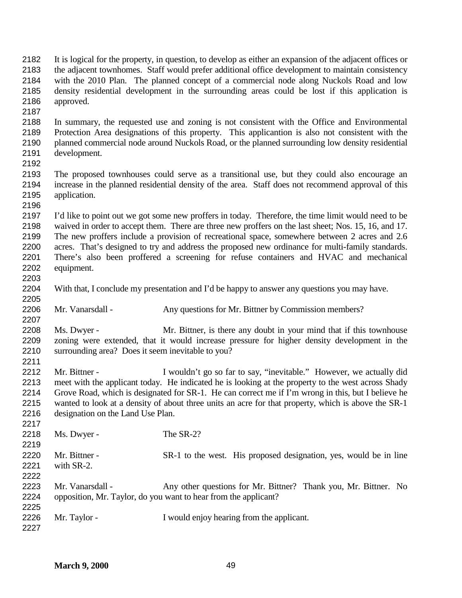density residential development in the surrounding areas could be lost if this application is approved. In summary, the requested use and zoning is not consistent with the Office and Environmental Protection Area designations of this property. This applicantion is also not consistent with the planned commercial node around Nuckols Road, or the planned surrounding low density residential development. The proposed townhouses could serve as a transitional use, but they could also encourage an increase in the planned residential density of the area. Staff does not recommend approval of this application. I'd like to point out we got some new proffers in today. Therefore, the time limit would need to be waived in order to accept them. There are three new proffers on the last sheet; Nos. 15, 16, and 17. The new proffers include a provision of recreational space, somewhere between 2 acres and 2.6 acres. That's designed to try and address the proposed new ordinance for multi-family standards. There's also been proffered a screening for refuse containers and HVAC and mechanical equipment. With that, I conclude my presentation and I'd be happy to answer any questions you may have. 2206 Mr. Vanarsdall - Any questions for Mr. Bittner by Commission members? Ms. Dwyer - Mr. Bittner, is there any doubt in your mind that if this townhouse zoning were extended, that it would increase pressure for higher density development in the surrounding area? Does it seem inevitable to you? Mr. Bittner - I wouldn't go so far to say, "inevitable." However, we actually did meet with the applicant today. He indicated he is looking at the property to the west across Shady Grove Road, which is designated for SR-1. He can correct me if I'm wrong in this, but I believe he wanted to look at a density of about three units an acre for that property, which is above the SR-1 designation on the Land Use Plan. 2218 Ms. Dwyer - The SR-2? Mr. Bittner - SR-1 to the west. His proposed designation, yes, would be in line with SR-2. 2223 Mr. Vanarsdall - Any other questions for Mr. Bittner? Thank you, Mr. Bittner. No opposition, Mr. Taylor, do you want to hear from the applicant? 2226 Mr. Taylor - I would enjoy hearing from the applicant. 

 It is logical for the property, in question, to develop as either an expansion of the adjacent offices or the adjacent townhomes. Staff would prefer additional office development to maintain consistency with the 2010 Plan. The planned concept of a commercial node along Nuckols Road and low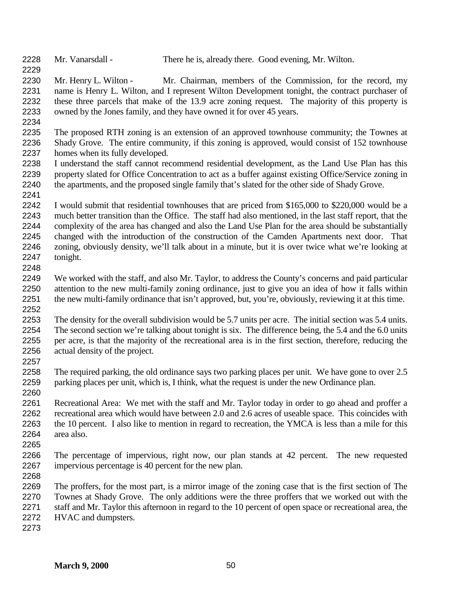Mr. Vanarsdall - There he is, already there. Good evening, Mr. Wilton.

2230 Mr. Henry L. Wilton - Mr. Chairman, members of the Commission, for the record, my name is Henry L. Wilton, and I represent Wilton Development tonight, the contract purchaser of these three parcels that make of the 13.9 acre zoning request. The majority of this property is owned by the Jones family, and they have owned it for over 45 years.

 The proposed RTH zoning is an extension of an approved townhouse community; the Townes at Shady Grove. The entire community, if this zoning is approved, would consist of 152 townhouse homes when its fully developed.

 I understand the staff cannot recommend residential development, as the Land Use Plan has this property slated for Office Concentration to act as a buffer against existing Office/Service zoning in the apartments, and the proposed single family that's slated for the other side of Shady Grove. 

 I would submit that residential townhouses that are priced from \$165,000 to \$220,000 would be a much better transition than the Office. The staff had also mentioned, in the last staff report, that the complexity of the area has changed and also the Land Use Plan for the area should be substantially changed with the introduction of the construction of the Camden Apartments next door. That zoning, obviously density, we'll talk about in a minute, but it is over twice what we're looking at tonight. 

 We worked with the staff, and also Mr. Taylor, to address the County's concerns and paid particular attention to the new multi-family zoning ordinance, just to give you an idea of how it falls within the new multi-family ordinance that isn't approved, but, you're, obviously, reviewing it at this time. 

 The density for the overall subdivision would be 5.7 units per acre. The initial section was 5.4 units. The second section we're talking about tonight is six. The difference being, the 5.4 and the 6.0 units per acre, is that the majority of the recreational area is in the first section, therefore, reducing the actual density of the project.

 The required parking, the old ordinance says two parking places per unit. We have gone to over 2.5 parking places per unit, which is, I think, what the request is under the new Ordinance plan.

 Recreational Area: We met with the staff and Mr. Taylor today in order to go ahead and proffer a recreational area which would have between 2.0 and 2.6 acres of useable space. This coincides with the 10 percent. I also like to mention in regard to recreation, the YMCA is less than a mile for this area also.

 The percentage of impervious, right now, our plan stands at 42 percent. The new requested impervious percentage is 40 percent for the new plan.

 The proffers, for the most part, is a mirror image of the zoning case that is the first section of The Townes at Shady Grove. The only additions were the three proffers that we worked out with the staff and Mr. Taylor this afternoon in regard to the 10 percent of open space or recreational area, the HVAC and dumpsters.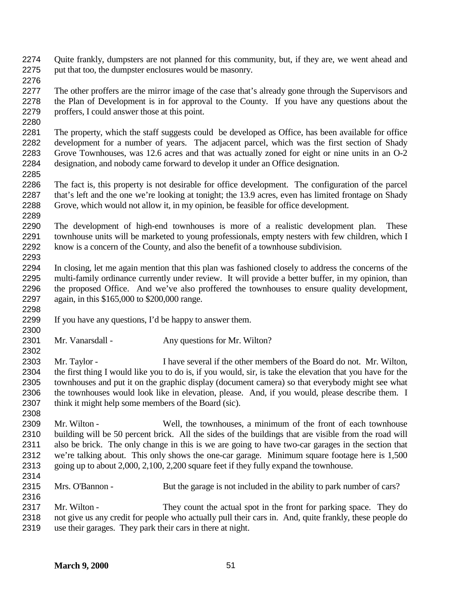Quite frankly, dumpsters are not planned for this community, but, if they are, we went ahead and put that too, the dumpster enclosures would be masonry.

 The other proffers are the mirror image of the case that's already gone through the Supervisors and the Plan of Development is in for approval to the County. If you have any questions about the proffers, I could answer those at this point.

 The property, which the staff suggests could be developed as Office, has been available for office development for a number of years. The adjacent parcel, which was the first section of Shady Grove Townhouses, was 12.6 acres and that was actually zoned for eight or nine units in an O-2 designation, and nobody came forward to develop it under an Office designation. 

 The fact is, this property is not desirable for office development. The configuration of the parcel that's left and the one we're looking at tonight; the 13.9 acres, even has limited frontage on Shady Grove, which would not allow it, in my opinion, be feasible for office development. 

 The development of high-end townhouses is more of a realistic development plan. These townhouse units will be marketed to young professionals, empty nesters with few children, which I know is a concern of the County, and also the benefit of a townhouse subdivision. 

 In closing, let me again mention that this plan was fashioned closely to address the concerns of the multi-family ordinance currently under review. It will provide a better buffer, in my opinion, than the proposed Office. And we've also proffered the townhouses to ensure quality development, again, in this \$165,000 to \$200,000 range.

- If you have any questions, I'd be happy to answer them.
- 2301 Mr. Vanarsdall Any questions for Mr. Wilton?

 Mr. Taylor - I have several if the other members of the Board do not. Mr. Wilton, the first thing I would like you to do is, if you would, sir, is take the elevation that you have for the townhouses and put it on the graphic display (document camera) so that everybody might see what the townhouses would look like in elevation, please. And, if you would, please describe them. I think it might help some members of the Board (sic).

 Mr. Wilton - Well, the townhouses, a minimum of the front of each townhouse building will be 50 percent brick. All the sides of the buildings that are visible from the road will also be brick. The only change in this is we are going to have two-car garages in the section that we're talking about. This only shows the one-car garage. Minimum square footage here is 1,500 going up to about 2,000, 2,100, 2,200 square feet if they fully expand the townhouse.

- Mrs. O'Bannon But the garage is not included in the ability to park number of cars?
- Mr. Wilton They count the actual spot in the front for parking space. They do not give us any credit for people who actually pull their cars in. And, quite frankly, these people do use their garages. They park their cars in there at night.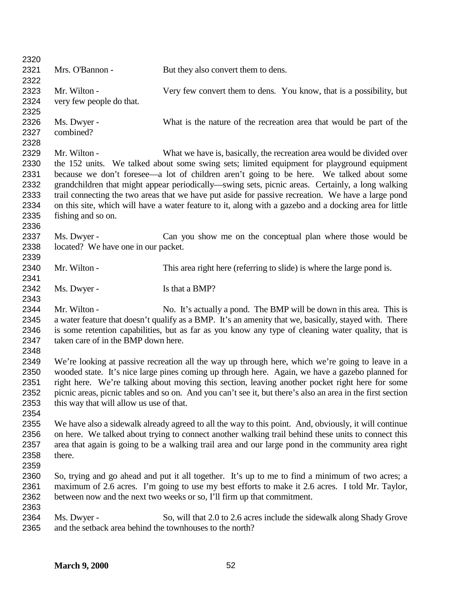| 2320         |                                                                         |                                                                                                            |
|--------------|-------------------------------------------------------------------------|------------------------------------------------------------------------------------------------------------|
| 2321         | Mrs. O'Bannon -                                                         | But they also convert them to dens.                                                                        |
| 2322         |                                                                         |                                                                                                            |
| 2323         | Mr. Wilton -                                                            | Very few convert them to dens. You know, that is a possibility, but                                        |
| 2324         | very few people do that.                                                |                                                                                                            |
| 2325         |                                                                         |                                                                                                            |
| 2326         | Ms. Dwyer -                                                             | What is the nature of the recreation area that would be part of the                                        |
| 2327         | combined?                                                               |                                                                                                            |
| 2328         |                                                                         |                                                                                                            |
| 2329         | Mr. Wilton -                                                            | What we have is, basically, the recreation area would be divided over                                      |
| 2330         |                                                                         | the 152 units. We talked about some swing sets; limited equipment for playground equipment                 |
| 2331         |                                                                         | because we don't foresee—a lot of children aren't going to be here. We talked about some                   |
| 2332         |                                                                         | grandchildren that might appear periodically—swing sets, picnic areas. Certainly, a long walking           |
| 2333         |                                                                         | trail connecting the two areas that we have put aside for passive recreation. We have a large pond         |
| 2334         |                                                                         | on this site, which will have a water feature to it, along with a gazebo and a docking area for little     |
| 2335         | fishing and so on.                                                      |                                                                                                            |
| 2336         |                                                                         |                                                                                                            |
| 2337         | Ms. Dwyer -                                                             | Can you show me on the conceptual plan where those would be                                                |
| 2338         | located? We have one in our packet.                                     |                                                                                                            |
| 2339         |                                                                         |                                                                                                            |
| 2340         | Mr. Wilton -                                                            | This area right here (referring to slide) is where the large pond is.                                      |
| 2341         |                                                                         |                                                                                                            |
| 2342         | Ms. Dwyer -                                                             | Is that a BMP?                                                                                             |
| 2343         |                                                                         |                                                                                                            |
| 2344         | Mr. Wilton -                                                            | No. It's actually a pond. The BMP will be down in this area. This is                                       |
| 2345         |                                                                         | a water feature that doesn't qualify as a BMP. It's an amenity that we, basically, stayed with. There      |
| 2346         |                                                                         | is some retention capabilities, but as far as you know any type of cleaning water quality, that is         |
| 2347         | taken care of in the BMP down here.                                     |                                                                                                            |
| 2348         |                                                                         |                                                                                                            |
| 2349         |                                                                         | We're looking at passive recreation all the way up through here, which we're going to leave in a           |
| 2350         |                                                                         | wooded state. It's nice large pines coming up through here. Again, we have a gazebo planned for            |
| 2351         |                                                                         | right here. We're talking about moving this section, leaving another pocket right here for some            |
| 2352         |                                                                         | picnic areas, picnic tables and so on. And you can't see it, but there's also an area in the first section |
| 2353         | this way that will allow us use of that.                                |                                                                                                            |
| 2354         |                                                                         |                                                                                                            |
| 2355         |                                                                         | We have also a sidewalk already agreed to all the way to this point. And, obviously, it will continue      |
| 2356         |                                                                         | on here. We talked about trying to connect another walking trail behind these units to connect this        |
| 2357         |                                                                         | area that again is going to be a walking trail area and our large pond in the community area right         |
| 2358         | there.                                                                  |                                                                                                            |
| 2359         |                                                                         |                                                                                                            |
| 2360         |                                                                         | So, trying and go ahead and put it all together. It's up to me to find a minimum of two acres; a           |
| 2361         |                                                                         | maximum of 2.6 acres. I'm going to use my best efforts to make it 2.6 acres. I told Mr. Taylor,            |
| 2362         |                                                                         | between now and the next two weeks or so, I'll firm up that commitment.                                    |
| 2363         |                                                                         |                                                                                                            |
| 2364<br>2365 | Ms. Dwyer -<br>and the setback area behind the townhouses to the north? | So, will that 2.0 to 2.6 acres include the sidewalk along Shady Grove                                      |
|              |                                                                         |                                                                                                            |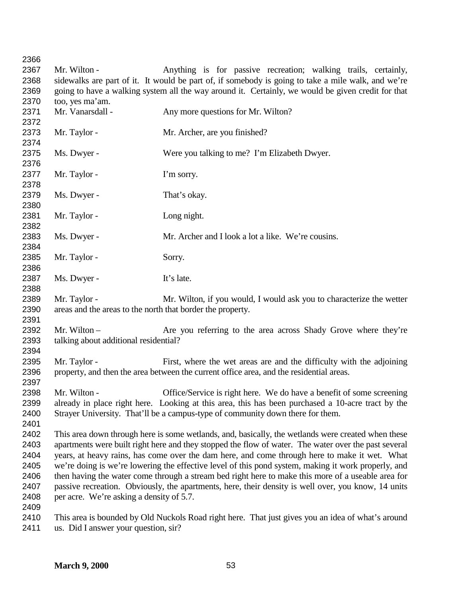Mr. Wilton - Anything is for passive recreation; walking trails, certainly, sidewalks are part of it. It would be part of, if somebody is going to take a mile walk, and we're going to have a walking system all the way around it. Certainly, we would be given credit for that too, yes ma'am. 2371 Mr. Vanarsdall - Any more questions for Mr. Wilton? 2373 Mr. Taylor - Mr. Archer, are you finished? Ms. Dwyer - Were you talking to me? I'm Elizabeth Dwyer. 2377 Mr. Taylor - I'm sorry. 2379 Ms. Dwyer - That's okay. Mr. Taylor - Long night. 2383 Ms. Dwyer - Mr. Archer and I look a lot a like. We're cousins. 2385 Mr. Taylor - Sorry. 2387 Ms. Dwyer - It's late. 2389 Mr. Taylor - Mr. Wilton, if you would, I would ask you to characterize the wetter areas and the areas to the north that border the property. 2392 Mr. Wilton – Are you referring to the area across Shady Grove where they're talking about additional residential? Mr. Taylor - First, where the wet areas are and the difficulty with the adjoining property, and then the area between the current office area, and the residential areas. Mr. Wilton - Office/Service is right here. We do have a benefit of some screening already in place right here. Looking at this area, this has been purchased a 10-acre tract by the Strayer University. That'll be a campus-type of community down there for them. This area down through here is some wetlands, and, basically, the wetlands were created when these apartments were built right here and they stopped the flow of water. The water over the past several years, at heavy rains, has come over the dam here, and come through here to make it wet. What we're doing is we're lowering the effective level of this pond system, making it work properly, and then having the water come through a stream bed right here to make this more of a useable area for passive recreation. Obviously, the apartments, here, their density is well over, you know, 14 units per acre. We're asking a density of 5.7. This area is bounded by Old Nuckols Road right here. That just gives you an idea of what's around

us. Did I answer your question, sir?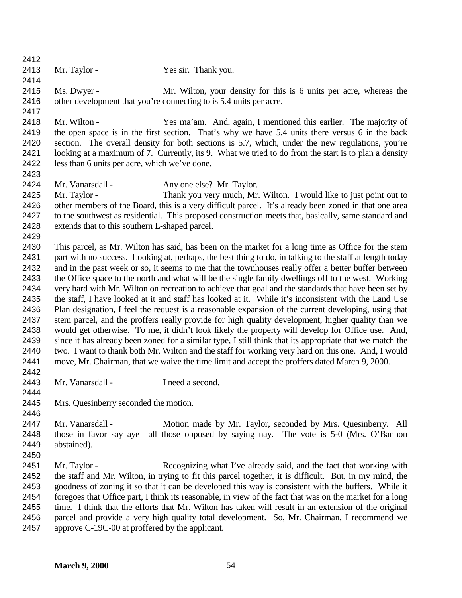- 2413 Mr. Taylor Yes sir. Thank you.
	-
- Ms. Dwyer Mr. Wilton, your density for this is 6 units per acre, whereas the other development that you're connecting to is 5.4 units per acre.
- Mr. Wilton Yes ma'am. And, again, I mentioned this earlier. The majority of the open space is in the first section. That's why we have 5.4 units there versus 6 in the back section. The overall density for both sections is 5.7, which, under the new regulations, you're looking at a maximum of 7. Currently, its 9. What we tried to do from the start is to plan a density less than 6 units per acre, which we've done.
- 
- Mr. Vanarsdall Any one else? Mr. Taylor.
- Mr. Taylor Thank you very much, Mr. Wilton. I would like to just point out to other members of the Board, this is a very difficult parcel. It's already been zoned in that one area to the southwest as residential. This proposed construction meets that, basically, same standard and extends that to this southern L-shaped parcel.
- 

 This parcel, as Mr. Wilton has said, has been on the market for a long time as Office for the stem part with no success. Looking at, perhaps, the best thing to do, in talking to the staff at length today and in the past week or so, it seems to me that the townhouses really offer a better buffer between the Office space to the north and what will be the single family dwellings off to the west. Working very hard with Mr. Wilton on recreation to achieve that goal and the standards that have been set by the staff, I have looked at it and staff has looked at it. While it's inconsistent with the Land Use Plan designation, I feel the request is a reasonable expansion of the current developing, using that stem parcel, and the proffers really provide for high quality development, higher quality than we would get otherwise. To me, it didn't look likely the property will develop for Office use. And, since it has already been zoned for a similar type, I still think that its appropriate that we match the two. I want to thank both Mr. Wilton and the staff for working very hard on this one. And, I would move, Mr. Chairman, that we waive the time limit and accept the proffers dated March 9, 2000. 

- 2443 Mr. Vanarsdall I need a second.
- 
- Mrs. Quesinberry seconded the motion.
- 
- 2447 Mr. Vanarsdall Motion made by Mr. Taylor, seconded by Mrs. Quesinberry. All those in favor say aye—all those opposed by saying nay. The vote is 5-0 (Mrs. O'Bannon abstained).
- 
- Mr. Taylor - Recognizing what I've already said, and the fact that working with the staff and Mr. Wilton, in trying to fit this parcel together, it is difficult. But, in my mind, the goodness of zoning it so that it can be developed this way is consistent with the buffers. While it foregoes that Office part, I think its reasonable, in view of the fact that was on the market for a long time. I think that the efforts that Mr. Wilton has taken will result in an extension of the original parcel and provide a very high quality total development. So, Mr. Chairman, I recommend we approve C-19C-00 at proffered by the applicant.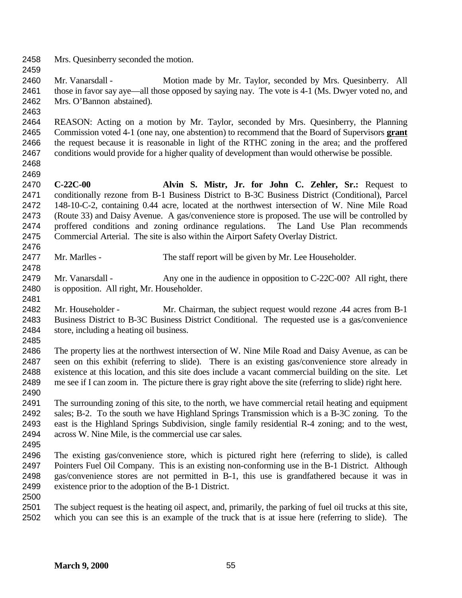- Mrs. Quesinberry seconded the motion.
- 

2460 Mr. Vanarsdall - Motion made by Mr. Taylor, seconded by Mrs. Quesinberry. All those in favor say aye—all those opposed by saying nay. The vote is 4-1 (Ms. Dwyer voted no, and Mrs. O'Bannon abstained).

 REASON: Acting on a motion by Mr. Taylor, seconded by Mrs. Quesinberry, the Planning Commission voted 4-1 (one nay, one abstention) to recommend that the Board of Supervisors **grant** the request because it is reasonable in light of the RTHC zoning in the area; and the proffered conditions would provide for a higher quality of development than would otherwise be possible.

 

 **C-22C-00 Alvin S. Mistr, Jr. for John C. Zehler, Sr.:** Request to conditionally rezone from B-1 Business District to B-3C Business District (Conditional), Parcel 148-10-C-2, containing 0.44 acre, located at the northwest intersection of W. Nine Mile Road (Route 33) and Daisy Avenue. A gas/convenience store is proposed. The use will be controlled by proffered conditions and zoning ordinance regulations. The Land Use Plan recommends Commercial Arterial. The site is also within the Airport Safety Overlay District. 

- 2477 Mr. Marlles The staff report will be given by Mr. Lee Householder.
- 2479 Mr. Vanarsdall Any one in the audience in opposition to C-22C-00? All right, there is opposition. All right, Mr. Householder.
- Mr. Householder Mr. Chairman, the subject request would rezone .44 acres from B-1 Business District to B-3C Business District Conditional. The requested use is a gas/convenience store, including a heating oil business.

 The property lies at the northwest intersection of W. Nine Mile Road and Daisy Avenue, as can be seen on this exhibit (referring to slide). There is an existing gas/convenience store already in existence at this location, and this site does include a vacant commercial building on the site. Let me see if I can zoom in. The picture there is gray right above the site (referring to slide) right here. 

- The surrounding zoning of this site, to the north, we have commercial retail heating and equipment sales; B-2. To the south we have Highland Springs Transmission which is a B-3C zoning. To the east is the Highland Springs Subdivision, single family residential R-4 zoning; and to the west, across W. Nine Mile, is the commercial use car sales.
- The existing gas/convenience store, which is pictured right here (referring to slide), is called Pointers Fuel Oil Company. This is an existing non-conforming use in the B-1 District. Although gas/convenience stores are not permitted in B-1, this use is grandfathered because it was in existence prior to the adoption of the B-1 District.

 The subject request is the heating oil aspect, and, primarily, the parking of fuel oil trucks at this site, which you can see this is an example of the truck that is at issue here (referring to slide). The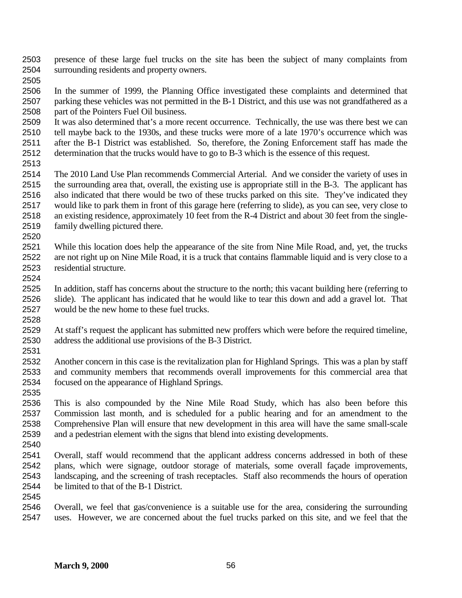- presence of these large fuel trucks on the site has been the subject of many complaints from surrounding residents and property owners.
- 

 In the summer of 1999, the Planning Office investigated these complaints and determined that parking these vehicles was not permitted in the B-1 District, and this use was not grandfathered as a part of the Pointers Fuel Oil business.

 It was also determined that's a more recent occurrence. Technically, the use was there best we can tell maybe back to the 1930s, and these trucks were more of a late 1970's occurrence which was after the B-1 District was established. So, therefore, the Zoning Enforcement staff has made the determination that the trucks would have to go to B-3 which is the essence of this request.

 The 2010 Land Use Plan recommends Commercial Arterial. And we consider the variety of uses in the surrounding area that, overall, the existing use is appropriate still in the B-3. The applicant has also indicated that there would be two of these trucks parked on this site. They've indicated they would like to park them in front of this garage here (referring to slide), as you can see, very close to an existing residence, approximately 10 feet from the R-4 District and about 30 feet from the single-family dwelling pictured there.

 While this location does help the appearance of the site from Nine Mile Road, and, yet, the trucks are not right up on Nine Mile Road, it is a truck that contains flammable liquid and is very close to a residential structure. 

 In addition, staff has concerns about the structure to the north; this vacant building here (referring to slide). The applicant has indicated that he would like to tear this down and add a gravel lot. That would be the new home to these fuel trucks. 

 At staff's request the applicant has submitted new proffers which were before the required timeline, address the additional use provisions of the B-3 District. 

 Another concern in this case is the revitalization plan for Highland Springs. This was a plan by staff and community members that recommends overall improvements for this commercial area that focused on the appearance of Highland Springs.

 This is also compounded by the Nine Mile Road Study, which has also been before this Commission last month, and is scheduled for a public hearing and for an amendment to the Comprehensive Plan will ensure that new development in this area will have the same small-scale and a pedestrian element with the signs that blend into existing developments.

 Overall, staff would recommend that the applicant address concerns addressed in both of these plans, which were signage, outdoor storage of materials, some overall façade improvements, landscaping, and the screening of trash receptacles. Staff also recommends the hours of operation be limited to that of the B-1 District.

 Overall, we feel that gas/convenience is a suitable use for the area, considering the surrounding uses. However, we are concerned about the fuel trucks parked on this site, and we feel that the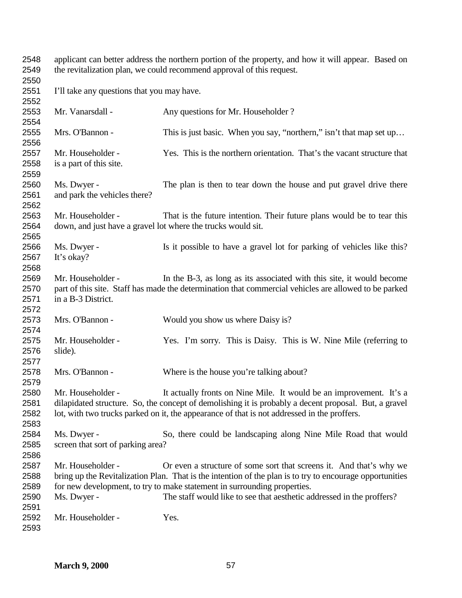applicant can better address the northern portion of the property, and how it will appear. Based on the revitalization plan, we could recommend approval of this request. I'll take any questions that you may have. 2553 Mr. Vanarsdall - Any questions for Mr. Householder ? Mrs. O'Bannon - This is just basic. When you say, "northern," isn't that map set up… Mr. Householder - Yes. This is the northern orientation. That's the vacant structure that is a part of this site. Ms. Dwyer - The plan is then to tear down the house and put gravel drive there and park the vehicles there? Mr. Householder - That is the future intention. Their future plans would be to tear this down, and just have a gravel lot where the trucks would sit. Ms. Dwyer - Is it possible to have a gravel lot for parking of vehicles like this? It's okay? Mr. Householder - In the B-3, as long as its associated with this site, it would become part of this site. Staff has made the determination that commercial vehicles are allowed to be parked in a B-3 District. Mrs. O'Bannon - Would you show us where Daisy is? Mr. Householder - Yes. I'm sorry. This is Daisy. This is W. Nine Mile (referring to slide). Mrs. O'Bannon - Where is the house you're talking about? Mr. Householder - It actually fronts on Nine Mile. It would be an improvement. It's a dilapidated structure. So, the concept of demolishing it is probably a decent proposal. But, a gravel lot, with two trucks parked on it, the appearance of that is not addressed in the proffers. Ms. Dwyer - So, there could be landscaping along Nine Mile Road that would screen that sort of parking area? Mr. Householder - Or even a structure of some sort that screens it. And that's why we bring up the Revitalization Plan. That is the intention of the plan is to try to encourage opportunities for new development, to try to make statement in surrounding properties. Ms. Dwyer - The staff would like to see that aesthetic addressed in the proffers? Mr. Householder - Yes.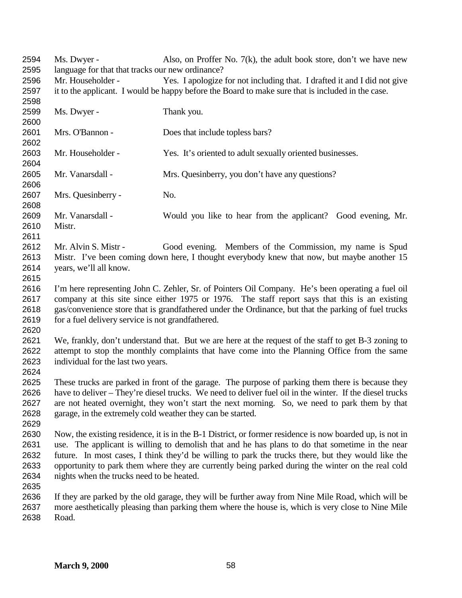2594 Ms. Dwyer - Also, on Proffer No. 7(k), the adult book store, don't we have new language for that that tracks our new ordinance? Mr. Householder - Yes. I apologize for not including that. I drafted it and I did not give it to the applicant. I would be happy before the Board to make sure that is included in the case. Ms. Dwyer - Thank you. Mrs. O'Bannon - Does that include topless bars? Mr. Householder - Yes. It's oriented to adult sexually oriented businesses. 2605 Mr. Vanarsdall - Mrs. Quesinberry, you don't have any questions? Mrs. Quesinberry - No. Mr. Vanarsdall - Would you like to hear from the applicant? Good evening, Mr. Mistr. Mr. Alvin S. Mistr - Good evening. Members of the Commission, my name is Spud Mistr. I've been coming down here, I thought everybody knew that now, but maybe another 15 years, we'll all know. I'm here representing John C. Zehler, Sr. of Pointers Oil Company. He's been operating a fuel oil company at this site since either 1975 or 1976. The staff report says that this is an existing gas/convenience store that is grandfathered under the Ordinance, but that the parking of fuel trucks 2619 for a fuel delivery service is not grandfathered. We, frankly, don't understand that. But we are here at the request of the staff to get B-3 zoning to attempt to stop the monthly complaints that have come into the Planning Office from the same individual for the last two years. These trucks are parked in front of the garage. The purpose of parking them there is because they have to deliver – They're diesel trucks. We need to deliver fuel oil in the winter. If the diesel trucks are not heated overnight, they won't start the next morning. So, we need to park them by that garage, in the extremely cold weather they can be started. Now, the existing residence, it is in the B-1 District, or former residence is now boarded up, is not in use. The applicant is willing to demolish that and he has plans to do that sometime in the near future. In most cases, I think they'd be willing to park the trucks there, but they would like the opportunity to park them where they are currently being parked during the winter on the real cold nights when the trucks need to be heated. If they are parked by the old garage, they will be further away from Nine Mile Road, which will be more aesthetically pleasing than parking them where the house is, which is very close to Nine Mile Road.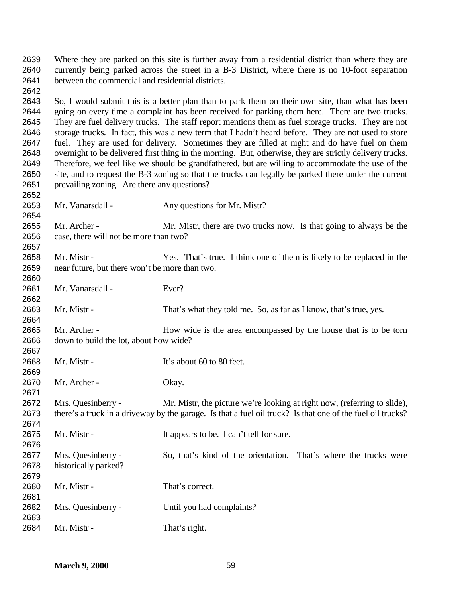Where they are parked on this site is further away from a residential district than where they are currently being parked across the street in a B-3 District, where there is no 10-foot separation between the commercial and residential districts. 

 So, I would submit this is a better plan than to park them on their own site, than what has been going on every time a complaint has been received for parking them here. There are two trucks. They are fuel delivery trucks. The staff report mentions them as fuel storage trucks. They are not storage trucks. In fact, this was a new term that I hadn't heard before. They are not used to store fuel. They are used for delivery. Sometimes they are filled at night and do have fuel on them overnight to be delivered first thing in the morning. But, otherwise, they are strictly delivery trucks. Therefore, we feel like we should be grandfathered, but are willing to accommodate the use of the site, and to request the B-3 zoning so that the trucks can legally be parked there under the current prevailing zoning. Are there any questions?

Mr. Vanarsdall - Any questions for Mr. Mistr?

 Mr. Archer - Mr. Mistr, there are two trucks now. Is that going to always be the case, there will not be more than two? 

 Mr. Mistr - Yes. That's true. I think one of them is likely to be replaced in the near future, but there won't be more than two. 

2661 Mr. Vanarsdall - Ever?

Mr. Mistr - That's what they told me. So, as far as I know, that's true, yes.

 Mr. Archer - How wide is the area encompassed by the house that is to be torn down to build the lot, about how wide? 

2668 Mr. Mistr - It's about 60 to 80 feet. Mr. Archer - Okay. Mrs. Quesinberry - Mr. Mistr, the picture we're looking at right now, (referring to slide), there's a truck in a driveway by the garage. Is that a fuel oil truck? Is that one of the fuel oil trucks? 2675 Mr. Mistr - It appears to be. I can't tell for sure. 

 Mrs. Quesinberry - So, that's kind of the orientation. That's where the trucks were historically parked?

 Mr. Mistr - That's correct. 

 Mrs. Quesinberry - Until you had complaints? 

2684 Mr. Mistr - That's right.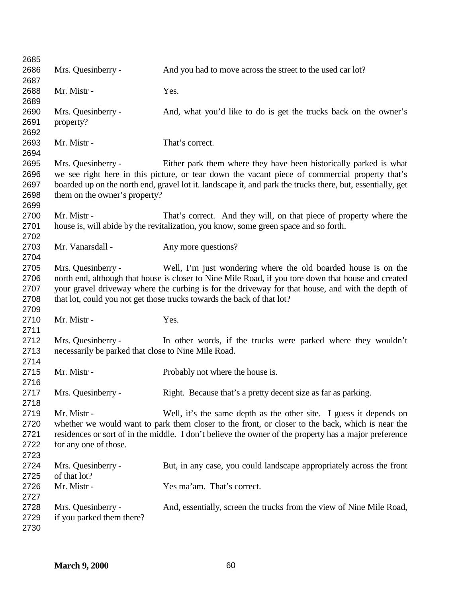| 2685 |                                                     |                                                                                                            |
|------|-----------------------------------------------------|------------------------------------------------------------------------------------------------------------|
| 2686 | Mrs. Quesinberry -                                  | And you had to move across the street to the used car lot?                                                 |
| 2687 |                                                     |                                                                                                            |
| 2688 | Mr. Mistr -                                         | Yes.                                                                                                       |
| 2689 |                                                     |                                                                                                            |
| 2690 | Mrs. Quesinberry -                                  | And, what you'd like to do is get the trucks back on the owner's                                           |
| 2691 | property?                                           |                                                                                                            |
| 2692 |                                                     |                                                                                                            |
| 2693 | Mr. Mistr -                                         | That's correct.                                                                                            |
| 2694 |                                                     |                                                                                                            |
| 2695 | Mrs. Quesinberry -                                  | Either park them where they have been historically parked is what                                          |
| 2696 |                                                     | we see right here in this picture, or tear down the vacant piece of commercial property that's             |
| 2697 |                                                     | boarded up on the north end, gravel lot it. landscape it, and park the trucks there, but, essentially, get |
| 2698 |                                                     |                                                                                                            |
|      | them on the owner's property?                       |                                                                                                            |
| 2699 |                                                     |                                                                                                            |
| 2700 | Mr. Mistr -                                         | That's correct. And they will, on that piece of property where the                                         |
| 2701 |                                                     | house is, will abide by the revitalization, you know, some green space and so forth.                       |
| 2702 |                                                     |                                                                                                            |
| 2703 | Mr. Vanarsdall -                                    | Any more questions?                                                                                        |
| 2704 |                                                     |                                                                                                            |
| 2705 | Mrs. Quesinberry -                                  | Well, I'm just wondering where the old boarded house is on the                                             |
| 2706 |                                                     | north end, although that house is closer to Nine Mile Road, if you tore down that house and created        |
| 2707 |                                                     | your gravel driveway where the curbing is for the driveway for that house, and with the depth of           |
| 2708 |                                                     | that lot, could you not get those trucks towards the back of that lot?                                     |
| 2709 |                                                     |                                                                                                            |
| 2710 | Mr. Mistr -                                         | Yes.                                                                                                       |
| 2711 |                                                     |                                                                                                            |
| 2712 | Mrs. Quesinberry -                                  | In other words, if the trucks were parked where they wouldn't                                              |
| 2713 | necessarily be parked that close to Nine Mile Road. |                                                                                                            |
| 2714 |                                                     |                                                                                                            |
| 2715 | Mr. Mistr -                                         | Probably not where the house is.                                                                           |
| 2716 |                                                     |                                                                                                            |
| 2717 | Mrs. Quesinberry -                                  | Right. Because that's a pretty decent size as far as parking.                                              |
| 2718 |                                                     |                                                                                                            |
| 2719 | Mr. Mistr -                                         | Well, it's the same depth as the other site. I guess it depends on                                         |
| 2720 |                                                     | whether we would want to park them closer to the front, or closer to the back, which is near the           |
| 2721 |                                                     | residences or sort of in the middle. I don't believe the owner of the property has a major preference      |
| 2722 | for any one of those.                               |                                                                                                            |
| 2723 |                                                     |                                                                                                            |
| 2724 | Mrs. Quesinberry -                                  | But, in any case, you could landscape appropriately across the front                                       |
| 2725 | of that lot?                                        |                                                                                                            |
| 2726 | Mr. Mistr -                                         | Yes ma'am. That's correct.                                                                                 |
| 2727 |                                                     |                                                                                                            |
| 2728 | Mrs. Quesinberry -                                  | And, essentially, screen the trucks from the view of Nine Mile Road,                                       |
| 2729 | if you parked them there?                           |                                                                                                            |
| 2730 |                                                     |                                                                                                            |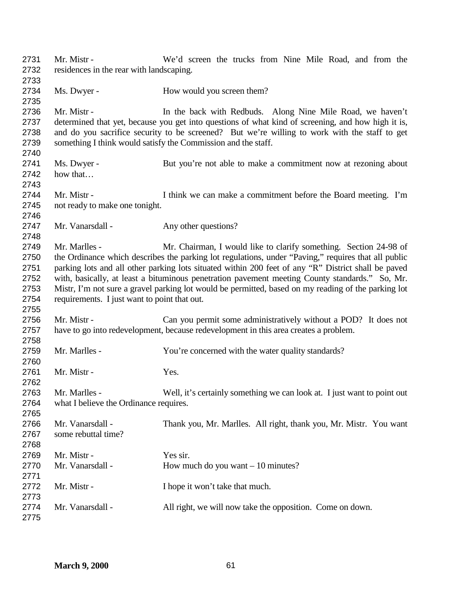| 2731<br>2732 | Mr. Mistr -<br>residences in the rear with landscaping. | We'd screen the trucks from Nine Mile Road, and from the                                            |
|--------------|---------------------------------------------------------|-----------------------------------------------------------------------------------------------------|
| 2733         |                                                         |                                                                                                     |
| 2734         | Ms. Dwyer -                                             | How would you screen them?                                                                          |
| 2735         |                                                         |                                                                                                     |
| 2736         | Mr. Mistr -                                             | In the back with Redbuds. Along Nine Mile Road, we haven't                                          |
| 2737         |                                                         | determined that yet, because you get into questions of what kind of screening, and how high it is,  |
| 2738         |                                                         | and do you sacrifice security to be screened? But we're willing to work with the staff to get       |
| 2739         |                                                         | something I think would satisfy the Commission and the staff.                                       |
| 2740         |                                                         |                                                                                                     |
| 2741         | Ms. Dwyer -                                             | But you're not able to make a commitment now at rezoning about                                      |
| 2742         | how that                                                |                                                                                                     |
| 2743         |                                                         |                                                                                                     |
| 2744         | Mr. Mistr -                                             | I think we can make a commitment before the Board meeting. I'm                                      |
| 2745         | not ready to make one tonight.                          |                                                                                                     |
| 2746         |                                                         |                                                                                                     |
| 2747         | Mr. Vanarsdall -                                        | Any other questions?                                                                                |
| 2748         |                                                         |                                                                                                     |
| 2749         | Mr. Marlles -                                           | Mr. Chairman, I would like to clarify something. Section 24-98 of                                   |
| 2750         |                                                         | the Ordinance which describes the parking lot regulations, under "Paving," requires that all public |
|              |                                                         |                                                                                                     |
| 2751         |                                                         | parking lots and all other parking lots situated within 200 feet of any "R" District shall be paved |
| 2752         |                                                         | with, basically, at least a bituminous penetration pavement meeting County standards." So, Mr.      |
| 2753         |                                                         | Mistr, I'm not sure a gravel parking lot would be permitted, based on my reading of the parking lot |
| 2754         | requirements. I just want to point that out.            |                                                                                                     |
| 2755         |                                                         |                                                                                                     |
| 2756         | Mr. Mistr -                                             | Can you permit some administratively without a POD? It does not                                     |
| 2757         |                                                         | have to go into redevelopment, because redevelopment in this area creates a problem.                |
| 2758         |                                                         |                                                                                                     |
| 2759         | Mr. Marlles -                                           | You're concerned with the water quality standards?                                                  |
| 2760         |                                                         |                                                                                                     |
| 2761         | Mr. Mistr -                                             | Yes.                                                                                                |
| 2762         |                                                         |                                                                                                     |
| 2763         | Mr. Marlles -                                           | Well, it's certainly something we can look at. I just want to point out                             |
| 2764         | what I believe the Ordinance requires.                  |                                                                                                     |
| 2765         |                                                         |                                                                                                     |
| 2766         | Mr. Vanarsdall -                                        | Thank you, Mr. Marlles. All right, thank you, Mr. Mistr. You want                                   |
| 2767         | some rebuttal time?                                     |                                                                                                     |
| 2768         |                                                         |                                                                                                     |
| 2769         | Mr. Mistr -                                             | Yes sir.                                                                                            |
| 2770         | Mr. Vanarsdall -                                        | How much do you want $-10$ minutes?                                                                 |
| 2771         |                                                         |                                                                                                     |
| 2772         | Mr. Mistr -                                             | I hope it won't take that much.                                                                     |
| 2773         |                                                         |                                                                                                     |
| 2774         | Mr. Vanarsdall -                                        | All right, we will now take the opposition. Come on down.                                           |
| 2775         |                                                         |                                                                                                     |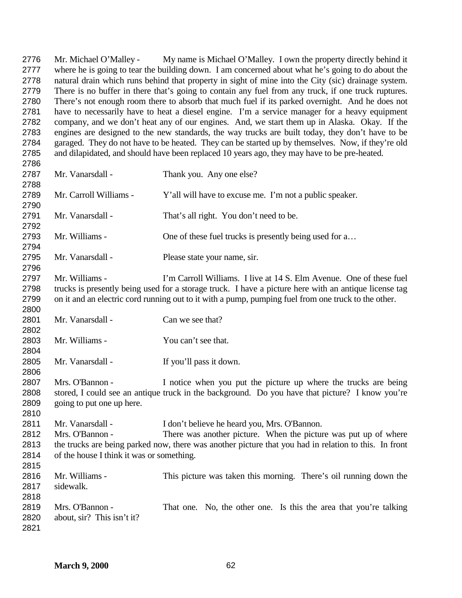Mr. Michael O'Malley - My name is Michael O'Malley. I own the property directly behind it where he is going to tear the building down. I am concerned about what he's going to do about the natural drain which runs behind that property in sight of mine into the City (sic) drainage system. There is no buffer in there that's going to contain any fuel from any truck, if one truck ruptures. There's not enough room there to absorb that much fuel if its parked overnight. And he does not have to necessarily have to heat a diesel engine. I'm a service manager for a heavy equipment company, and we don't heat any of our engines. And, we start them up in Alaska. Okay. If the engines are designed to the new standards, the way trucks are built today, they don't have to be garaged. They do not have to be heated. They can be started up by themselves. Now, if they're old and dilapidated, and should have been replaced 10 years ago, they may have to be pre-heated. 2787 Mr. Vanarsdall - Thank you. Any one else? Mr. Carroll Williams - Y'all will have to excuse me. I'm not a public speaker. 2791 Mr. Vanarsdall - That's all right. You don't need to be. 2793 Mr. Williams - One of these fuel trucks is presently being used for a... Mr. Vanarsdall - Please state your name, sir. Mr. Williams - I'm Carroll Williams. I live at 14 S. Elm Avenue. One of these fuel trucks is presently being used for a storage truck. I have a picture here with an antique license tag on it and an electric cord running out to it with a pump, pumping fuel from one truck to the other. 2801 Mr. Vanarsdall - Can we see that? 2803 Mr. Williams - You can't see that. Mr. Vanarsdall - If you'll pass it down. Mrs. O'Bannon - I notice when you put the picture up where the trucks are being stored, I could see an antique truck in the background. Do you have that picture? I know you're going to put one up here. Mr. Vanarsdall - I don't believe he heard you, Mrs. O'Bannon. Mrs. O'Bannon - There was another picture. When the picture was put up of where the trucks are being parked now, there was another picture that you had in relation to this. In front of the house I think it was or something. Mr. Williams - This picture was taken this morning. There's oil running down the sidewalk. 

 Mrs. O'Bannon - That one. No, the other one. Is this the area that you're talking about, sir? This isn't it?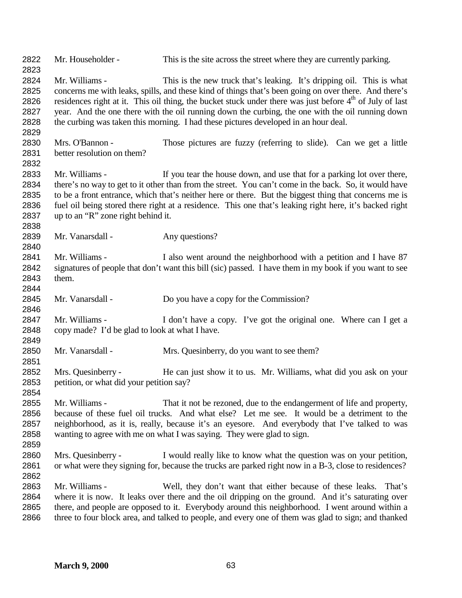| 2822<br>2823                                 | Mr. Householder -                                                | This is the site across the street where they are currently parking.                                                                                                                                                                                                                                                                                                                                                                                                                              |
|----------------------------------------------|------------------------------------------------------------------|---------------------------------------------------------------------------------------------------------------------------------------------------------------------------------------------------------------------------------------------------------------------------------------------------------------------------------------------------------------------------------------------------------------------------------------------------------------------------------------------------|
| 2824<br>2825<br>2826<br>2827<br>2828<br>2829 | Mr. Williams -                                                   | This is the new truck that's leaking. It's dripping oil. This is what<br>concerns me with leaks, spills, and these kind of things that's been going on over there. And there's<br>residences right at it. This oil thing, the bucket stuck under there was just before 4 <sup>th</sup> of July of last<br>year. And the one there with the oil running down the curbing, the one with the oil running down<br>the curbing was taken this morning. I had these pictures developed in an hour deal. |
| 2830<br>2831<br>2832                         | Mrs. O'Bannon -<br>better resolution on them?                    | Those pictures are fuzzy (referring to slide). Can we get a little                                                                                                                                                                                                                                                                                                                                                                                                                                |
| 2833<br>2834<br>2835<br>2836<br>2837<br>2838 | Mr. Williams -<br>up to an "R" zone right behind it.             | If you tear the house down, and use that for a parking lot over there,<br>there's no way to get to it other than from the street. You can't come in the back. So, it would have<br>to be a front entrance, which that's neither here or there. But the biggest thing that concerns me is<br>fuel oil being stored there right at a residence. This one that's leaking right here, it's backed right                                                                                               |
| 2839<br>2840                                 | Mr. Vanarsdall -                                                 | Any questions?                                                                                                                                                                                                                                                                                                                                                                                                                                                                                    |
| 2841<br>2842<br>2843<br>2844                 | Mr. Williams -<br>them.                                          | I also went around the neighborhood with a petition and I have 87<br>signatures of people that don't want this bill (sic) passed. I have them in my book if you want to see                                                                                                                                                                                                                                                                                                                       |
| 2845<br>2846                                 | Mr. Vanarsdall -                                                 | Do you have a copy for the Commission?                                                                                                                                                                                                                                                                                                                                                                                                                                                            |
| 2847<br>2848<br>2849                         | Mr. Williams -<br>copy made? I'd be glad to look at what I have. | I don't have a copy. I've got the original one. Where can I get a                                                                                                                                                                                                                                                                                                                                                                                                                                 |
| 2850<br>2851                                 | Mr. Vanarsdall -                                                 | Mrs. Quesinberry, do you want to see them?                                                                                                                                                                                                                                                                                                                                                                                                                                                        |
| 2852<br>2853<br>2854                         | Mrs. Quesinberry -<br>petition, or what did your petition say?   | He can just show it to us. Mr. Williams, what did you ask on your                                                                                                                                                                                                                                                                                                                                                                                                                                 |
| 2855<br>2856<br>2857<br>2858<br>2859         | Mr. Williams -                                                   | That it not be rezoned, due to the endangerment of life and property,<br>because of these fuel oil trucks. And what else? Let me see. It would be a detriment to the<br>neighborhood, as it is, really, because it's an eyesore. And everybody that I've talked to was<br>wanting to agree with me on what I was saying. They were glad to sign.                                                                                                                                                  |
| 2860<br>2861<br>2862                         | Mrs. Quesinberry -                                               | I would really like to know what the question was on your petition,<br>or what were they signing for, because the trucks are parked right now in a B-3, close to residences?                                                                                                                                                                                                                                                                                                                      |
| 2863<br>2864<br>2865<br>2866                 | Mr. Williams -                                                   | Well, they don't want that either because of these leaks.<br>That's<br>where it is now. It leaks over there and the oil dripping on the ground. And it's saturating over<br>there, and people are opposed to it. Everybody around this neighborhood. I went around within a<br>three to four block area, and talked to people, and every one of them was glad to sign; and thanked                                                                                                                |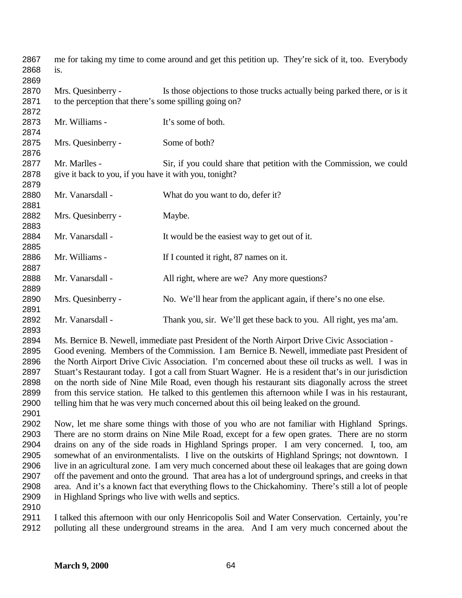| 2867<br>2868<br>2869 | is.                                                                          | me for taking my time to come around and get this petition up. They're sick of it, too. Everybody       |
|----------------------|------------------------------------------------------------------------------|---------------------------------------------------------------------------------------------------------|
| 2870<br>2871         | Mrs. Quesinberry -<br>to the perception that there's some spilling going on? | Is those objections to those trucks actually being parked there, or is it                               |
| 2872                 |                                                                              |                                                                                                         |
| 2873                 | Mr. Williams -                                                               | It's some of both.                                                                                      |
| 2874<br>2875         | Mrs. Quesinberry -                                                           | Some of both?                                                                                           |
| 2876                 |                                                                              |                                                                                                         |
| 2877                 | Mr. Marlles -                                                                | Sir, if you could share that petition with the Commission, we could                                     |
| 2878                 | give it back to you, if you have it with you, tonight?                       |                                                                                                         |
| 2879                 |                                                                              |                                                                                                         |
| 2880                 | Mr. Vanarsdall -                                                             | What do you want to do, defer it?                                                                       |
| 2881                 |                                                                              |                                                                                                         |
| 2882                 | Mrs. Quesinberry -                                                           | Maybe.                                                                                                  |
| 2883                 |                                                                              |                                                                                                         |
| 2884                 | Mr. Vanarsdall -                                                             | It would be the easiest way to get out of it.                                                           |
| 2885                 |                                                                              |                                                                                                         |
| 2886                 | Mr. Williams -                                                               | If I counted it right, 87 names on it.                                                                  |
| 2887                 |                                                                              |                                                                                                         |
| 2888                 | Mr. Vanarsdall -                                                             | All right, where are we? Any more questions?                                                            |
| 2889                 |                                                                              |                                                                                                         |
| 2890                 | Mrs. Quesinberry -                                                           | No. We'll hear from the applicant again, if there's no one else.                                        |
| 2891                 |                                                                              |                                                                                                         |
| 2892                 | Mr. Vanarsdall -                                                             | Thank you, sir. We'll get these back to you. All right, yes ma'am.                                      |
| 2893                 |                                                                              |                                                                                                         |
| 2894                 |                                                                              | Ms. Bernice B. Newell, immediate past President of the North Airport Drive Civic Association -          |
| 2895                 |                                                                              | Good evening. Members of the Commission. I am Bernice B. Newell, immediate past President of            |
| 2896                 |                                                                              | the North Airport Drive Civic Association. I'm concerned about these oil trucks as well. I was in       |
| 2897                 |                                                                              | Stuart's Restaurant today. I got a call from Stuart Wagner. He is a resident that's in our jurisdiction |
| 2898                 |                                                                              | on the north side of Nine Mile Road, even though his restaurant sits diagonally across the street       |
| 2899                 |                                                                              | from this service station. He talked to this gentlemen this afternoon while I was in his restaurant,    |
| 2900                 |                                                                              | telling him that he was very much concerned about this oil being leaked on the ground.                  |
| 2901                 |                                                                              |                                                                                                         |
|                      |                                                                              |                                                                                                         |
| 2902                 |                                                                              | Now, let me share some things with those of you who are not familiar with Highland Springs.             |
| 2903                 |                                                                              | There are no storm drains on Nine Mile Road, except for a few open grates. There are no storm           |
| 2904                 |                                                                              | drains on any of the side roads in Highland Springs proper. I am very concerned. I, too, am             |
| 2905                 |                                                                              | somewhat of an environmentalists. I live on the outskirts of Highland Springs; not downtown. I          |
| 2906                 |                                                                              | live in an agricultural zone. I am very much concerned about these oil leakages that are going down     |
| 2907                 |                                                                              | off the pavement and onto the ground. That area has a lot of underground springs, and creeks in that    |
| 2908                 |                                                                              | area. And it's a known fact that everything flows to the Chickahominy. There's still a lot of people    |
| 2909                 | in Highland Springs who live with wells and septics.                         |                                                                                                         |
| 2910                 |                                                                              |                                                                                                         |
| 2911                 |                                                                              | I talked this afternoon with our only Henricopolis Soil and Water Conservation. Certainly, you're       |
| 2912                 |                                                                              | polluting all these underground streams in the area. And I am very much concerned about the             |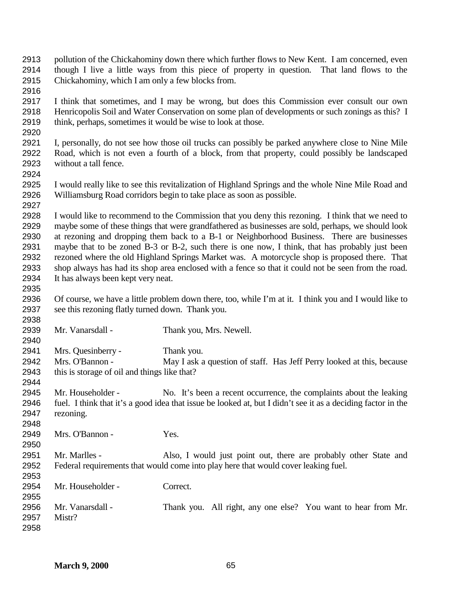- pollution of the Chickahominy down there which further flows to New Kent. I am concerned, even though I live a little ways from this piece of property in question. That land flows to the Chickahominy, which I am only a few blocks from.
- 

- I think that sometimes, and I may be wrong, but does this Commission ever consult our own Henricopolis Soil and Water Conservation on some plan of developments or such zonings as this? I think, perhaps, sometimes it would be wise to look at those.
- I, personally, do not see how those oil trucks can possibly be parked anywhere close to Nine Mile Road, which is not even a fourth of a block, from that property, could possibly be landscaped without a tall fence.
- 

 I would really like to see this revitalization of Highland Springs and the whole Nine Mile Road and Williamsburg Road corridors begin to take place as soon as possible. 

 I would like to recommend to the Commission that you deny this rezoning. I think that we need to maybe some of these things that were grandfathered as businesses are sold, perhaps, we should look at rezoning and dropping them back to a B-1 or Neighborhood Business. There are businesses maybe that to be zoned B-3 or B-2, such there is one now, I think, that has probably just been rezoned where the old Highland Springs Market was. A motorcycle shop is proposed there. That shop always has had its shop area enclosed with a fence so that it could not be seen from the road. It has always been kept very neat.

- Of course, we have a little problem down there, too, while I'm at it. I think you and I would like to see this rezoning flatly turned down. Thank you.
- Mr. Vanarsdall - Thank you, Mrs. Newell. Mrs. Quesinberry - Thank you. Mrs. O'Bannon - May I ask a question of staff. Has Jeff Perry looked at this, because this is storage of oil and things like that? Mr. Householder - No. It's been a recent occurrence, the complaints about the leaking fuel. I think that it's a good idea that issue be looked at, but I didn't see it as a deciding factor in the rezoning. Mrs. O'Bannon - Yes. Mr. Marlles - Also, I would just point out, there are probably other State and Federal requirements that would come into play here that would cover leaking fuel. Mr. Householder - Correct.
- Mr. Vanarsdall Thank you. All right, any one else? You want to hear from Mr. Mistr?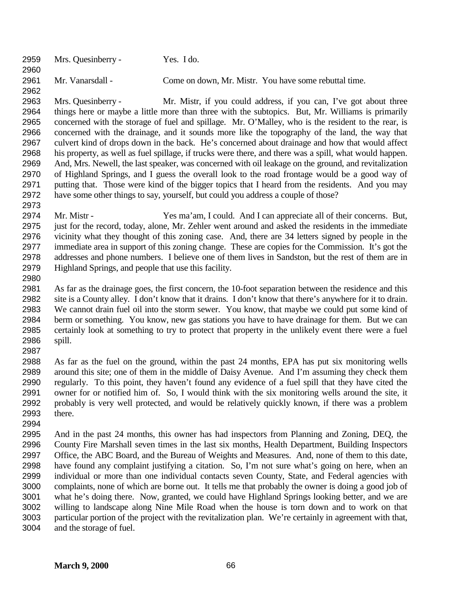Mrs. Quesinberry - Yes. I do. Mr. Vanarsdall - Come on down, Mr. Mistr. You have some rebuttal time.

 Mrs. Quesinberry - Mr. Mistr, if you could address, if you can, I've got about three things here or maybe a little more than three with the subtopics. But, Mr. Williams is primarily concerned with the storage of fuel and spillage. Mr. O'Malley, who is the resident to the rear, is concerned with the drainage, and it sounds more like the topography of the land, the way that culvert kind of drops down in the back. He's concerned about drainage and how that would affect his property, as well as fuel spillage, if trucks were there, and there was a spill, what would happen. And, Mrs. Newell, the last speaker, was concerned with oil leakage on the ground, and revitalization of Highland Springs, and I guess the overall look to the road frontage would be a good way of putting that. Those were kind of the bigger topics that I heard from the residents. And you may have some other things to say, yourself, but could you address a couple of those?

- Mr. Mistr - Yes ma'am, I could. And I can appreciate all of their concerns. But, just for the record, today, alone, Mr. Zehler went around and asked the residents in the immediate vicinity what they thought of this zoning case. And, there are 34 letters signed by people in the immediate area in support of this zoning change. These are copies for the Commission. It's got the addresses and phone numbers. I believe one of them lives in Sandston, but the rest of them are in Highland Springs, and people that use this facility.
- 

 As far as the drainage goes, the first concern, the 10-foot separation between the residence and this site is a County alley. I don't know that it drains. I don't know that there's anywhere for it to drain. We cannot drain fuel oil into the storm sewer. You know, that maybe we could put some kind of berm or something. You know, new gas stations you have to have drainage for them. But we can certainly look at something to try to protect that property in the unlikely event there were a fuel spill. 

 As far as the fuel on the ground, within the past 24 months, EPA has put six monitoring wells around this site; one of them in the middle of Daisy Avenue. And I'm assuming they check them regularly. To this point, they haven't found any evidence of a fuel spill that they have cited the owner for or notified him of. So, I would think with the six monitoring wells around the site, it probably is very well protected, and would be relatively quickly known, if there was a problem there.

 And in the past 24 months, this owner has had inspectors from Planning and Zoning, DEQ, the County Fire Marshall seven times in the last six months, Health Department, Building Inspectors Office, the ABC Board, and the Bureau of Weights and Measures. And, none of them to this date, have found any complaint justifying a citation. So, I'm not sure what's going on here, when an individual or more than one individual contacts seven County, State, and Federal agencies with complaints, none of which are borne out. It tells me that probably the owner is doing a good job of what he's doing there. Now, granted, we could have Highland Springs looking better, and we are willing to landscape along Nine Mile Road when the house is torn down and to work on that particular portion of the project with the revitalization plan. We're certainly in agreement with that, and the storage of fuel.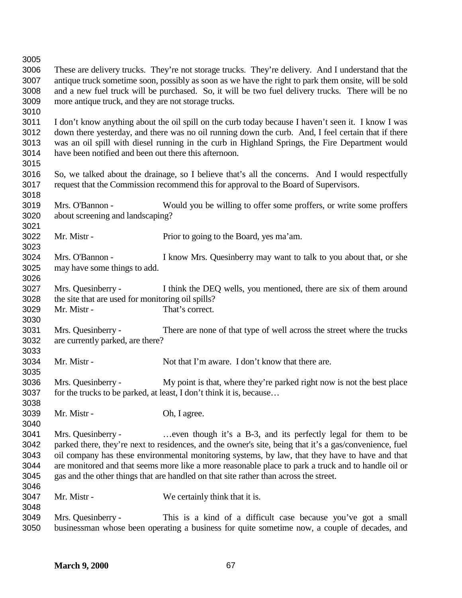| 3006<br>These are delivery trucks. They're not storage trucks. They're delivery. And I understand that the<br>antique truck sometime soon, possibly as soon as we have the right to park them onsite, will be sold<br>3007<br>3008<br>and a new fuel truck will be purchased. So, it will be two fuel delivery trucks. There will be no<br>3009<br>more antique truck, and they are not storage trucks.<br>3010<br>3011<br>I don't know anything about the oil spill on the curb today because I haven't seen it. I know I was<br>down there yesterday, and there was no oil running down the curb. And, I feel certain that if there<br>3012<br>was an oil spill with diesel running in the curb in Highland Springs, the Fire Department would<br>3013<br>3014<br>have been notified and been out there this afternoon.<br>3015<br>3016<br>So, we talked about the drainage, so I believe that's all the concerns. And I would respectfully<br>3017<br>request that the Commission recommend this for approval to the Board of Supervisors.<br>Would you be willing to offer some proffers, or write some proffers<br>Mrs. O'Bannon -<br>about screening and landscaping?<br>Mr. Mistr -<br>Prior to going to the Board, yes ma'am.<br>3023<br>Mrs. O'Bannon -<br>I know Mrs. Quesinberry may want to talk to you about that, or she<br>3025<br>may have some things to add.<br>3026<br>3027<br>Mrs. Quesinberry -<br>I think the DEQ wells, you mentioned, there are six of them around<br>3028<br>the site that are used for monitoring oil spills?<br>3029<br>That's correct.<br>Mr. Mistr -<br>3030<br>Mrs. Quesinberry -<br>3031<br>There are none of that type of well across the street where the trucks<br>3032<br>are currently parked, are there?<br>3033<br>3034<br>Mr. Mistr -<br>Not that I'm aware. I don't know that there are.<br>3035<br>3036<br>Mrs. Quesinberry -<br>My point is that, where they're parked right now is not the best place<br>for the trucks to be parked, at least, I don't think it is, because<br>3037<br>3038<br>3039<br>Mr. Mistr -<br>Oh, I agree.<br>3040<br>3041<br>Mrs. Quesinberry -<br>even though it's a B-3, and its perfectly legal for them to be<br>3042<br>parked there, they're next to residences, and the owner's site, being that it's a gas/convenience, fuel<br>oil company has these environmental monitoring systems, by law, that they have to have and that<br>are monitored and that seems more like a more reasonable place to park a truck and to handle oil or<br>gas and the other things that are handled on that site rather than across the street.<br>Mr. Mistr -<br>We certainly think that it is.<br>Mrs. Quesinberry -<br>This is a kind of a difficult case because you've got a small<br>businessman whose been operating a business for quite sometime now, a couple of decades, and | 3005 |  |  |  |
|----------------------------------------------------------------------------------------------------------------------------------------------------------------------------------------------------------------------------------------------------------------------------------------------------------------------------------------------------------------------------------------------------------------------------------------------------------------------------------------------------------------------------------------------------------------------------------------------------------------------------------------------------------------------------------------------------------------------------------------------------------------------------------------------------------------------------------------------------------------------------------------------------------------------------------------------------------------------------------------------------------------------------------------------------------------------------------------------------------------------------------------------------------------------------------------------------------------------------------------------------------------------------------------------------------------------------------------------------------------------------------------------------------------------------------------------------------------------------------------------------------------------------------------------------------------------------------------------------------------------------------------------------------------------------------------------------------------------------------------------------------------------------------------------------------------------------------------------------------------------------------------------------------------------------------------------------------------------------------------------------------------------------------------------------------------------------------------------------------------------------------------------------------------------------------------------------------------------------------------------------------------------------------------------------------------------------------------------------------------------------------------------------------------------------------------------------------------------------------------------------------------------------------------------------------------------------------------------------------------------------------------------------------------------------------------------------------------------------------------------------------------------------------------------------------------------------------------------------------------------|------|--|--|--|
|                                                                                                                                                                                                                                                                                                                                                                                                                                                                                                                                                                                                                                                                                                                                                                                                                                                                                                                                                                                                                                                                                                                                                                                                                                                                                                                                                                                                                                                                                                                                                                                                                                                                                                                                                                                                                                                                                                                                                                                                                                                                                                                                                                                                                                                                                                                                                                                                                                                                                                                                                                                                                                                                                                                                                                                                                                                                      |      |  |  |  |
|                                                                                                                                                                                                                                                                                                                                                                                                                                                                                                                                                                                                                                                                                                                                                                                                                                                                                                                                                                                                                                                                                                                                                                                                                                                                                                                                                                                                                                                                                                                                                                                                                                                                                                                                                                                                                                                                                                                                                                                                                                                                                                                                                                                                                                                                                                                                                                                                                                                                                                                                                                                                                                                                                                                                                                                                                                                                      |      |  |  |  |
|                                                                                                                                                                                                                                                                                                                                                                                                                                                                                                                                                                                                                                                                                                                                                                                                                                                                                                                                                                                                                                                                                                                                                                                                                                                                                                                                                                                                                                                                                                                                                                                                                                                                                                                                                                                                                                                                                                                                                                                                                                                                                                                                                                                                                                                                                                                                                                                                                                                                                                                                                                                                                                                                                                                                                                                                                                                                      |      |  |  |  |
|                                                                                                                                                                                                                                                                                                                                                                                                                                                                                                                                                                                                                                                                                                                                                                                                                                                                                                                                                                                                                                                                                                                                                                                                                                                                                                                                                                                                                                                                                                                                                                                                                                                                                                                                                                                                                                                                                                                                                                                                                                                                                                                                                                                                                                                                                                                                                                                                                                                                                                                                                                                                                                                                                                                                                                                                                                                                      |      |  |  |  |
|                                                                                                                                                                                                                                                                                                                                                                                                                                                                                                                                                                                                                                                                                                                                                                                                                                                                                                                                                                                                                                                                                                                                                                                                                                                                                                                                                                                                                                                                                                                                                                                                                                                                                                                                                                                                                                                                                                                                                                                                                                                                                                                                                                                                                                                                                                                                                                                                                                                                                                                                                                                                                                                                                                                                                                                                                                                                      |      |  |  |  |
|                                                                                                                                                                                                                                                                                                                                                                                                                                                                                                                                                                                                                                                                                                                                                                                                                                                                                                                                                                                                                                                                                                                                                                                                                                                                                                                                                                                                                                                                                                                                                                                                                                                                                                                                                                                                                                                                                                                                                                                                                                                                                                                                                                                                                                                                                                                                                                                                                                                                                                                                                                                                                                                                                                                                                                                                                                                                      |      |  |  |  |
|                                                                                                                                                                                                                                                                                                                                                                                                                                                                                                                                                                                                                                                                                                                                                                                                                                                                                                                                                                                                                                                                                                                                                                                                                                                                                                                                                                                                                                                                                                                                                                                                                                                                                                                                                                                                                                                                                                                                                                                                                                                                                                                                                                                                                                                                                                                                                                                                                                                                                                                                                                                                                                                                                                                                                                                                                                                                      |      |  |  |  |
|                                                                                                                                                                                                                                                                                                                                                                                                                                                                                                                                                                                                                                                                                                                                                                                                                                                                                                                                                                                                                                                                                                                                                                                                                                                                                                                                                                                                                                                                                                                                                                                                                                                                                                                                                                                                                                                                                                                                                                                                                                                                                                                                                                                                                                                                                                                                                                                                                                                                                                                                                                                                                                                                                                                                                                                                                                                                      |      |  |  |  |
|                                                                                                                                                                                                                                                                                                                                                                                                                                                                                                                                                                                                                                                                                                                                                                                                                                                                                                                                                                                                                                                                                                                                                                                                                                                                                                                                                                                                                                                                                                                                                                                                                                                                                                                                                                                                                                                                                                                                                                                                                                                                                                                                                                                                                                                                                                                                                                                                                                                                                                                                                                                                                                                                                                                                                                                                                                                                      |      |  |  |  |
|                                                                                                                                                                                                                                                                                                                                                                                                                                                                                                                                                                                                                                                                                                                                                                                                                                                                                                                                                                                                                                                                                                                                                                                                                                                                                                                                                                                                                                                                                                                                                                                                                                                                                                                                                                                                                                                                                                                                                                                                                                                                                                                                                                                                                                                                                                                                                                                                                                                                                                                                                                                                                                                                                                                                                                                                                                                                      |      |  |  |  |
|                                                                                                                                                                                                                                                                                                                                                                                                                                                                                                                                                                                                                                                                                                                                                                                                                                                                                                                                                                                                                                                                                                                                                                                                                                                                                                                                                                                                                                                                                                                                                                                                                                                                                                                                                                                                                                                                                                                                                                                                                                                                                                                                                                                                                                                                                                                                                                                                                                                                                                                                                                                                                                                                                                                                                                                                                                                                      |      |  |  |  |
|                                                                                                                                                                                                                                                                                                                                                                                                                                                                                                                                                                                                                                                                                                                                                                                                                                                                                                                                                                                                                                                                                                                                                                                                                                                                                                                                                                                                                                                                                                                                                                                                                                                                                                                                                                                                                                                                                                                                                                                                                                                                                                                                                                                                                                                                                                                                                                                                                                                                                                                                                                                                                                                                                                                                                                                                                                                                      |      |  |  |  |
|                                                                                                                                                                                                                                                                                                                                                                                                                                                                                                                                                                                                                                                                                                                                                                                                                                                                                                                                                                                                                                                                                                                                                                                                                                                                                                                                                                                                                                                                                                                                                                                                                                                                                                                                                                                                                                                                                                                                                                                                                                                                                                                                                                                                                                                                                                                                                                                                                                                                                                                                                                                                                                                                                                                                                                                                                                                                      |      |  |  |  |
|                                                                                                                                                                                                                                                                                                                                                                                                                                                                                                                                                                                                                                                                                                                                                                                                                                                                                                                                                                                                                                                                                                                                                                                                                                                                                                                                                                                                                                                                                                                                                                                                                                                                                                                                                                                                                                                                                                                                                                                                                                                                                                                                                                                                                                                                                                                                                                                                                                                                                                                                                                                                                                                                                                                                                                                                                                                                      | 3018 |  |  |  |
|                                                                                                                                                                                                                                                                                                                                                                                                                                                                                                                                                                                                                                                                                                                                                                                                                                                                                                                                                                                                                                                                                                                                                                                                                                                                                                                                                                                                                                                                                                                                                                                                                                                                                                                                                                                                                                                                                                                                                                                                                                                                                                                                                                                                                                                                                                                                                                                                                                                                                                                                                                                                                                                                                                                                                                                                                                                                      | 3019 |  |  |  |
|                                                                                                                                                                                                                                                                                                                                                                                                                                                                                                                                                                                                                                                                                                                                                                                                                                                                                                                                                                                                                                                                                                                                                                                                                                                                                                                                                                                                                                                                                                                                                                                                                                                                                                                                                                                                                                                                                                                                                                                                                                                                                                                                                                                                                                                                                                                                                                                                                                                                                                                                                                                                                                                                                                                                                                                                                                                                      | 3020 |  |  |  |
|                                                                                                                                                                                                                                                                                                                                                                                                                                                                                                                                                                                                                                                                                                                                                                                                                                                                                                                                                                                                                                                                                                                                                                                                                                                                                                                                                                                                                                                                                                                                                                                                                                                                                                                                                                                                                                                                                                                                                                                                                                                                                                                                                                                                                                                                                                                                                                                                                                                                                                                                                                                                                                                                                                                                                                                                                                                                      | 3021 |  |  |  |
|                                                                                                                                                                                                                                                                                                                                                                                                                                                                                                                                                                                                                                                                                                                                                                                                                                                                                                                                                                                                                                                                                                                                                                                                                                                                                                                                                                                                                                                                                                                                                                                                                                                                                                                                                                                                                                                                                                                                                                                                                                                                                                                                                                                                                                                                                                                                                                                                                                                                                                                                                                                                                                                                                                                                                                                                                                                                      | 3022 |  |  |  |
|                                                                                                                                                                                                                                                                                                                                                                                                                                                                                                                                                                                                                                                                                                                                                                                                                                                                                                                                                                                                                                                                                                                                                                                                                                                                                                                                                                                                                                                                                                                                                                                                                                                                                                                                                                                                                                                                                                                                                                                                                                                                                                                                                                                                                                                                                                                                                                                                                                                                                                                                                                                                                                                                                                                                                                                                                                                                      |      |  |  |  |
|                                                                                                                                                                                                                                                                                                                                                                                                                                                                                                                                                                                                                                                                                                                                                                                                                                                                                                                                                                                                                                                                                                                                                                                                                                                                                                                                                                                                                                                                                                                                                                                                                                                                                                                                                                                                                                                                                                                                                                                                                                                                                                                                                                                                                                                                                                                                                                                                                                                                                                                                                                                                                                                                                                                                                                                                                                                                      | 3024 |  |  |  |
|                                                                                                                                                                                                                                                                                                                                                                                                                                                                                                                                                                                                                                                                                                                                                                                                                                                                                                                                                                                                                                                                                                                                                                                                                                                                                                                                                                                                                                                                                                                                                                                                                                                                                                                                                                                                                                                                                                                                                                                                                                                                                                                                                                                                                                                                                                                                                                                                                                                                                                                                                                                                                                                                                                                                                                                                                                                                      |      |  |  |  |
|                                                                                                                                                                                                                                                                                                                                                                                                                                                                                                                                                                                                                                                                                                                                                                                                                                                                                                                                                                                                                                                                                                                                                                                                                                                                                                                                                                                                                                                                                                                                                                                                                                                                                                                                                                                                                                                                                                                                                                                                                                                                                                                                                                                                                                                                                                                                                                                                                                                                                                                                                                                                                                                                                                                                                                                                                                                                      |      |  |  |  |
|                                                                                                                                                                                                                                                                                                                                                                                                                                                                                                                                                                                                                                                                                                                                                                                                                                                                                                                                                                                                                                                                                                                                                                                                                                                                                                                                                                                                                                                                                                                                                                                                                                                                                                                                                                                                                                                                                                                                                                                                                                                                                                                                                                                                                                                                                                                                                                                                                                                                                                                                                                                                                                                                                                                                                                                                                                                                      |      |  |  |  |
|                                                                                                                                                                                                                                                                                                                                                                                                                                                                                                                                                                                                                                                                                                                                                                                                                                                                                                                                                                                                                                                                                                                                                                                                                                                                                                                                                                                                                                                                                                                                                                                                                                                                                                                                                                                                                                                                                                                                                                                                                                                                                                                                                                                                                                                                                                                                                                                                                                                                                                                                                                                                                                                                                                                                                                                                                                                                      |      |  |  |  |
|                                                                                                                                                                                                                                                                                                                                                                                                                                                                                                                                                                                                                                                                                                                                                                                                                                                                                                                                                                                                                                                                                                                                                                                                                                                                                                                                                                                                                                                                                                                                                                                                                                                                                                                                                                                                                                                                                                                                                                                                                                                                                                                                                                                                                                                                                                                                                                                                                                                                                                                                                                                                                                                                                                                                                                                                                                                                      |      |  |  |  |
|                                                                                                                                                                                                                                                                                                                                                                                                                                                                                                                                                                                                                                                                                                                                                                                                                                                                                                                                                                                                                                                                                                                                                                                                                                                                                                                                                                                                                                                                                                                                                                                                                                                                                                                                                                                                                                                                                                                                                                                                                                                                                                                                                                                                                                                                                                                                                                                                                                                                                                                                                                                                                                                                                                                                                                                                                                                                      |      |  |  |  |
|                                                                                                                                                                                                                                                                                                                                                                                                                                                                                                                                                                                                                                                                                                                                                                                                                                                                                                                                                                                                                                                                                                                                                                                                                                                                                                                                                                                                                                                                                                                                                                                                                                                                                                                                                                                                                                                                                                                                                                                                                                                                                                                                                                                                                                                                                                                                                                                                                                                                                                                                                                                                                                                                                                                                                                                                                                                                      |      |  |  |  |
|                                                                                                                                                                                                                                                                                                                                                                                                                                                                                                                                                                                                                                                                                                                                                                                                                                                                                                                                                                                                                                                                                                                                                                                                                                                                                                                                                                                                                                                                                                                                                                                                                                                                                                                                                                                                                                                                                                                                                                                                                                                                                                                                                                                                                                                                                                                                                                                                                                                                                                                                                                                                                                                                                                                                                                                                                                                                      |      |  |  |  |
|                                                                                                                                                                                                                                                                                                                                                                                                                                                                                                                                                                                                                                                                                                                                                                                                                                                                                                                                                                                                                                                                                                                                                                                                                                                                                                                                                                                                                                                                                                                                                                                                                                                                                                                                                                                                                                                                                                                                                                                                                                                                                                                                                                                                                                                                                                                                                                                                                                                                                                                                                                                                                                                                                                                                                                                                                                                                      |      |  |  |  |
|                                                                                                                                                                                                                                                                                                                                                                                                                                                                                                                                                                                                                                                                                                                                                                                                                                                                                                                                                                                                                                                                                                                                                                                                                                                                                                                                                                                                                                                                                                                                                                                                                                                                                                                                                                                                                                                                                                                                                                                                                                                                                                                                                                                                                                                                                                                                                                                                                                                                                                                                                                                                                                                                                                                                                                                                                                                                      |      |  |  |  |
|                                                                                                                                                                                                                                                                                                                                                                                                                                                                                                                                                                                                                                                                                                                                                                                                                                                                                                                                                                                                                                                                                                                                                                                                                                                                                                                                                                                                                                                                                                                                                                                                                                                                                                                                                                                                                                                                                                                                                                                                                                                                                                                                                                                                                                                                                                                                                                                                                                                                                                                                                                                                                                                                                                                                                                                                                                                                      |      |  |  |  |
|                                                                                                                                                                                                                                                                                                                                                                                                                                                                                                                                                                                                                                                                                                                                                                                                                                                                                                                                                                                                                                                                                                                                                                                                                                                                                                                                                                                                                                                                                                                                                                                                                                                                                                                                                                                                                                                                                                                                                                                                                                                                                                                                                                                                                                                                                                                                                                                                                                                                                                                                                                                                                                                                                                                                                                                                                                                                      |      |  |  |  |
|                                                                                                                                                                                                                                                                                                                                                                                                                                                                                                                                                                                                                                                                                                                                                                                                                                                                                                                                                                                                                                                                                                                                                                                                                                                                                                                                                                                                                                                                                                                                                                                                                                                                                                                                                                                                                                                                                                                                                                                                                                                                                                                                                                                                                                                                                                                                                                                                                                                                                                                                                                                                                                                                                                                                                                                                                                                                      |      |  |  |  |
|                                                                                                                                                                                                                                                                                                                                                                                                                                                                                                                                                                                                                                                                                                                                                                                                                                                                                                                                                                                                                                                                                                                                                                                                                                                                                                                                                                                                                                                                                                                                                                                                                                                                                                                                                                                                                                                                                                                                                                                                                                                                                                                                                                                                                                                                                                                                                                                                                                                                                                                                                                                                                                                                                                                                                                                                                                                                      |      |  |  |  |
|                                                                                                                                                                                                                                                                                                                                                                                                                                                                                                                                                                                                                                                                                                                                                                                                                                                                                                                                                                                                                                                                                                                                                                                                                                                                                                                                                                                                                                                                                                                                                                                                                                                                                                                                                                                                                                                                                                                                                                                                                                                                                                                                                                                                                                                                                                                                                                                                                                                                                                                                                                                                                                                                                                                                                                                                                                                                      |      |  |  |  |
|                                                                                                                                                                                                                                                                                                                                                                                                                                                                                                                                                                                                                                                                                                                                                                                                                                                                                                                                                                                                                                                                                                                                                                                                                                                                                                                                                                                                                                                                                                                                                                                                                                                                                                                                                                                                                                                                                                                                                                                                                                                                                                                                                                                                                                                                                                                                                                                                                                                                                                                                                                                                                                                                                                                                                                                                                                                                      |      |  |  |  |
|                                                                                                                                                                                                                                                                                                                                                                                                                                                                                                                                                                                                                                                                                                                                                                                                                                                                                                                                                                                                                                                                                                                                                                                                                                                                                                                                                                                                                                                                                                                                                                                                                                                                                                                                                                                                                                                                                                                                                                                                                                                                                                                                                                                                                                                                                                                                                                                                                                                                                                                                                                                                                                                                                                                                                                                                                                                                      |      |  |  |  |
|                                                                                                                                                                                                                                                                                                                                                                                                                                                                                                                                                                                                                                                                                                                                                                                                                                                                                                                                                                                                                                                                                                                                                                                                                                                                                                                                                                                                                                                                                                                                                                                                                                                                                                                                                                                                                                                                                                                                                                                                                                                                                                                                                                                                                                                                                                                                                                                                                                                                                                                                                                                                                                                                                                                                                                                                                                                                      |      |  |  |  |
|                                                                                                                                                                                                                                                                                                                                                                                                                                                                                                                                                                                                                                                                                                                                                                                                                                                                                                                                                                                                                                                                                                                                                                                                                                                                                                                                                                                                                                                                                                                                                                                                                                                                                                                                                                                                                                                                                                                                                                                                                                                                                                                                                                                                                                                                                                                                                                                                                                                                                                                                                                                                                                                                                                                                                                                                                                                                      |      |  |  |  |
|                                                                                                                                                                                                                                                                                                                                                                                                                                                                                                                                                                                                                                                                                                                                                                                                                                                                                                                                                                                                                                                                                                                                                                                                                                                                                                                                                                                                                                                                                                                                                                                                                                                                                                                                                                                                                                                                                                                                                                                                                                                                                                                                                                                                                                                                                                                                                                                                                                                                                                                                                                                                                                                                                                                                                                                                                                                                      | 3043 |  |  |  |
|                                                                                                                                                                                                                                                                                                                                                                                                                                                                                                                                                                                                                                                                                                                                                                                                                                                                                                                                                                                                                                                                                                                                                                                                                                                                                                                                                                                                                                                                                                                                                                                                                                                                                                                                                                                                                                                                                                                                                                                                                                                                                                                                                                                                                                                                                                                                                                                                                                                                                                                                                                                                                                                                                                                                                                                                                                                                      | 3044 |  |  |  |
|                                                                                                                                                                                                                                                                                                                                                                                                                                                                                                                                                                                                                                                                                                                                                                                                                                                                                                                                                                                                                                                                                                                                                                                                                                                                                                                                                                                                                                                                                                                                                                                                                                                                                                                                                                                                                                                                                                                                                                                                                                                                                                                                                                                                                                                                                                                                                                                                                                                                                                                                                                                                                                                                                                                                                                                                                                                                      | 3045 |  |  |  |
|                                                                                                                                                                                                                                                                                                                                                                                                                                                                                                                                                                                                                                                                                                                                                                                                                                                                                                                                                                                                                                                                                                                                                                                                                                                                                                                                                                                                                                                                                                                                                                                                                                                                                                                                                                                                                                                                                                                                                                                                                                                                                                                                                                                                                                                                                                                                                                                                                                                                                                                                                                                                                                                                                                                                                                                                                                                                      | 3046 |  |  |  |
|                                                                                                                                                                                                                                                                                                                                                                                                                                                                                                                                                                                                                                                                                                                                                                                                                                                                                                                                                                                                                                                                                                                                                                                                                                                                                                                                                                                                                                                                                                                                                                                                                                                                                                                                                                                                                                                                                                                                                                                                                                                                                                                                                                                                                                                                                                                                                                                                                                                                                                                                                                                                                                                                                                                                                                                                                                                                      | 3047 |  |  |  |
|                                                                                                                                                                                                                                                                                                                                                                                                                                                                                                                                                                                                                                                                                                                                                                                                                                                                                                                                                                                                                                                                                                                                                                                                                                                                                                                                                                                                                                                                                                                                                                                                                                                                                                                                                                                                                                                                                                                                                                                                                                                                                                                                                                                                                                                                                                                                                                                                                                                                                                                                                                                                                                                                                                                                                                                                                                                                      | 3048 |  |  |  |
|                                                                                                                                                                                                                                                                                                                                                                                                                                                                                                                                                                                                                                                                                                                                                                                                                                                                                                                                                                                                                                                                                                                                                                                                                                                                                                                                                                                                                                                                                                                                                                                                                                                                                                                                                                                                                                                                                                                                                                                                                                                                                                                                                                                                                                                                                                                                                                                                                                                                                                                                                                                                                                                                                                                                                                                                                                                                      | 3049 |  |  |  |
|                                                                                                                                                                                                                                                                                                                                                                                                                                                                                                                                                                                                                                                                                                                                                                                                                                                                                                                                                                                                                                                                                                                                                                                                                                                                                                                                                                                                                                                                                                                                                                                                                                                                                                                                                                                                                                                                                                                                                                                                                                                                                                                                                                                                                                                                                                                                                                                                                                                                                                                                                                                                                                                                                                                                                                                                                                                                      | 3050 |  |  |  |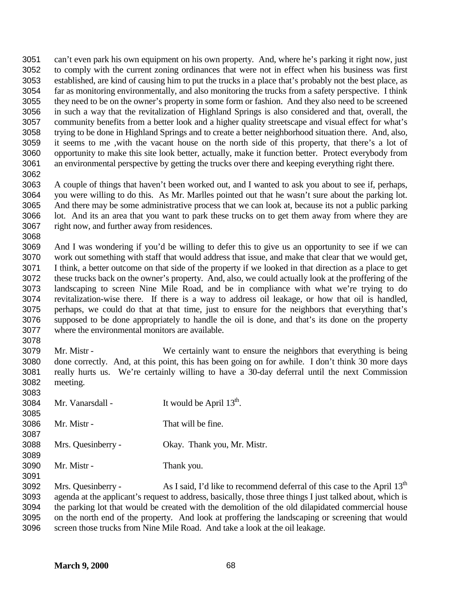can't even park his own equipment on his own property. And, where he's parking it right now, just to comply with the current zoning ordinances that were not in effect when his business was first established, are kind of causing him to put the trucks in a place that's probably not the best place, as far as monitoring environmentally, and also monitoring the trucks from a safety perspective. I think they need to be on the owner's property in some form or fashion. And they also need to be screened in such a way that the revitalization of Highland Springs is also considered and that, overall, the community benefits from a better look and a higher quality streetscape and visual effect for what's trying to be done in Highland Springs and to create a better neighborhood situation there. And, also, it seems to me ,with the vacant house on the north side of this property, that there's a lot of opportunity to make this site look better, actually, make it function better. Protect everybody from an environmental perspective by getting the trucks over there and keeping everything right there. 

 A couple of things that haven't been worked out, and I wanted to ask you about to see if, perhaps, you were willing to do this. As Mr. Marlles pointed out that he wasn't sure about the parking lot. And there may be some administrative process that we can look at, because its not a public parking lot. And its an area that you want to park these trucks on to get them away from where they are right now, and further away from residences.

 And I was wondering if you'd be willing to defer this to give us an opportunity to see if we can work out something with staff that would address that issue, and make that clear that we would get, I think, a better outcome on that side of the property if we looked in that direction as a place to get these trucks back on the owner's property. And, also, we could actually look at the proffering of the landscaping to screen Nine Mile Road, and be in compliance with what we're trying to do revitalization-wise there. If there is a way to address oil leakage, or how that oil is handled, perhaps, we could do that at that time, just to ensure for the neighbors that everything that's supposed to be done appropriately to handle the oil is done, and that's its done on the property where the environmental monitors are available.

 Mr. Mistr - We certainly want to ensure the neighbors that everything is being done correctly. And, at this point, this has been going on for awhile. I don't think 30 more days really hurts us. We're certainly willing to have a 30-day deferral until the next Commission meeting.

 3084 Mr. Vanarsdall - It would be April  $13<sup>th</sup>$ . Mr. Mistr - That will be fine. Mrs. Quesinberry - Okay. Thank you, Mr. Mistr. Mr. Mistr - Thank you. 

3092 Mrs. Quesinberry - As I said, I'd like to recommend deferral of this case to the April  $13<sup>th</sup>$  agenda at the applicant's request to address, basically, those three things I just talked about, which is the parking lot that would be created with the demolition of the old dilapidated commercial house on the north end of the property. And look at proffering the landscaping or screening that would screen those trucks from Nine Mile Road. And take a look at the oil leakage.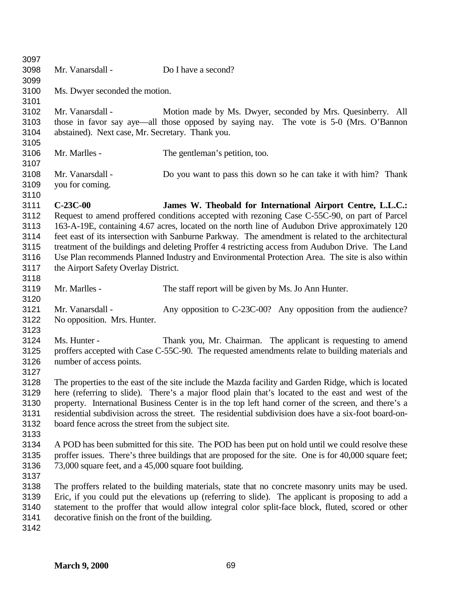| 3097         |                                                                                                        |                                                                                                    |  |
|--------------|--------------------------------------------------------------------------------------------------------|----------------------------------------------------------------------------------------------------|--|
| 3098         | Mr. Vanarsdall -                                                                                       | Do I have a second?                                                                                |  |
| 3099         |                                                                                                        |                                                                                                    |  |
| 3100         | Ms. Dwyer seconded the motion.                                                                         |                                                                                                    |  |
| 3101         |                                                                                                        |                                                                                                    |  |
| 3102         | Mr. Vanarsdall -                                                                                       | Motion made by Ms. Dwyer, seconded by Mrs. Quesinberry. All                                        |  |
| 3103         |                                                                                                        | those in favor say aye—all those opposed by saying nay. The vote is 5-0 (Mrs. O'Bannon             |  |
| 3104         | abstained). Next case, Mr. Secretary. Thank you.                                                       |                                                                                                    |  |
| 3105         |                                                                                                        |                                                                                                    |  |
| 3106         | Mr. Marlles -                                                                                          | The gentleman's petition, too.                                                                     |  |
| 3107         |                                                                                                        |                                                                                                    |  |
| 3108         | Mr. Vanarsdall -                                                                                       | Do you want to pass this down so he can take it with him? Thank                                    |  |
| 3109         |                                                                                                        |                                                                                                    |  |
|              | you for coming.                                                                                        |                                                                                                    |  |
| 3110         |                                                                                                        |                                                                                                    |  |
| 3111         | $C-23C-00$                                                                                             | James W. Theobald for International Airport Centre, L.L.C.:                                        |  |
| 3112         |                                                                                                        | Request to amend proffered conditions accepted with rezoning Case C-55C-90, on part of Parcel      |  |
| 3113         | 163-A-19E, containing 4.67 acres, located on the north line of Audubon Drive approximately 120         |                                                                                                    |  |
| 3114         | feet east of its intersection with Sanburne Parkway. The amendment is related to the architectural     |                                                                                                    |  |
| 3115         | treatment of the buildings and deleting Proffer 4 restricting access from Audubon Drive. The Land      |                                                                                                    |  |
| 3116         | Use Plan recommends Planned Industry and Environmental Protection Area. The site is also within        |                                                                                                    |  |
| 3117         | the Airport Safety Overlay District.                                                                   |                                                                                                    |  |
| 3118         |                                                                                                        |                                                                                                    |  |
| 3119         | Mr. Marlles -                                                                                          | The staff report will be given by Ms. Jo Ann Hunter.                                               |  |
| 3120         |                                                                                                        |                                                                                                    |  |
| 3121         | Mr. Vanarsdall -                                                                                       | Any opposition to C-23C-00? Any opposition from the audience?                                      |  |
| 3122         | No opposition. Mrs. Hunter.                                                                            |                                                                                                    |  |
| 3123         |                                                                                                        |                                                                                                    |  |
| 3124         | Ms. Hunter -                                                                                           | Thank you, Mr. Chairman. The applicant is requesting to amend                                      |  |
| 3125         | proffers accepted with Case C-55C-90. The requested amendments relate to building materials and        |                                                                                                    |  |
| 3126         | number of access points.                                                                               |                                                                                                    |  |
| 3127         |                                                                                                        |                                                                                                    |  |
| 3128         | The properties to the east of the site include the Mazda facility and Garden Ridge, which is located   |                                                                                                    |  |
| 3129         | here (referring to slide). There's a major flood plain that's located to the east and west of the      |                                                                                                    |  |
| 3130         | property. International Business Center is in the top left hand corner of the screen, and there's a    |                                                                                                    |  |
| 3131         | residential subdivision across the street. The residential subdivision does have a six-foot board-on-  |                                                                                                    |  |
| 3132         | board fence across the street from the subject site.                                                   |                                                                                                    |  |
| 3133         |                                                                                                        |                                                                                                    |  |
| 3134         |                                                                                                        | A POD has been submitted for this site. The POD has been put on hold until we could resolve these  |  |
| 3135         | proffer issues. There's three buildings that are proposed for the site. One is for 40,000 square feet; |                                                                                                    |  |
| 3136         | 73,000 square feet, and a 45,000 square foot building.                                                 |                                                                                                    |  |
| 3137         |                                                                                                        |                                                                                                    |  |
| 3138         | The proffers related to the building materials, state that no concrete masonry units may be used.      |                                                                                                    |  |
|              |                                                                                                        | Eric, if you could put the elevations up (referring to slide). The applicant is proposing to add a |  |
|              |                                                                                                        |                                                                                                    |  |
| 3139         |                                                                                                        |                                                                                                    |  |
| 3140<br>3141 | decorative finish on the front of the building.                                                        | statement to the proffer that would allow integral color split-face block, fluted, scored or other |  |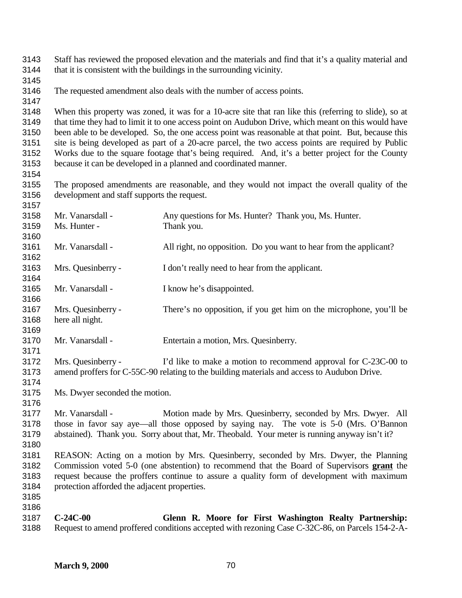Staff has reviewed the proposed elevation and the materials and find that it's a quality material and that it is consistent with the buildings in the surrounding vicinity.

The requested amendment also deals with the number of access points.

 When this property was zoned, it was for a 10-acre site that ran like this (referring to slide), so at that time they had to limit it to one access point on Audubon Drive, which meant on this would have been able to be developed. So, the one access point was reasonable at that point. But, because this site is being developed as part of a 20-acre parcel, the two access points are required by Public Works due to the square footage that's being required. And, it's a better project for the County because it can be developed in a planned and coordinated manner.

 The proposed amendments are reasonable, and they would not impact the overall quality of the development and staff supports the request. 

| 3158         | Mr. Vanarsdall -                                                                                                                                                                        | Any questions for Ms. Hunter? Thank you, Ms. Hunter.                                            |
|--------------|-----------------------------------------------------------------------------------------------------------------------------------------------------------------------------------------|-------------------------------------------------------------------------------------------------|
| 3159         | Ms. Hunter -                                                                                                                                                                            | Thank you.                                                                                      |
| 3160         |                                                                                                                                                                                         |                                                                                                 |
| 3161         | Mr. Vanarsdall -                                                                                                                                                                        | All right, no opposition. Do you want to hear from the applicant?                               |
| 3162         |                                                                                                                                                                                         |                                                                                                 |
| 3163         | Mrs. Quesinberry -                                                                                                                                                                      | I don't really need to hear from the applicant.                                                 |
| 3164         |                                                                                                                                                                                         |                                                                                                 |
| 3165         | Mr. Vanarsdall -                                                                                                                                                                        | I know he's disappointed.                                                                       |
| 3166         |                                                                                                                                                                                         |                                                                                                 |
| 3167         | Mrs. Quesinberry -                                                                                                                                                                      | There's no opposition, if you get him on the microphone, you'll be                              |
| 3168         | here all night.                                                                                                                                                                         |                                                                                                 |
| 3169         |                                                                                                                                                                                         |                                                                                                 |
| 3170         | Mr. Vanarsdall -                                                                                                                                                                        | Entertain a motion, Mrs. Quesinberry.                                                           |
| 3171         |                                                                                                                                                                                         |                                                                                                 |
| 3172         | Mrs. Quesinberry -                                                                                                                                                                      | I'd like to make a motion to recommend approval for C-23C-00 to                                 |
| 3173         |                                                                                                                                                                                         | amend proffers for C-55C-90 relating to the building materials and access to Audubon Drive.     |
| 3174         |                                                                                                                                                                                         |                                                                                                 |
| 3175         | Ms. Dwyer seconded the motion.                                                                                                                                                          |                                                                                                 |
| 3176         |                                                                                                                                                                                         |                                                                                                 |
| 3177         | Mr. Vanarsdall -                                                                                                                                                                        | Motion made by Mrs. Quesinberry, seconded by Mrs. Dwyer. All                                    |
| 3178<br>3179 | those in favor say aye—all those opposed by saying nay. The vote is 5-0 (Mrs. O'Bannon<br>abstained). Thank you. Sorry about that, Mr. Theobald. Your meter is running anyway isn't it? |                                                                                                 |
| 3180         |                                                                                                                                                                                         |                                                                                                 |
| 3181         |                                                                                                                                                                                         | REASON: Acting on a motion by Mrs. Quesinberry, seconded by Mrs. Dwyer, the Planning            |
| 3182         | Commission voted 5-0 (one abstention) to recommend that the Board of Supervisors grant the                                                                                              |                                                                                                 |
| 3183         | request because the proffers continue to assure a quality form of development with maximum                                                                                              |                                                                                                 |
| 3184         | protection afforded the adjacent properties.                                                                                                                                            |                                                                                                 |
| 3185         |                                                                                                                                                                                         |                                                                                                 |
| 3186         |                                                                                                                                                                                         |                                                                                                 |
| 3187         | $C-24C-00$                                                                                                                                                                              | Glenn R. Moore for First Washington Realty Partnership:                                         |
| 3188         |                                                                                                                                                                                         | Request to amend proffered conditions accepted with rezoning Case C-32C-86, on Parcels 154-2-A- |
|              |                                                                                                                                                                                         |                                                                                                 |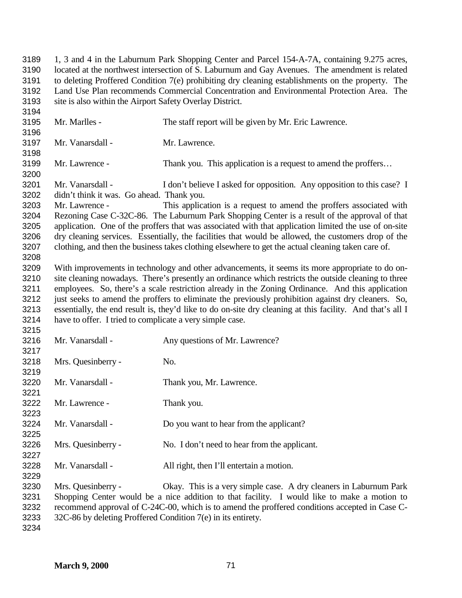1, 3 and 4 in the Laburnum Park Shopping Center and Parcel 154-A-7A, containing 9.275 acres, located at the northwest intersection of S. Laburnum and Gay Avenues. The amendment is related to deleting Proffered Condition 7(e) prohibiting dry cleaning establishments on the property. The Land Use Plan recommends Commercial Concentration and Environmental Protection Area. The site is also within the Airport Safety Overlay District. Mr. Marlles - The staff report will be given by Mr. Eric Lawrence. Mr. Vanarsdall - Mr. Lawrence. 3199 Mr. Lawrence - Thank you. This application is a request to amend the proffers... 3201 Mr. Vanarsdall - I don't believe I asked for opposition. Any opposition to this case? I didn't think it was. Go ahead. Thank you. Mr. Lawrence - This application is a request to amend the proffers associated with Rezoning Case C-32C-86. The Laburnum Park Shopping Center is a result of the approval of that application. One of the proffers that was associated with that application limited the use of on-site dry cleaning services. Essentially, the facilities that would be allowed, the customers drop of the clothing, and then the business takes clothing elsewhere to get the actual cleaning taken care of. With improvements in technology and other advancements, it seems its more appropriate to do on- site cleaning nowadays. There's presently an ordinance which restricts the outside cleaning to three employees. So, there's a scale restriction already in the Zoning Ordinance. And this application just seeks to amend the proffers to eliminate the previously prohibition against dry cleaners. So, essentially, the end result is, they'd like to do on-site dry cleaning at this facility. And that's all I have to offer. I tried to complicate a very simple case. Mr. Vanarsdall - Any questions of Mr. Lawrence? Mrs. Quesinberry - No. Mr. Vanarsdall - Thank you, Mr. Lawrence. Mr. Lawrence - Thank you. Mr. Vanarsdall - Do you want to hear from the applicant? Mrs. Quesinberry - No. I don't need to hear from the applicant. Mr. Vanarsdall - All right, then I'll entertain a motion. Mrs. Quesinberry - Okay. This is a very simple case. A dry cleaners in Laburnum Park Shopping Center would be a nice addition to that facility. I would like to make a motion to recommend approval of C-24C-00, which is to amend the proffered conditions accepted in Case C-32C-86 by deleting Proffered Condition 7(e) in its entirety.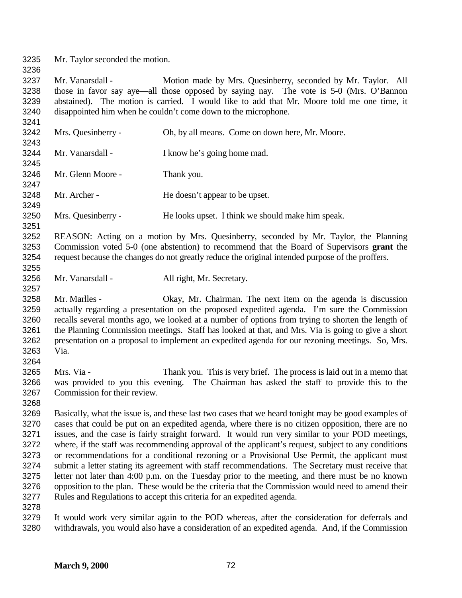Mr. Taylor seconded the motion.

3237 Mr. Vanarsdall - Motion made by Mrs. Quesinberry, seconded by Mr. Taylor. All those in favor say aye—all those opposed by saying nay. The vote is 5-0 (Mrs. O'Bannon abstained). The motion is carried. I would like to add that Mr. Moore told me one time, it disappointed him when he couldn't come down to the microphone.

 Mrs. Quesinberry - Oh, by all means. Come on down here, Mr. Moore. Mr. Vanarsdall - I know he's going home mad. Mr. Glenn Moore - Thank you. Mr. Archer - He doesn't appear to be upset. Mrs. Quesinberry - He looks upset. I think we should make him speak.

 REASON: Acting on a motion by Mrs. Quesinberry, seconded by Mr. Taylor, the Planning Commission voted 5-0 (one abstention) to recommend that the Board of Supervisors **grant** the request because the changes do not greatly reduce the original intended purpose of the proffers. 

Mr. Vanarsdall - All right, Mr. Secretary.

 Mr. Marlles - Okay, Mr. Chairman. The next item on the agenda is discussion actually regarding a presentation on the proposed expedited agenda. I'm sure the Commission recalls several months ago, we looked at a number of options from trying to shorten the length of the Planning Commission meetings. Staff has looked at that, and Mrs. Via is going to give a short presentation on a proposal to implement an expedited agenda for our rezoning meetings. So, Mrs. Via.

 Mrs. Via - Thank you. This is very brief. The process is laid out in a memo that was provided to you this evening. The Chairman has asked the staff to provide this to the Commission for their review.

 Basically, what the issue is, and these last two cases that we heard tonight may be good examples of cases that could be put on an expedited agenda, where there is no citizen opposition, there are no issues, and the case is fairly straight forward. It would run very similar to your POD meetings, where, if the staff was recommending approval of the applicant's request, subject to any conditions or recommendations for a conditional rezoning or a Provisional Use Permit, the applicant must submit a letter stating its agreement with staff recommendations. The Secretary must receive that letter not later than 4:00 p.m. on the Tuesday prior to the meeting, and there must be no known opposition to the plan. These would be the criteria that the Commission would need to amend their Rules and Regulations to accept this criteria for an expedited agenda.

 It would work very similar again to the POD whereas, after the consideration for deferrals and withdrawals, you would also have a consideration of an expedited agenda. And, if the Commission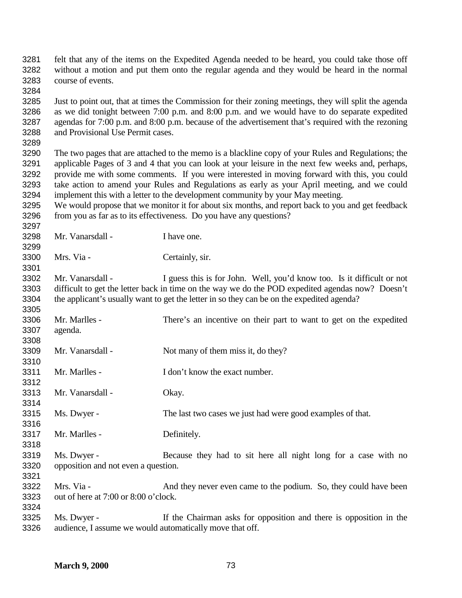felt that any of the items on the Expedited Agenda needed to be heard, you could take those off without a motion and put them onto the regular agenda and they would be heard in the normal course of events. Just to point out, that at times the Commission for their zoning meetings, they will split the agenda as we did tonight between 7:00 p.m. and 8:00 p.m. and we would have to do separate expedited agendas for 7:00 p.m. and 8:00 p.m. because of the advertisement that's required with the rezoning and Provisional Use Permit cases. The two pages that are attached to the memo is a blackline copy of your Rules and Regulations; the applicable Pages of 3 and 4 that you can look at your leisure in the next few weeks and, perhaps, provide me with some comments. If you were interested in moving forward with this, you could take action to amend your Rules and Regulations as early as your April meeting, and we could implement this with a letter to the development community by your May meeting. We would propose that we monitor it for about six months, and report back to you and get feedback from you as far as to its effectiveness. Do you have any questions? Mr. Vanarsdall - I have one. Mrs. Via - Certainly, sir. 3302 Mr. Vanarsdall - I guess this is for John. Well, you'd know too. Is it difficult or not difficult to get the letter back in time on the way we do the POD expedited agendas now? Doesn't the applicant's usually want to get the letter in so they can be on the expedited agenda? Mr. Marlles - There's an incentive on their part to want to get on the expedited agenda. 3309 Mr. Vanarsdall - Not many of them miss it, do they? Mr. Marlles - I don't know the exact number. Mr. Vanarsdall - Okay. Ms. Dwyer - The last two cases we just had were good examples of that. Mr. Marlles - Definitely. Ms. Dwyer - Because they had to sit here all night long for a case with no opposition and not even a question. Mrs. Via - And they never even came to the podium. So, they could have been out of here at 7:00 or 8:00 o'clock. Ms. Dwyer - If the Chairman asks for opposition and there is opposition in the audience, I assume we would automatically move that off.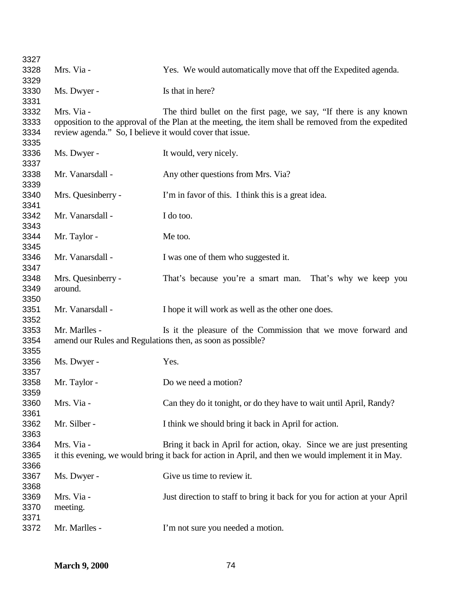| 3327 |                                                          |                                                                                                     |
|------|----------------------------------------------------------|-----------------------------------------------------------------------------------------------------|
| 3328 | Mrs. Via -                                               | Yes. We would automatically move that off the Expedited agenda.                                     |
| 3329 |                                                          |                                                                                                     |
| 3330 | Ms. Dwyer -                                              | Is that in here?                                                                                    |
| 3331 |                                                          |                                                                                                     |
| 3332 | Mrs. Via -                                               | The third bullet on the first page, we say, "If there is any known                                  |
| 3333 |                                                          | opposition to the approval of the Plan at the meeting, the item shall be removed from the expedited |
| 3334 | review agenda." So, I believe it would cover that issue. |                                                                                                     |
| 3335 |                                                          |                                                                                                     |
| 3336 | Ms. Dwyer -                                              | It would, very nicely.                                                                              |
| 3337 |                                                          |                                                                                                     |
| 3338 | Mr. Vanarsdall -                                         | Any other questions from Mrs. Via?                                                                  |
| 3339 |                                                          |                                                                                                     |
| 3340 | Mrs. Quesinberry -                                       | I'm in favor of this. I think this is a great idea.                                                 |
| 3341 |                                                          |                                                                                                     |
| 3342 | Mr. Vanarsdall -                                         | I do too.                                                                                           |
| 3343 |                                                          |                                                                                                     |
| 3344 | Mr. Taylor -                                             | Me too.                                                                                             |
| 3345 |                                                          |                                                                                                     |
| 3346 | Mr. Vanarsdall -                                         | I was one of them who suggested it.                                                                 |
| 3347 |                                                          |                                                                                                     |
| 3348 | Mrs. Quesinberry -                                       | That's because you're a smart man.<br>That's why we keep you                                        |
| 3349 | around.                                                  |                                                                                                     |
| 3350 |                                                          |                                                                                                     |
| 3351 | Mr. Vanarsdall -                                         | I hope it will work as well as the other one does.                                                  |
| 3352 |                                                          |                                                                                                     |
| 3353 | Mr. Marlles -                                            | Is it the pleasure of the Commission that we move forward and                                       |
| 3354 |                                                          | amend our Rules and Regulations then, as soon as possible?                                          |
| 3355 |                                                          |                                                                                                     |
| 3356 | Ms. Dwyer -                                              | Yes.                                                                                                |
| 3357 |                                                          |                                                                                                     |
| 3358 | Mr. Taylor -                                             | Do we need a motion?                                                                                |
| 3359 |                                                          |                                                                                                     |
| 3360 | Mrs. Via -                                               | Can they do it tonight, or do they have to wait until April, Randy?                                 |
| 3361 |                                                          |                                                                                                     |
| 3362 | Mr. Silber -                                             | I think we should bring it back in April for action.                                                |
| 3363 |                                                          |                                                                                                     |
| 3364 | Mrs. Via -                                               | Bring it back in April for action, okay. Since we are just presenting                               |
| 3365 |                                                          | it this evening, we would bring it back for action in April, and then we would implement it in May. |
| 3366 |                                                          |                                                                                                     |
| 3367 | Ms. Dwyer -                                              | Give us time to review it.                                                                          |
| 3368 |                                                          |                                                                                                     |
| 3369 | Mrs. Via -                                               | Just direction to staff to bring it back for you for action at your April                           |
| 3370 | meeting.                                                 |                                                                                                     |
| 3371 |                                                          |                                                                                                     |
| 3372 | Mr. Marlles -                                            | I'm not sure you needed a motion.                                                                   |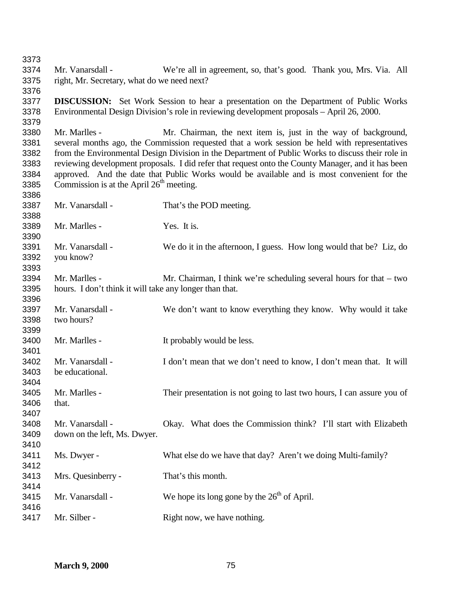Mr. Vanarsdall - We're all in agreement, so, that's good. Thank you, Mrs. Via. All right, Mr. Secretary, what do we need next? **DISCUSSION:** Set Work Session to hear a presentation on the Department of Public Works Environmental Design Division's role in reviewing development proposals – April 26, 2000. Mr. Marlles - Mr. Chairman, the next item is, just in the way of background, several months ago, the Commission requested that a work session be held with representatives from the Environmental Design Division in the Department of Public Works to discuss their role in reviewing development proposals. I did refer that request onto the County Manager, and it has been approved. And the date that Public Works would be available and is most convenient for the 3385 Commission is at the April  $26<sup>th</sup>$  meeting. Mr. Vanarsdall - That's the POD meeting. Mr. Marlles - Yes. It is. Mr. Vanarsdall - We do it in the afternoon, I guess. How long would that be? Liz, do you know? Mr. Marlles - Mr. Chairman, I think we're scheduling several hours for that – two hours. I don't think it will take any longer than that. Mr. Vanarsdall - We don't want to know everything they know. Why would it take two hours? Mr. Marlles - It probably would be less. 3402 Mr. Vanarsdall - I don't mean that we don't need to know, I don't mean that. It will be educational. Mr. Marlles - Their presentation is not going to last two hours, I can assure you of that. Mr. Vanarsdall - Okay. What does the Commission think? I'll start with Elizabeth down on the left, Ms. Dwyer. Ms. Dwyer - What else do we have that day? Aren't we doing Multi-family? Mrs. Quesinberry - That's this month. 3415 Mr. Vanarsdall - We hope its long gone by the  $26<sup>th</sup>$  of April. 3417 Mr. Silber - Right now, we have nothing.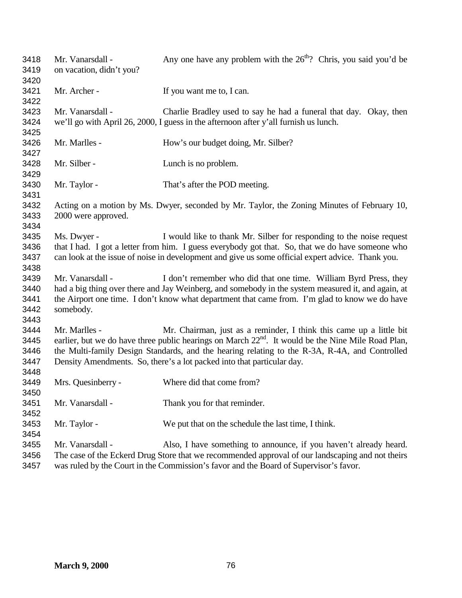| 3418<br>3419<br>3420                 | Mr. Vanarsdall -<br>on vacation, didn't you?                                                                                                                                                                                                                                                                                                                                      | Any one have any problem with the $26th$ ? Chris, you said you'd be                                                                                                   |  |
|--------------------------------------|-----------------------------------------------------------------------------------------------------------------------------------------------------------------------------------------------------------------------------------------------------------------------------------------------------------------------------------------------------------------------------------|-----------------------------------------------------------------------------------------------------------------------------------------------------------------------|--|
| 3421<br>3422                         | Mr. Archer -                                                                                                                                                                                                                                                                                                                                                                      | If you want me to, I can.                                                                                                                                             |  |
| 3423<br>3424<br>3425                 | Mr. Vanarsdall -                                                                                                                                                                                                                                                                                                                                                                  | Charlie Bradley used to say he had a funeral that day. Okay, then<br>we'll go with April 26, 2000, I guess in the afternoon after y'all furnish us lunch.             |  |
| 3426<br>3427                         | Mr. Marlles -                                                                                                                                                                                                                                                                                                                                                                     | How's our budget doing, Mr. Silber?                                                                                                                                   |  |
| 3428<br>3429                         | Mr. Silber -                                                                                                                                                                                                                                                                                                                                                                      | Lunch is no problem.                                                                                                                                                  |  |
| 3430<br>3431                         | Mr. Taylor -                                                                                                                                                                                                                                                                                                                                                                      | That's after the POD meeting.                                                                                                                                         |  |
| 3432<br>3433<br>3434                 | Acting on a motion by Ms. Dwyer, seconded by Mr. Taylor, the Zoning Minutes of February 10,<br>2000 were approved.                                                                                                                                                                                                                                                                |                                                                                                                                                                       |  |
| 3435<br>3436<br>3437<br>3438         | Ms. Dwyer -<br>I would like to thank Mr. Silber for responding to the noise request<br>that I had. I got a letter from him. I guess everybody got that. So, that we do have someone who<br>can look at the issue of noise in development and give us some official expert advice. Thank you.                                                                                      |                                                                                                                                                                       |  |
| 3439<br>3440<br>3441<br>3442<br>3443 | Mr. Vanarsdall -<br>I don't remember who did that one time. William Byrd Press, they<br>had a big thing over there and Jay Weinberg, and somebody in the system measured it, and again, at<br>the Airport one time. I don't know what department that came from. I'm glad to know we do have<br>somebody.                                                                         |                                                                                                                                                                       |  |
| 3444<br>3445<br>3446<br>3447         | Mr. Chairman, just as a reminder, I think this came up a little bit<br>Mr. Marlles -<br>earlier, but we do have three public hearings on March 22 <sup>nd</sup> . It would be the Nine Mile Road Plan,<br>the Multi-family Design Standards, and the hearing relating to the R-3A, R-4A, and Controlled<br>Density Amendments. So, there's a lot packed into that particular day. |                                                                                                                                                                       |  |
| 3448<br>3449<br>3450                 | Mrs. Quesinberry -                                                                                                                                                                                                                                                                                                                                                                | Where did that come from?                                                                                                                                             |  |
| 3451<br>3452                         | Mr. Vanarsdall -                                                                                                                                                                                                                                                                                                                                                                  | Thank you for that reminder.                                                                                                                                          |  |
| 3453<br>3454                         | Mr. Taylor -                                                                                                                                                                                                                                                                                                                                                                      | We put that on the schedule the last time, I think.                                                                                                                   |  |
| 3455<br>3456                         | Mr. Vanarsdall -                                                                                                                                                                                                                                                                                                                                                                  | Also, I have something to announce, if you haven't already heard.<br>The case of the Eckerd Drug Store that we recommended approval of our landscaping and not theirs |  |

was ruled by the Court in the Commission's favor and the Board of Supervisor's favor.